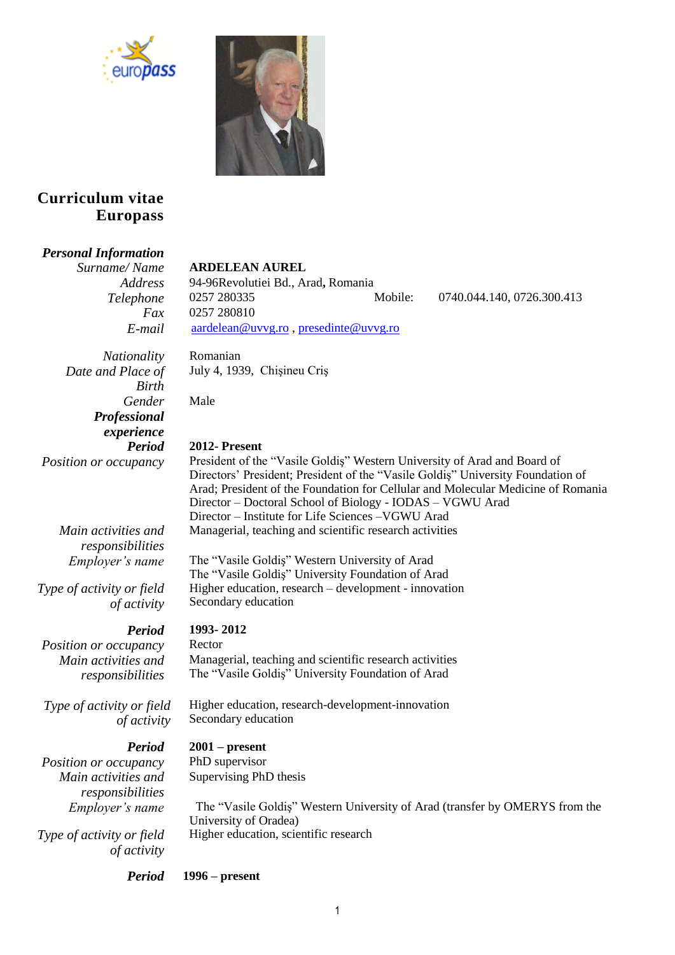



# **Curriculum vitae Europass**

# *Personal Information*

*Surname/ Name* **ARDELEAN AUREL**

July 4, 1939, Chişineu Criş

*Address* 94-96Revolutiei Bd., Arad**,** Romania *Telephone* 0257 280335 Mobile: 0740.044.140, 0726.300.413 *Fax* 0257 280810 *E-mail* [aardelean@uvvg.ro](mailto:aardelean@uvvg.ro) , [presedinte@uvvg.ro](mailto:presedinte@uvvg.ro)

*Nationality* Romanian *Date and Place of Birth Gender* Male *Professional experience*

*Main activities and responsibilities*

*Type of activity or field of activity*

*Period* **1993- 2012**

*Position or occupancy* Rector *Main activities and responsibilities*

*Type of activity or field of activity*

*Position or occupancy* PhD supervisor *Main activities and responsibilities*

*Type of activity or field of activity*

*Period* **2012- Present** *Position or occupancy* President of the "Vasile Goldiş" Western University of Arad and Board of Directors' President; President of the "Vasile Goldiş" University Foundation of Arad; President of the Foundation for Cellular and Molecular Medicine of Romania Director – Doctoral School of Biology - IODAS – VGWU Arad Director – Institute for Life Sciences –VGWU Arad Managerial, teaching and scientific research activities *Employer's name* The "Vasile Goldiş" Western University of Arad The "Vasile Goldiş" University Foundation of Arad Higher education, research – development - innovation Secondary education Managerial, teaching and scientific research activities The "Vasile Goldiş" University Foundation of Arad

> Higher education, research-development-innovation Secondary education

# *Period* **2001 – present**

Supervising PhD thesis

*Employer's name* The "Vasile Goldiş" Western University of Arad (transfer by OMERYS from the University of Oradea) Higher education, scientific research

# *Period* **1996 – present**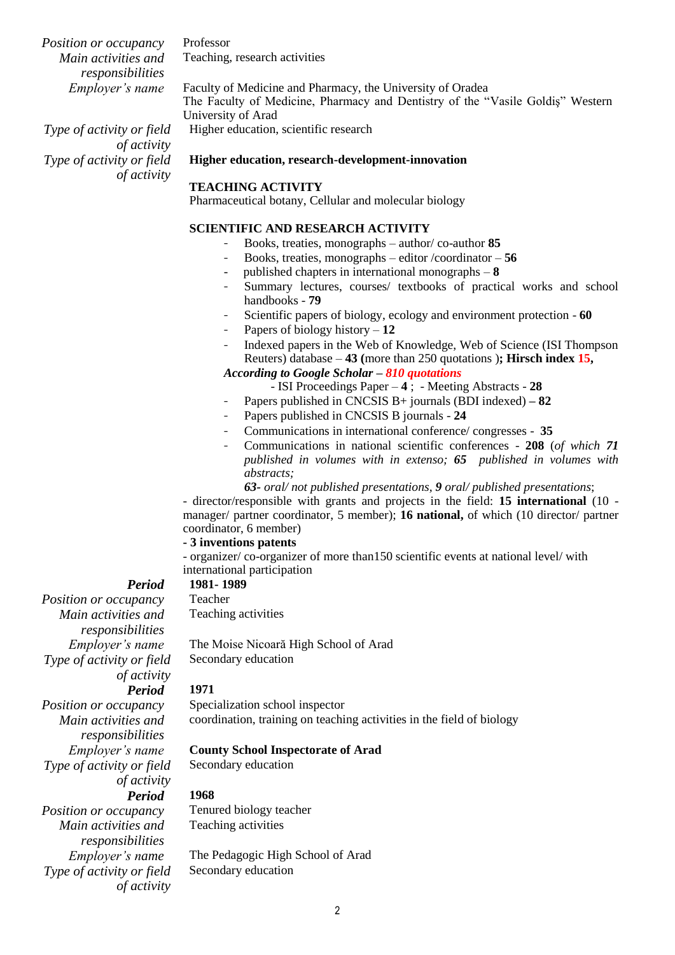*Position or occupancy* Professor *Main activities and responsibilities*

Teaching, research activities

*Type of activity or field* 

*Type of activity or field* 

*of activity*

*of activity*

*Employer's name* Faculty of Medicine and Pharmacy, the University of Oradea The Faculty of Medicine, Pharmacy and Dentistry of the "Vasile Goldiş" Western University of Arad

Higher education, scientific research

## **Higher education, research-development-innovation**

## **TEACHING ACTIVITY**

Pharmaceutical botany, Cellular and molecular biology

## **SCIENTIFIC AND RESEARCH ACTIVITY**

- Books, treaties, monographs author/ co-author **85**
- Books, treaties, monographs editor /coordinator **56**
- published chapters in international monographs **8**
- Summary lectures, courses/ textbooks of practical works and school handbooks - **79**
- Scientific papers of biology, ecology and environment protection **60**
- Papers of biology history 12
- Indexed papers in the Web of Knowledge, Web of Science (ISI Thompson Reuters) database – **43 (**more than 250 quotations )**; Hirsch index 15,**

## *According to Google Scholar – 810 quotations*

- ISI Proceedings Paper **4** ; Meeting Abstracts **28**
- Papers published in CNCSIS B+ journals (BDI indexed) **– 82**
- Papers published in CNCSIS B journals **24**
- Communications in international conference/ congresses - **35**
- Communications in national scientific conferences **208** (*of which 71 published in volumes with in extenso; 65 published in volumes with abstracts;*

*63- oral/ not published presentations, 9 oral/ published presentations*;

- director/responsible with grants and projects in the field: **15 international** (10 manager/ partner coordinator, 5 member); **16 national,** of which (10 director/ partner coordinator, 6 member)

## **- 3 inventions patents**

- organizer/ co-organizer of more than150 scientific events at national level/ with international participation

## *Period* **1981- 1989**

*Position or occupancy* Teacher *Main activities and responsibilities Type of activity or field of activity Period* **1971** *Position or occupancy* Specialization school inspector *Main activities and* 

*responsibilities Type of activity or field* 

*Type of activity or field* 

Teaching activities

*Employer's name* The Pedagogic High School of Arad Secondary education

Teaching activities

*Employer's name* The Moise Nicoară High School of Arad Secondary education

*Employer's name* **County School Inspectorate of Arad** *of activity* Secondary education *Period* **1968** *Position or occupancy* Tenured biology teacher *Main activities and responsibilities*

*of activity*

2

coordination, training on teaching activities in the field of biology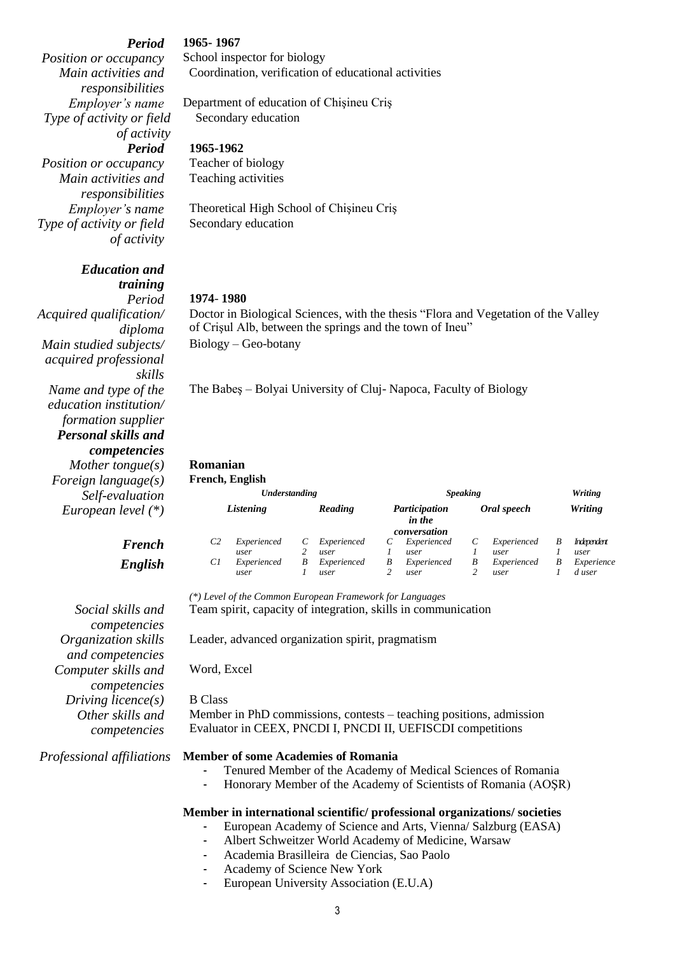*Main activities and responsibilities Type of activity or field of activity*

*Position or occupancy* Teacher of biology *Main activities and responsibilities Type of activity or field of activity*

> *Education and training*

*Acquired qualification/ diploma Main studied subjects/ acquired professional skills Name and type of the education institution/ formation supplier Personal skills and competencies Mother tongue(s)* **Romanian** *Foreign language(s)*  $Self-evaluation$ *European level*  $(*)$ 

# $$  $English$

*Social skills and competencies Organization skills and competencies Computer skills and competencies Driving licence(s)* B Class *Other skills and competencies*

### *Period* **1965- 1967**

*Position or occupancy* School inspector for biology Coordination, verification of educational activities

## *Employer's name* Department of education of Chişineu Criş Secondary education

*Period* **1965-1962**

Teaching activities

*Employer's name* Theoretical High School of Chişineu Criş Secondary education

## *Period* **1974**- **1980**

Doctor in Biological Sciences, with the thesis "Flora and Vegetation of the Valley of Crişul Alb, between the springs and the town of Ineu" Biology – Geo-botany

The Babeş – Bolyai University of Cluj- Napoca, Faculty of Biology

|               | спен, ещенян        |         |                     |                                         |                     |             |                     |                |                      |  |
|---------------|---------------------|---------|---------------------|-----------------------------------------|---------------------|-------------|---------------------|----------------|----------------------|--|
| Understanding |                     |         |                     | <b>Speaking</b>                         |                     |             |                     | Writing        |                      |  |
| Listening     |                     | Reading |                     | Participation<br>in the<br>conversation |                     | Oral speech |                     | <b>Writing</b> |                      |  |
| C2            | Experienced<br>user |         | Experienced<br>user |                                         | Experienced<br>user |             | Experienced<br>user | B              | Independent<br>user  |  |
| Сl            | Experienced<br>user | B       | Experienced<br>user | B                                       | Experienced<br>user | B           | Experienced<br>user | B              | Experience<br>d user |  |
|               |                     |         |                     |                                         |                     |             |                     |                |                      |  |

*(\*) Level of the Common European Framework for Languages* Team spirit, capacity of integration, skills in communication

Leader, advanced organization spirit, pragmatism

Word, Excel

Member in PhD commissions, contests – teaching positions, admission Evaluator in CEEX, PNCDI I, PNCDI II, UEFISCDI competitions

### *Professional affiliations* **Member of some Academies of Romania**

- Tenured Member of the Academy of Medical Sciences of Romania
- Honorary Member of the Academy of Scientists of Romania (AOŞR)

## **Member in international scientific/ professional organizations/ societies**

- European Academy of Science and Arts, Vienna/ Salzburg (EASA)
- Albert Schweitzer World Academy of Medicine, Warsaw
- Academia Brasilleira de Ciencias, Sao Paolo
- Academy of Science New York
- European University Association (E.U.A)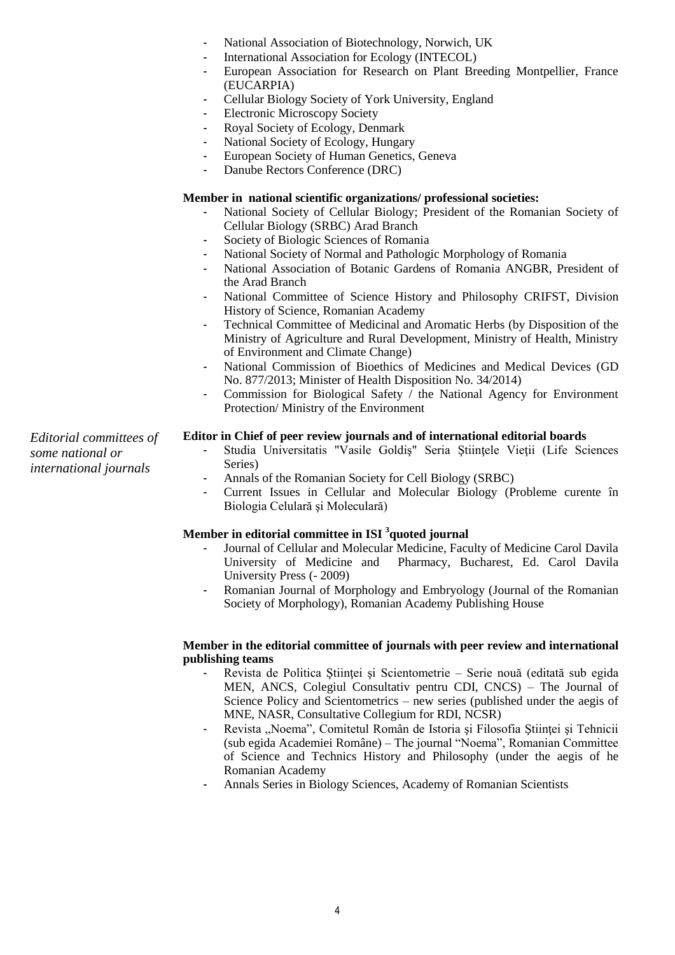- National Association of Biotechnology, Norwich, UK
- International Association for Ecology (INTECOL)
- European Association for Research on Plant Breeding Montpellier, France (EUCARPIA)
- Cellular Biology Society of York University, England
- Electronic Microscopy Society
- Royal Society of Ecology, Denmark
- National Society of Ecology, Hungary
- European Society of Human Genetics, Geneva
- Danube Rectors Conference (DRC)

## **Member in national scientific organizations/ professional societies:**

- National Society of Cellular Biology; President of the Romanian Society of Cellular Biology (SRBC) Arad Branch
- Society of Biologic Sciences of Romania
- National Society of Normal and Pathologic Morphology of Romania
- National Association of Botanic Gardens of Romania ANGBR, President of the Arad Branch
- National Committee of Science History and Philosophy CRIFST, Division History of Science, Romanian Academy
- Technical Committee of Medicinal and Aromatic Herbs (by Disposition of the Ministry of Agriculture and Rural Development, Ministry of Health, Ministry of Environment and Climate Change)
- National Commission of Bioethics of Medicines and Medical Devices (GD No. 877/2013; Minister of Health Disposition No. 34/2014)
- Commission for Biological Safety / the National Agency for Environment Protection/ Ministry of the Environment

**Editor in Chief of peer review journals and of international editorial boards**

- Studia Universitatis "Vasile Goldiş" Seria Ştiințele Vieții (Life Sciences Series)
- Annals of the Romanian Society for Cell Biology (SRBC)
- Current Issues in Cellular and Molecular Biology (Probleme curente în Biologia Celulară şi Moleculară)

## **Member in editorial committee in ISI <sup>3</sup> quoted journal**

- Journal of Cellular and Molecular Medicine, Faculty of Medicine Carol Davila University of Medicine and Pharmacy, Bucharest, Ed. Carol Davila University Press (- 2009)
- Romanian Journal of Morphology and Embryology (Journal of the Romanian Society of Morphology), Romanian Academy Publishing House

## **Member in the editorial committee of journals with peer review and international publishing teams**

- Revista de Politica Științei și Scientometrie Serie nouă (editată sub egida MEN, ANCS, Colegiul Consultativ pentru CDI, CNCS) – The Journal of Science Policy and Scientometrics – new series (published under the aegis of MNE, NASR, Consultative Collegium for RDI, NCSR)
- Revista "Noema", Comitetul Român de Istoria și Filosofia Stiinței și Tehnicii (sub egida Academiei Române) – The journal "Noema", Romanian Committee of Science and Technics History and Philosophy (under the aegis of he Romanian Academy
- Annals Series in Biology Sciences, Academy of Romanian Scientists

*Editorial committees of some national or international journals*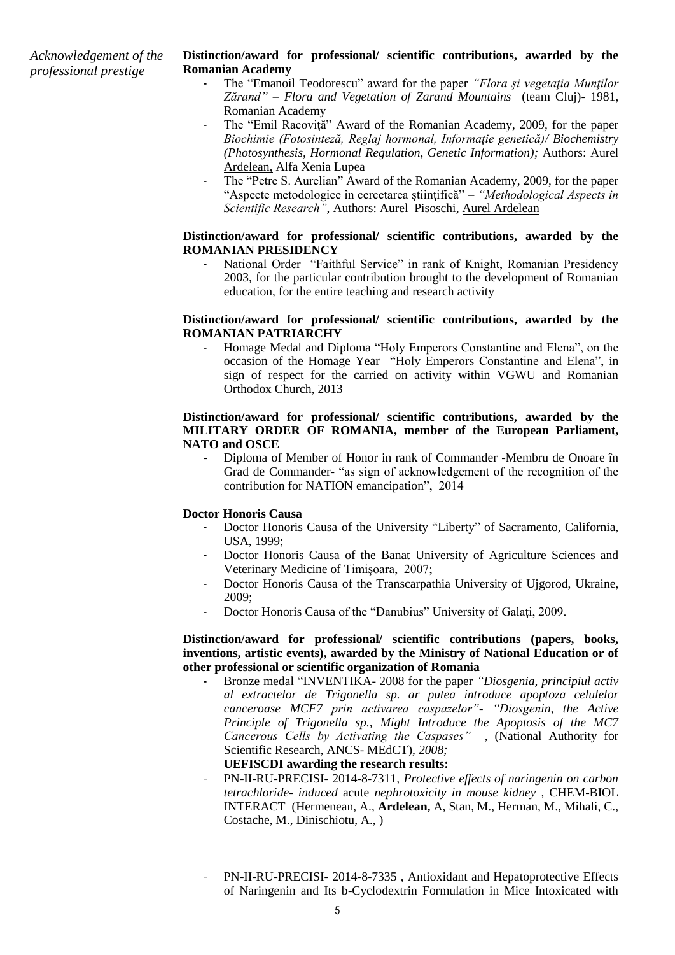*Acknowledgement of the professional prestige*

## **Distinction/award for professional/ scientific contributions, awarded by the Romanian Academy**

- The "Emanoil Teodorescu" award for the paper *"Flora şi vegetaţia Munţilor Zărand" – Flora and Vegetation of Zarand Mountains* (team Cluj)- 1981, Romanian Academy
- The "Emil Racoviță" Award of the Romanian Academy, 2009, for the paper *Biochimie (Fotosinteză, Reglaj hormonal, Informaţie genetică)/ Biochemistry (Photosynthesis, Hormonal Regulation, Genetic Information);* Authors: Aurel Ardelean, Alfa Xenia Lupea
- The "Petre S. Aurelian" Award of the Romanian Academy, 2009, for the paper "Aspecte metodologice în cercetarea ştiinţifică" *– "Methodological Aspects in Scientific Research"*, Authors: Aurel Pisoschi, Aurel Ardelean

## **Distinction/award for professional/ scientific contributions, awarded by the ROMANIAN PRESIDENCY**

National Order "Faithful Service" in rank of Knight, Romanian Presidency 2003, for the particular contribution brought to the development of Romanian education, for the entire teaching and research activity

## **Distinction/award for professional/ scientific contributions, awarded by the ROMANIAN PATRIARCHY**

Homage Medal and Diploma "Holy Emperors Constantine and Elena", on the occasion of the Homage Year "Holy Emperors Constantine and Elena", in sign of respect for the carried on activity within VGWU and Romanian Orthodox Church, 2013

## **Distinction/award for professional/ scientific contributions, awarded by the MILITARY ORDER OF ROMANIA, member of the European Parliament, NATO and OSCE**

*-* Diploma of Member of Honor in rank of Commander -Membru de Onoare în Grad de Commander- "as sign of acknowledgement of the recognition of the contribution for NATION emancipation", 2014

# **Doctor Honoris Causa**

- Doctor Honoris Causa of the University "Liberty" of Sacramento, California, USA, 1999;
- Doctor Honoris Causa of the Banat University of Agriculture Sciences and Veterinary Medicine of Timişoara, 2007;
- Doctor Honoris Causa of the Transcarpathia University of Ujgorod, Ukraine, 2009;
- Doctor Honoris Causa of the "Danubius" University of Galați, 2009.

## **Distinction/award for professional/ scientific contributions (papers, books, inventions, artistic events), awarded by the Ministry of National Education or of other professional or scientific organization of Romania**

- Bronze medal "INVENTIKA- 2008 for the paper *"Diosgenia, principiul activ al extractelor de Trigonella sp. ar putea introduce apoptoza celulelor canceroase MCF7 prin activarea caspazelor"- "Diosgenin, the Active Principle of Trigonella sp., Might Introduce the Apoptosis of the MC7 Cancerous Cells by Activating the Caspases" ,* (National Authority for Scientific Research, ANCS- MEdCT), *2008;*

## **UEFISCDI awarding the research results:**

- PN-II-RU-PRECISI- 2014-8-7311*, Protective effects of naringenin on carbon tetrachloride- induced* acute *nephrotoxicity in mouse kidney ,* CHEM-BIOL INTERACT (Hermenean, A., **Ardelean,** A, Stan, M., Herman, M., Mihali, C., Costache, M., Dinischiotu, A., )
- PN-II-RU-PRECISI- 2014-8-7335, Antioxidant and Hepatoprotective Effects of Naringenin and Its b-Cyclodextrin Formulation in Mice Intoxicated with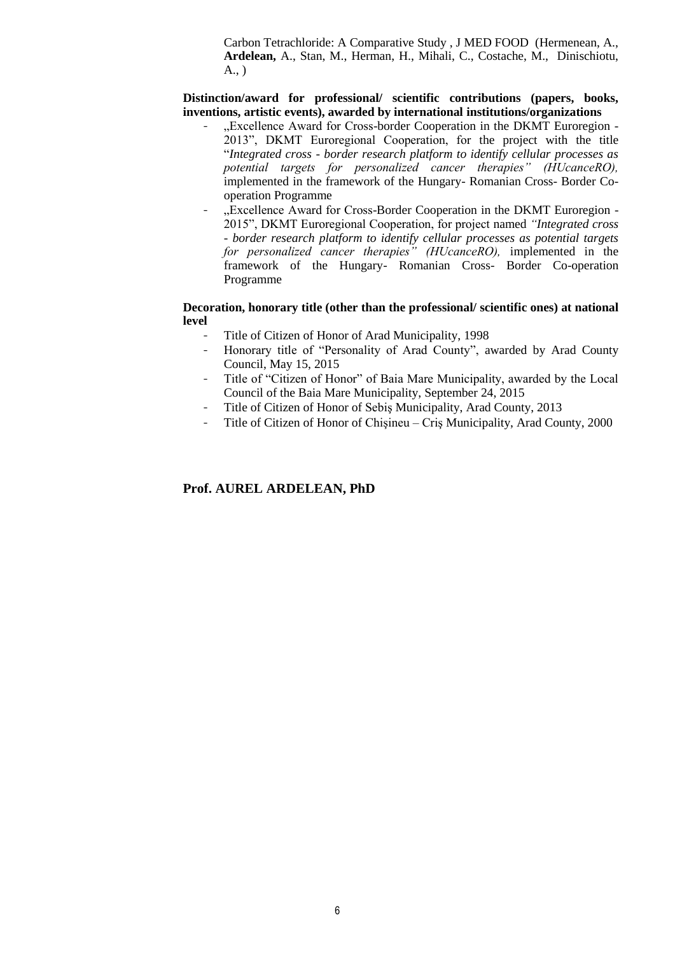Carbon Tetrachloride: A Comparative Study , J MED FOOD (Hermenean, A., **Ardelean,** A., Stan, M., Herman, H., Mihali, C., Costache, M., Dinischiotu, A., )

**Distinction/award for professional/ scientific contributions (papers, books, inventions, artistic events), awarded by international institutions/organizations**

- ..Excellence Award for Cross-border Cooperation in the DKMT Euroregion -2013", DKMT Euroregional Cooperation, for the project with the title "*Integrated cross - border research platform to identify cellular processes as potential targets for personalized cancer therapies" (HUcanceRO),* implemented in the framework of the Hungary- Romanian Cross- Border Cooperation Programme
- "Excellence Award for Cross-Border Cooperation in the DKMT Euroregion -2015", DKMT Euroregional Cooperation, for project named *"Integrated cross - border research platform to identify cellular processes as potential targets for personalized cancer therapies" (HUcanceRO),* implemented in the framework of the Hungary- Romanian Cross- Border Co-operation Programme

## **Decoration, honorary title (other than the professional/ scientific ones) at national level**

- Title of Citizen of Honor of Arad Municipality, 1998
- Honorary title of "Personality of Arad County", awarded by Arad County Council, May 15, 2015
- Title of "Citizen of Honor" of Baia Mare Municipality, awarded by the Local Council of the Baia Mare Municipality, September 24, 2015
- Title of Citizen of Honor of Sebis Municipality, Arad County, 2013
- Title of Citizen of Honor of Chişineu Criş Municipality, Arad County, 2000

# **Prof. AUREL ARDELEAN, PhD**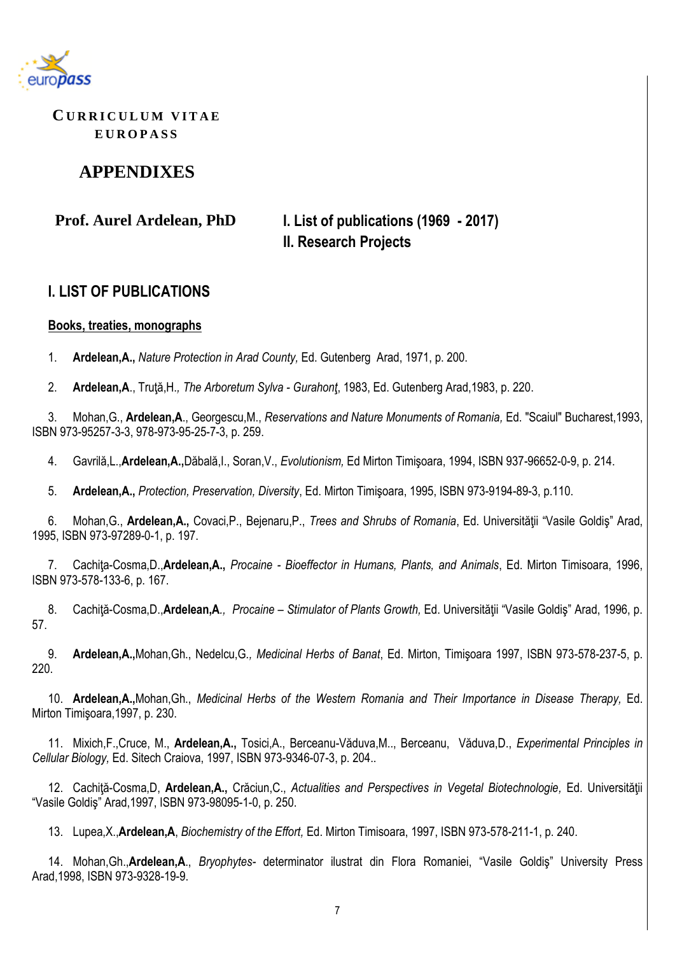

**CU R R I C U L U M V I T A E E U R O P A S S**

# **APPENDIXES**

**Prof. Aurel Ardelean, PhD I. List of publications (1969 - 2017) II. Research Projects**

# **I. LIST OF PUBLICATIONS**

# **Books, treaties, monographs**

1. **Ardelean,A.,** *Nature Protection in Arad County,* Ed. Gutenberg Arad, 1971, p. 200.

2. **Ardelean,A**., Truţă,H.*, The Arboretum Sylva - Gurahonţ*, 1983, Ed. Gutenberg Arad,1983, p. 220.

3. Mohan,G., **Ardelean,A**., Georgescu,M., *Reservations and Nature Monuments of Romania,* Ed. "Scaiul" Bucharest,1993, ISBN 973-95257-3-3, 978-973-95-25-7-3, p. 259.

4. Gavrilă,L.,**Ardelean,A.,**Dăbală,I., Soran,V., *Evolutionism,* Ed Mirton Timişoara, 1994, ISBN 937-96652-0-9, p. 214.

5. **Ardelean,A.,** *Protection, Preservation, Diversity*, Ed. Mirton Timişoara, 1995, ISBN 973-9194-89-3, p.110.

6. Mohan,G., **Ardelean,A.,** Covaci,P., Bejenaru,P., *Trees and Shrubs of Romania*, Ed. Universităţii "Vasile Goldiş" Arad, 1995, ISBN 973-97289-0-1, p. 197.

7. Cachiţa-Cosma,D.,**Ardelean,A.,** *Procaine - Bioeffector in Humans, Plants, and Animals*, Ed. Mirton Timisoara, 1996, ISBN 973-578-133-6, p. 167.

8. Cachiţă-Cosma,D.,**Ardelean,A***., Procaine – Stimulator of Plants Growth,* Ed. Universităţii "Vasile Goldiş" Arad, 1996, p. 57.

9. **Ardelean,A.,**Mohan,Gh., Nedelcu,G*., Medicinal Herbs of Banat*, Ed. Mirton, Timişoara 1997, ISBN 973-578-237-5, p. 220.

10. **Ardelean,A.,**Mohan,Gh., *Medicinal Herbs of the Western Romania and Their Importance in Disease Therapy,* Ed. Mirton Timişoara,1997, p. 230.

11. Mixich,F.,Cruce, M., **Ardelean,A.,** Tosici,A., Berceanu-Văduva,M.., Berceanu, Văduva,D., *Experimental Principles in Cellular Biology,* Ed. Sitech Craiova, 1997, ISBN 973-9346-07-3, p. 204..

12. Cachiţă-Cosma,D, **Ardelean,A.,** Crăciun,C., *Actualities and Perspectives in Vegetal Biotechnologie,* Ed. Universităţii "Vasile Goldiş" Arad,1997, ISBN 973-98095-1-0, p. 250.

13. Lupea,X.,**Ardelean,A**, *Biochemistry of the Effort,* Ed. Mirton Timisoara, 1997, ISBN 973-578-211-1, p. 240.

14. Mohan,Gh.,**Ardelean,A**., *Bryophytes-* determinator ilustrat din Flora Romaniei, "Vasile Goldiş" University Press Arad,1998, ISBN 973-9328-19-9.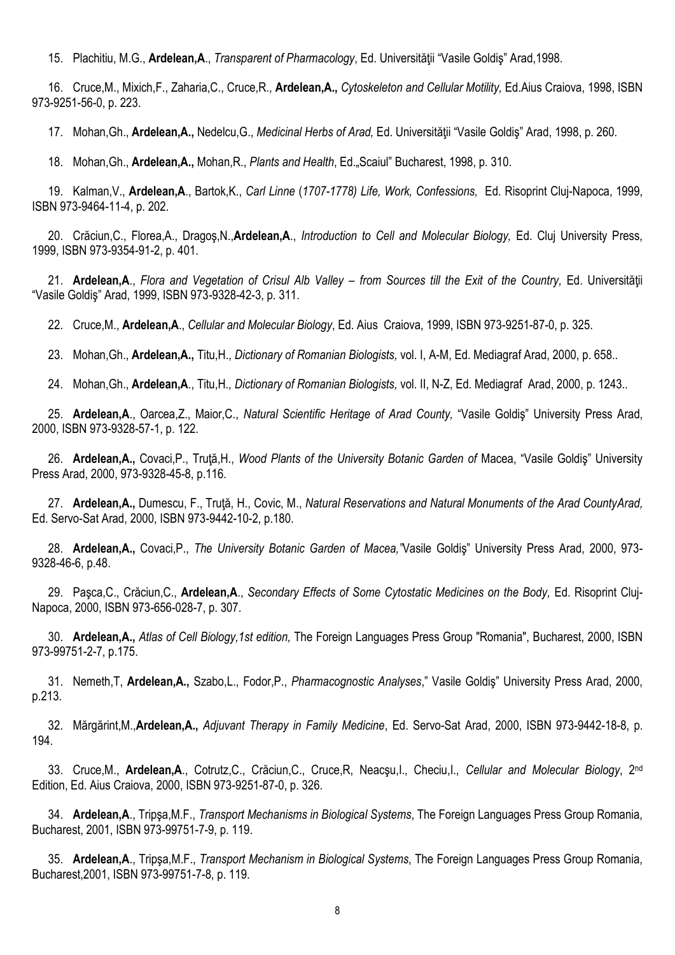15. Plachitiu, M.G., **Ardelean,A**., *Transparent of Pharmacology*, Ed. Universităţii "Vasile Goldiş" Arad,1998.

16. Cruce,M., Mixich,F., Zaharia,C., Cruce,R., **Ardelean,A.,** *Cytoskeleton and Cellular Motility,* Ed.Aius Craiova, 1998, ISBN 973-9251-56-0, p. 223.

17. Mohan,Gh., **Ardelean,A.,** Nedelcu,G., *Medicinal Herbs of Arad,* Ed. Universităţii "Vasile Goldiş" Arad, 1998, p. 260.

18. Mohan,Gh., **Ardelean,A.,** Mohan,R., *Plants and Health*, Ed."Scaiul" Bucharest, 1998, p. 310.

19. Kalman,V., **Ardelean,A**., Bartok,K., *Carl Linne* (*1707-1778) Life, Work, Confessions,* Ed. Risoprint Cluj-Napoca, 1999, ISBN 973-9464-11-4, p. 202.

20. Crăciun,C., Florea,A., Dragoş,N.,**Ardelean,A**., *Introduction to Cell and Molecular Biology,* Ed. Cluj University Press, 1999, ISBN 973-9354-91-2, p. 401.

21. **Ardelean,A**., *Flora and Vegetation of Crisul Alb Valley – from Sources till the Exit of the Country,* Ed. Universităţii "Vasile Goldiş" Arad, 1999, ISBN 973-9328-42-3, p. 311.

22. Cruce,M., **Ardelean,A**., *Cellular and Molecular Biology*, Ed. Aius Craiova, 1999, ISBN 973-9251-87-0, p. 325.

23. Mohan,Gh., **Ardelean,A.,** Titu,H., *Dictionary of Romanian Biologists,* vol. I, A-M, Ed. Mediagraf Arad, 2000, p. 658..

24. Mohan,Gh., **Ardelean,A**., Titu,H*., Dictionary of Romanian Biologists,* vol. II, N-Z, Ed. Mediagraf Arad, 2000, p. 1243..

25. **Ardelean,A**., Oarcea,Z., Maior,C., *Natural Scientific Heritage of Arad County,* "Vasile Goldiş" University Press Arad, 2000, ISBN 973-9328-57-1, p. 122.

26. **Ardelean,A.,** Covaci,P., Truţă,H., *Wood Plants of the University Botanic Garden of* Macea, "Vasile Goldiş" University Press Arad, 2000, 973-9328-45-8, p.116.

27. **Ardelean,A.,** Dumescu, F., Truţă, H., Covic, M., *Natural Reservations and Natural Monuments of the Arad CountyArad,* Ed. Servo-Sat Arad, 2000, ISBN 973-9442-10-2, p.180.

28. **Ardelean,A.,** Covaci,P., *The University Botanic Garden of Macea,"*Vasile Goldiş" University Press Arad, 2000, 973- 9328-46-6, p.48.

29. Paşca,C., Crăciun,C., **Ardelean,A**., *Secondary Effects of Some Cytostatic Medicines on the Body,* Ed. Risoprint Cluj-Napoca, 2000, ISBN 973-656-028-7, p. 307.

30. **Ardelean,A.,** *Atlas of Cell Biology,1st edition,* The Foreign Languages Press Group "Romania", Bucharest, 2000, ISBN 973-99751-2-7, p.175.

31. Nemeth,T, **Ardelean,A.,** Szabo,L., Fodor,P., *Pharmacognostic Analyses*," Vasile Goldiş" University Press Arad, 2000, p.213.

32. Mărgărint,M.,**Ardelean,A.,** *Adjuvant Therapy in Family Medicine*, Ed. Servo-Sat Arad, 2000, ISBN 973-9442-18-8, p. 194.

33. Cruce,M., Ardelean,A., Cotrutz,C., Crăciun,C., Cruce,R, Neacşu,I., Checiu,I., Cellular and Molecular Biology, 2<sup>nd</sup> Edition, Ed. Aius Craiova, 2000, ISBN 973-9251-87-0, p. 326.

34. **Ardelean,A**., Tripşa,M.F., *Transport Mechanisms in Biological Systems*, The Foreign Languages Press Group Romania, Bucharest, 2001, ISBN 973-99751-7-9, p. 119.

35. **Ardelean,A**., Tripşa,M.F., *Transport Mechanism in Biological Systems*, The Foreign Languages Press Group Romania, Bucharest,2001, ISBN 973-99751-7-8, p. 119.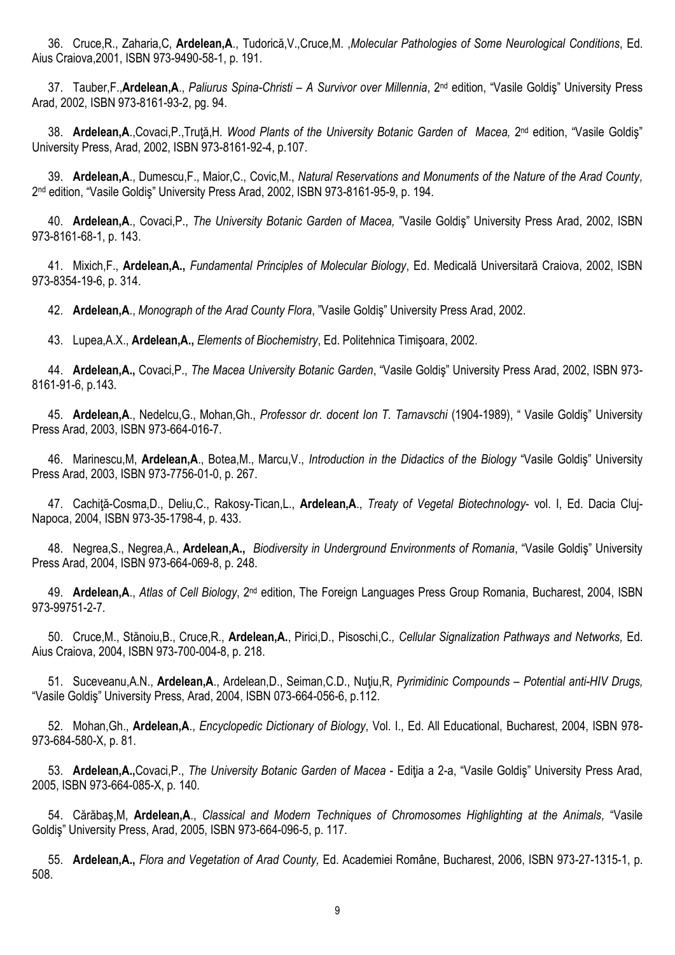36. Cruce,R., Zaharia,C, **Ardelean,A**., Tudorică,V.,Cruce,M. ,*Molecular Pathologies of Some Neurological Conditions*, Ed. Aius Craiova,2001, ISBN 973-9490-58-1, p. 191.

37. Tauber,F.,**Ardelean,A**., *Paliurus Spina-Christi – A Survivor over Millennia*, 2 nd edition, "Vasile Goldiş" University Press Arad, 2002, ISBN 973-8161-93-2, pg. 94.

38. **Ardelean,A**.,Covaci,P.,Truţă,H*. Wood Plants of the University Botanic Garden of Macea,* 2 nd edition, "Vasile Goldiş" University Press, Arad, 2002, ISBN 973-8161-92-4, p.107.

39. **Ardelean,A**., Dumescu,F., Maior,C., Covic,M., *Natural Reservations and Monuments of the Nature of the Arad County,* 2 nd edition, "Vasile Goldiş" University Press Arad, 2002, ISBN 973-8161-95-9, p. 194.

40. **Ardelean,A**., Covaci,P., *The University Botanic Garden of Macea,* "Vasile Goldiş" University Press Arad, 2002, ISBN 973-8161-68-1, p. 143.

41. Mixich,F., **Ardelean,A.,** *Fundamental Principles of Molecular Biology*, Ed. Medicală Universitară Craiova, 2002, ISBN 973-8354-19-6, p. 314.

42. **Ardelean,A**., *Monograph of the Arad County Flora*, "Vasile Goldiş" University Press Arad, 2002.

43. Lupea,A.X., **Ardelean,A.,** *Elements of Biochemistry*, Ed. Politehnica Timişoara, 2002.

44. **Ardelean,A.,** Covaci,P., *The Macea University Botanic Garden*, "Vasile Goldiş" University Press Arad, 2002, ISBN 973- 8161-91-6, p.143.

45. **Ardelean,A**., Nedelcu,G., Mohan,Gh., *Professor dr. docent Ion T. Tarnavschi* (1904-1989), " Vasile Goldiş" University Press Arad, 2003, ISBN 973-664-016-7.

46. Marinescu,M, **Ardelean,A**., Botea,M., Marcu,V., *Introduction in the Didactics of the Biology* "Vasile Goldiş" University Press Arad, 2003, ISBN 973-7756-01-0, p. 267.

47. Cachiţă-Cosma,D., Deliu,C., Rakosy-Tican,L., **Ardelean,A**., *Treaty of Vegetal Biotechnology*- vol. I, Ed. Dacia Cluj-Napoca, 2004, ISBN 973-35-1798-4, p. 433.

48. Negrea,S., Negrea,A., **Ardelean,A.,** *Biodiversity in Underground Environments of Romania*, "Vasile Goldiş" University Press Arad, 2004, ISBN 973-664-069-8, p. 248.

49. **Ardelean,A**., *Atlas of Cell Biology*, 2nd edition, The Foreign Languages Press Group Romania, Bucharest, 2004, ISBN 973-99751-2-7.

50. Cruce,M., Stănoiu,B., Cruce,R., **Ardelean,A.**, Pirici,D., Pisoschi,C*., Cellular Signalization Pathways and Networks,* Ed. Aius Craiova, 2004, ISBN 973-700-004-8, p. 218.

51. Suceveanu,A.N., **Ardelean,A**., Ardelean,D., Seiman,C.D., Nuţiu,R, *Pyrimidinic Compounds* – *Potential anti-HIV Drugs,* "Vasile Goldiş" University Press, Arad, 2004, ISBN 073-664-056-6, p.112.

52. Mohan,Gh., **Ardelean,A**., *Encyclopedic Dictionary of Biology*, Vol. I., Ed. All Educational, Bucharest, 2004, ISBN 978- 973-684-580-X, p. 81.

53. **Ardelean,A.,**Covaci,P., *The University Botanic Garden of Macea* - Ediţia a 2-a, "Vasile Goldiş" University Press Arad, 2005, ISBN 973-664-085-X, p. 140.

54. Cărăbaş,M, **Ardelean,A**., *Classical and Modern Techniques of Chromosomes Highlighting at the Animals,* "Vasile Goldiş" University Press, Arad, 2005, ISBN 973-664-096-5, p. 117.

55. **Ardelean,A.,** *Flora and Vegetation of Arad County,* Ed. Academiei Române, Bucharest, 2006, ISBN 973-27-1315-1, p. 508.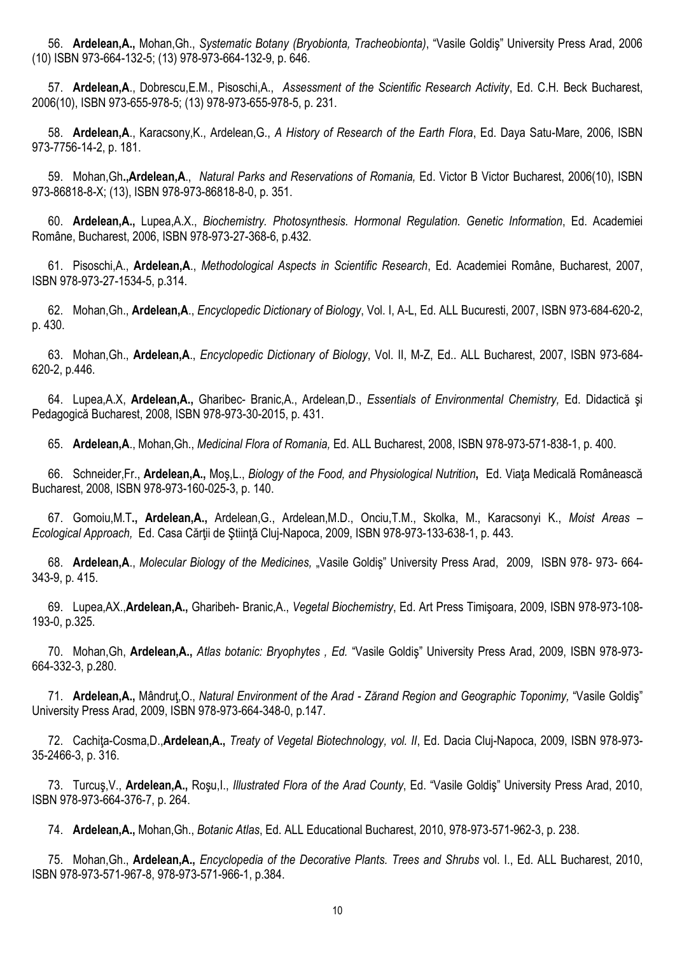56. **Ardelean,A.,** Mohan,Gh., *Systematic Botany (Bryobionta, Tracheobionta)*, "Vasile Goldiş" University Press Arad, 2006 (10) ISBN 973-664-132-5; (13) 978-973-664-132-9, p. 646.

57. **Ardelean,A**., Dobrescu,E.M., Pisoschi,A., *Assessment of the Scientific Research Activity*, Ed. C.H. Beck Bucharest, 2006(10), ISBN 973-655-978-5; (13) 978-973-655-978-5, p. 231.

58. **Ardelean,A**., Karacsony,K., Ardelean,G., *A History of Research of the Earth Flora*, Ed. Daya Satu-Mare, 2006, ISBN 973-7756-14-2, p. 181.

59. Mohan,Gh**.,Ardelean,A**., *Natural Parks and Reservations of Romania,* Ed. Victor B Victor Bucharest, 2006(10), ISBN 973-86818-8-X; (13), ISBN 978-973-86818-8-0, p. 351.

60. **Ardelean,A.,** Lupea,A.X., *Biochemistry. Photosynthesis. Hormonal Regulation. Genetic Information*, Ed. Academiei Române, Bucharest, 2006, ISBN 978-973-27-368-6, p.432.

61. Pisoschi,A., **Ardelean,A**., *Methodological Aspects in Scientific Research*, Ed. Academiei Române, Bucharest, 2007, ISBN 978-973-27-1534-5, p.314.

62. Mohan,Gh., **Ardelean,A**., *Encyclopedic Dictionary of Biology*, Vol. I, A-L, Ed. ALL Bucuresti, 2007, ISBN 973-684-620-2, p. 430.

63. Mohan,Gh., **Ardelean,A**., *Encyclopedic Dictionary of Biology*, Vol. II, M-Z, Ed.. ALL Bucharest, 2007, ISBN 973-684- 620-2, p.446.

64. Lupea,A.X, **Ardelean,A.,** Gharibec- Branic,A., Ardelean,D., *Essentials of Environmental Chemistry,* Ed. Didactică şi Pedagogică Bucharest, 2008, ISBN 978-973-30-2015, p. 431.

65. **Ardelean,A**., Mohan,Gh., *Medicinal Flora of Romania,* Ed. ALL Bucharest, 2008, ISBN 978-973-571-838-1, p. 400.

66. Schneider,Fr., **Ardelean,A.,** Moş,L., *Biology of the Food, and Physiological Nutrition***,** Ed. Viaţa Medicală Românească Bucharest, 2008, ISBN 978-973-160-025-3, p. 140.

67. Gomoiu,M.T**., Ardelean,A.,** Ardelean,G., Ardelean,M.D., Onciu,T.M., Skolka, M., Karacsonyi K., *Moist Areas – Ecological Approach,* Ed. Casa Cărţii de Ştiinţă Cluj-Napoca, 2009, ISBN 978-973-133-638-1, p. 443.

68. **Ardelean,A**., *Molecular Biology of the Medicines,* "Vasile Goldiş" University Press Arad, 2009, ISBN 978- 973- 664- 343-9, p. 415.

69. Lupea,AX.,**Ardelean,A.,** Gharibeh- Branic,A., *Vegetal Biochemistry*, Ed. Art Press Timişoara, 2009, ISBN 978-973-108- 193-0, p.325.

70. Mohan,Gh, **Ardelean,A.,** *Atlas botanic: Bryophytes , Ed.* "Vasile Goldiş" University Press Arad, 2009, ISBN 978-973- 664-332-3, p.280.

71. **Ardelean,A.,** Mândruţ,O., *Natural Environment of the Arad - Zărand Region and Geographic Toponimy,* "Vasile Goldiş" University Press Arad, 2009, ISBN 978-973-664-348-0, p.147.

72. Cachiţa-Cosma,D.,**Ardelean,A.,** *Treaty of Vegetal Biotechnology, vol. II*, Ed. Dacia Cluj-Napoca, 2009, ISBN 978-973- 35-2466-3, p. 316.

73. Turcuş,V., **Ardelean,A.,** Roşu,I., *Illustrated Flora of the Arad County*, Ed. "Vasile Goldiş" University Press Arad, 2010, ISBN 978-973-664-376-7, p. 264.

74. **Ardelean,A.,** Mohan,Gh., *Botanic Atlas*, Ed. ALL Educational Bucharest, 2010, 978-973-571-962-3, p. 238.

75. Mohan,Gh., **Ardelean,A.,** *Encyclopedia of the Decorative Plants. Trees and Shrubs* vol. I., Ed. ALL Bucharest, 2010, ISBN 978-973-571-967-8, 978-973-571-966-1, p.384.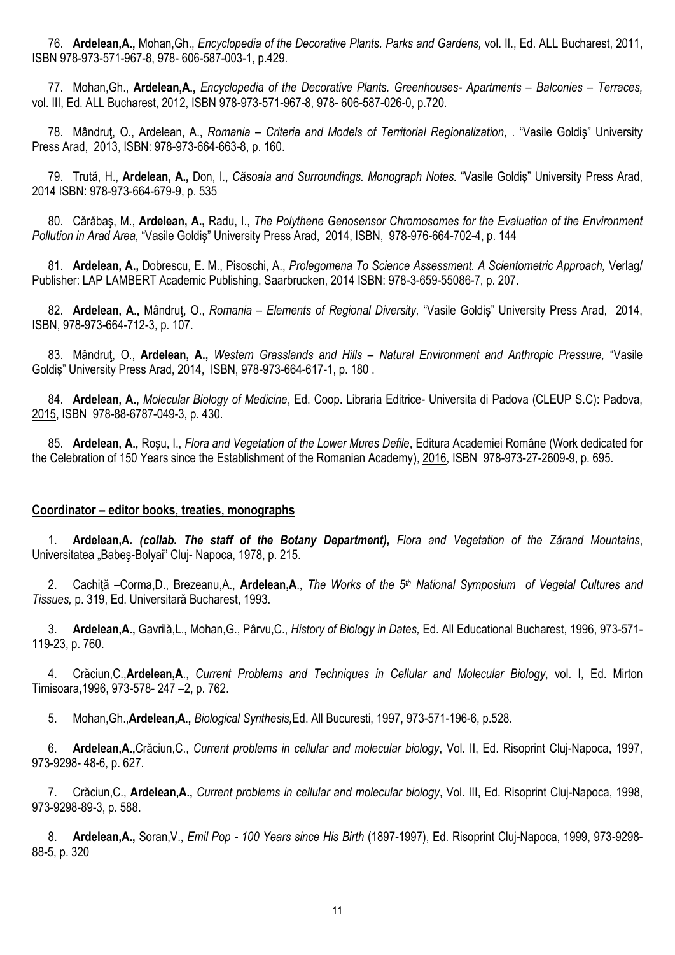76. **Ardelean,A.,** Mohan,Gh., *Encyclopedia of the Decorative Plants. Parks and Gardens,* vol. II., Ed. ALL Bucharest, 2011, ISBN 978-973-571-967-8, 978- 606-587-003-1, p.429.

77. Mohan,Gh., **Ardelean,A.,** *Encyclopedia of the Decorative Plants. Greenhouses- Apartments – Balconies – Terraces,*  vol. III, Ed. ALL Bucharest, 2012, ISBN 978-973-571-967-8, 978- 606-587-026-0, p.720.

78. Mândruţ, O., Ardelean, A., *Romania – Criteria and Models of Territorial Regionalization,* . "Vasile Goldiş" University Press Arad, 2013, ISBN: 978-973-664-663-8, p. 160.

79. Trută, H., **Ardelean, A.,** Don, I., *Căsoaia and Surroundings. Monograph Notes.* "Vasile Goldiş" University Press Arad, 2014 ISBN: 978-973-664-679-9, p. 535

80. Cărăbaş, M., **Ardelean, A.,** Radu, I., *The Polythene Genosensor Chromosomes for the Evaluation of the Environment Pollution in Arad Area,* "Vasile Goldiş" University Press Arad, 2014, ISBN, 978-976-664-702-4, p. 144

81. **Ardelean, A.,** Dobrescu, E. M., Pisoschi, A., *Prolegomena To Science Assessment. A Scientometric Approach,* Verlag/ Publisher: LAP LAMBERT Academic Publishing, Saarbrucken, 2014 ISBN: 978-3-659-55086-7, p. 207.

82. **Ardelean, A.,** Mândruţ, O., *Romania – Elements of Regional Diversity,* "Vasile Goldiş" University Press Arad, 2014, ISBN, 978-973-664-712-3, p. 107.

83. Mândruţ, O., **Ardelean, A.,** *Western Grasslands and Hills – Natural Environment and Anthropic Pressure,* "Vasile Goldiş" University Press Arad, 2014, ISBN, 978-973-664-617-1, p. 180 .

84. **Ardelean, A.,** *Molecular Biology of Medicine*, Ed. Coop. Libraria Editrice- Universita di Padova (CLEUP S.C): Padova, 2015, ISBN 978-88-6787-049-3, p. 430.

85. **Ardelean, A.,** Roşu, I., *Flora and Vegetation of the Lower Mures Defile*, Editura Academiei Române (Work dedicated for the Celebration of 150 Years since the Establishment of the Romanian Academy), 2016, ISBN 978-973-27-2609-9, p. 695.

## **Coordinator – editor books, treaties, monographs**

1. **Ardelean,A***. (collab. The staff of the Botany Department), Flora and Vegetation of the Zărand Mountains*, Universitatea "Babeş-Bolyai" Cluj- Napoca, 1978, p. 215.

2. Cachiţă –Corma,D., Brezeanu,A., **Ardelean,A**., *The Works of the 5th National Symposium of Vegetal Cultures and Tissues,* p. 319, Ed. Universitară Bucharest, 1993.

3. **Ardelean,A.,** Gavrilă,L., Mohan,G., Pârvu,C., *History of Biology in Dates,* Ed. All Educational Bucharest, 1996, 973-571- 119-23, p. 760.

4. Crăciun,C.,**Ardelean,A**., *Current Problems and Techniques in Cellular and Molecular Biology*, vol. I, Ed. Mirton Timisoara,1996, 973-578- 247 –2, p. 762.

5. Mohan,Gh.,**Ardelean,A.,** *Biological Synthesis,*Ed. All Bucuresti, 1997, 973-571-196-6, p.528.

6. **Ardelean,A.,**Crăciun,C., *Current problems in cellular and molecular biology*, Vol. II, Ed. Risoprint Cluj-Napoca, 1997, 973-9298- 48-6, p. 627.

7. Crăciun,C., **Ardelean,A.,** *Current problems in cellular and molecular biology*, Vol. III, Ed. Risoprint Cluj-Napoca, 1998, 973-9298-89-3, p. 588.

8. **Ardelean,A.,** Soran,V., *Emil Pop - 100 Years since His Birth* (1897-1997), Ed. Risoprint Cluj-Napoca, 1999, 973-9298- 88-5, p. 320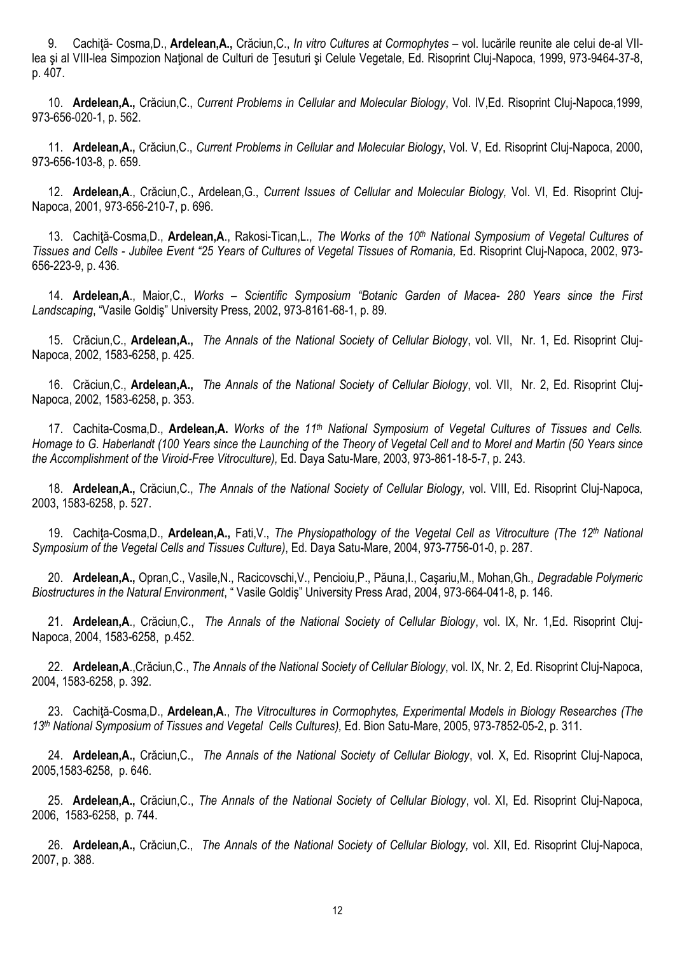9. Cachiţă- Cosma,D., **Ardelean,A.,** Crăciun,C., *In vitro Cultures at Cormophytes* – vol. lucările reunite ale celui de-al VIIlea și al VIII-lea Simpozion National de Culturi de Tesuturi și Celule Vegetale, Ed. Risoprint Clui-Napoca, 1999, 973-9464-37-8, p. 407.

10. **Ardelean,A.,** Crăciun,C., *Current Problems in Cellular and Molecular Biology*, Vol. IV,Ed. Risoprint Cluj-Napoca,1999, 973-656-020-1, p. 562.

11. **Ardelean,A.,** Crăciun,C., *Current Problems in Cellular and Molecular Biology*, Vol. V, Ed. Risoprint Cluj-Napoca, 2000, 973-656-103-8, p. 659.

12. **Ardelean,A**., Crăciun,C., Ardelean,G., *Current Issues of Cellular and Molecular Biology,* Vol. VI, Ed. Risoprint Cluj-Napoca, 2001, 973-656-210-7, p. 696.

13. Cachiţă-Cosma,D., **Ardelean,A**., Rakosi-Tican,L., *The Works of the 10th National Symposium of Vegetal Cultures of Tissues and Cells - Jubilee Event "25 Years of Cultures of Vegetal Tissues of Romania,* Ed. Risoprint Cluj-Napoca, 2002, 973- 656-223-9, p. 436.

14. **Ardelean,A**., Maior,C., *Works – Scientific Symposium "Botanic Garden of Macea- 280 Years since the First Landscaping*, "Vasile Goldiş" University Press, 2002, 973-8161-68-1, p. 89.

15. Crăciun,C., **Ardelean,A.,** *The Annals of the National Society of Cellular Biology*, vol. VII, Nr. 1, Ed. Risoprint Cluj-Napoca, 2002, 1583-6258, p. 425.

16. Crăciun,C., **Ardelean,A.,** *The Annals of the National Society of Cellular Biology*, vol. VII, Nr. 2, Ed. Risoprint Cluj-Napoca, 2002, 1583-6258, p. 353.

17. Cachita-Cosma,D., **Ardelean,A.** *Works of the 11th National Symposium of Vegetal Cultures of Tissues and Cells. Homage to G. Haberlandt (100 Years since the Launching of the Theory of Vegetal Cell and to Morel and Martin (50 Years since the Accomplishment of the Viroid-Free Vitroculture),* Ed. Daya Satu-Mare, 2003, 973-861-18-5-7, p. 243.

18. **Ardelean,A.,** Crăciun,C., *The Annals of the National Society of Cellular Biology,* vol. VIII, Ed. Risoprint Cluj-Napoca, 2003, 1583-6258, p. 527.

19. Cachiţa-Cosma,D., **Ardelean,A.,** Fati,V., *The Physiopathology of the Vegetal Cell as Vitroculture (The 12th National Symposium of the Vegetal Cells and Tissues Culture)*, Ed. Daya Satu-Mare, 2004, 973-7756-01-0, p. 287.

20. **Ardelean,A.,** Opran,C., Vasile,N., Racicovschi,V., Pencioiu,P., Păuna,I., Caşariu,M., Mohan,Gh., *Degradable Polymeric Biostructures in the Natural Environment*, " Vasile Goldiş" University Press Arad, 2004, 973-664-041-8, p. 146.

21. **Ardelean,A**., Crăciun,C., *The Annals of the National Society of Cellular Biology*, vol. IX, Nr. 1,Ed. Risoprint Cluj-Napoca, 2004, 1583-6258, p.452.

22. **Ardelean,A**.,Crăciun,C., *The Annals of the National Society of Cellular Biology*, vol. IX, Nr. 2, Ed. Risoprint Cluj-Napoca, 2004, 1583-6258, p. 392.

23. Cachiţă-Cosma,D., **Ardelean,A**., *The Vitrocultures in Cormophytes, Experimental Models in Biology Researches (The 13th National Symposium of Tissues and Vegetal Cells Cultures),* Ed. Bion Satu-Mare, 2005, 973-7852-05-2, p. 311.

24. **Ardelean,A.,** Crăciun,C., *The Annals of the National Society of Cellular Biology*, vol. X, Ed. Risoprint Cluj-Napoca, 2005,1583-6258, p. 646.

25. **Ardelean,A.,** Crăciun,C., *The Annals of the National Society of Cellular Biology*, vol. XI, Ed. Risoprint Cluj-Napoca, 2006, 1583-6258, p. 744.

26. **Ardelean,A.,** Crăciun,C., *The Annals of the National Society of Cellular Biology,* vol. XII, Ed. Risoprint Cluj-Napoca, 2007, p. 388.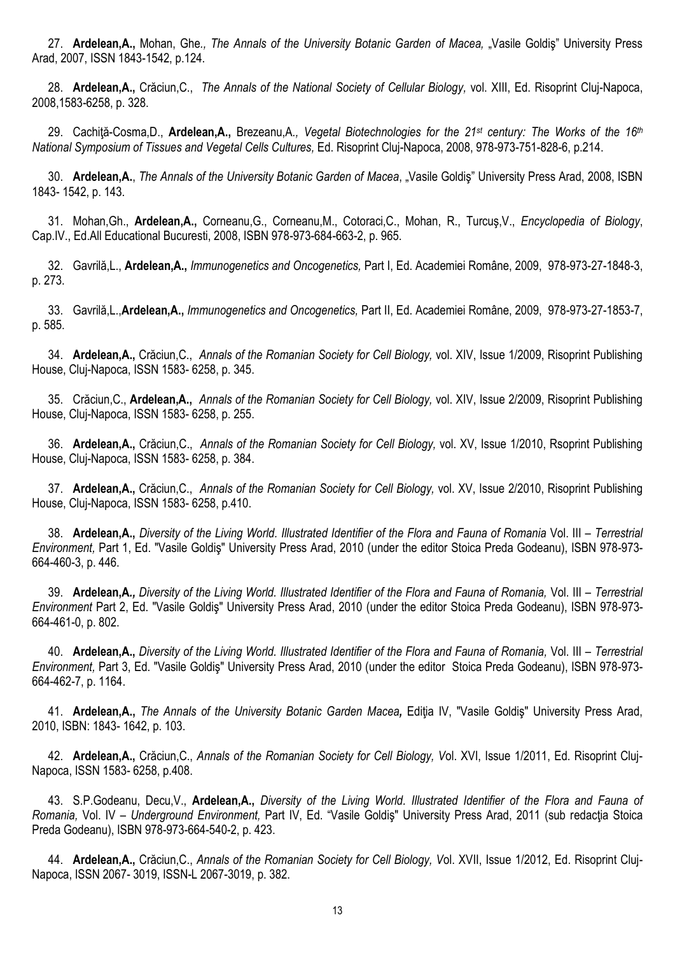27. Ardelean, A., Mohan, Ghe., The Annals of the University Botanic Garden of Macea, "Vasile Goldiş" University Press Arad, 2007, ISSN 1843-1542, p.124.

28. **Ardelean,A.,** Crăciun,C., *The Annals of the National Society of Cellular Biology,* vol. XIII, Ed. Risoprint Cluj-Napoca, 2008,1583-6258, p. 328.

29. Cachiţă-Cosma,D., **Ardelean,A.,** Brezeanu,A*., Vegetal Biotechnologies for the 21st century: The Works of the 16th National Symposium of Tissues and Vegetal Cells Cultures,* Ed. Risoprint Cluj-Napoca, 2008, 978-973-751-828-6, p.214.

30. Ardelean, A., *The Annals of the University Botanic Garden of Macea*, "Vasile Goldis" University Press Arad, 2008, ISBN 1843- 1542, p. 143.

31. Mohan,Gh., **Ardelean,A.,** Corneanu,G., Corneanu,M., Cotoraci,C., Mohan, R., Turcuş,V., *Encyclopedia of Biology*, Cap.IV., Ed.All Educational Bucuresti, 2008, ISBN 978-973-684-663-2, p. 965.

32. Gavrilă,L., **Ardelean,A.,** *Immunogenetics and Oncogenetics,* Part I, Ed. Academiei Române, 2009, 978-973-27-1848-3, p. 273.

33. Gavrilă,L.,**Ardelean,A.,** *Immunogenetics and Oncogenetics,* Part II, Ed. Academiei Române, 2009, 978-973-27-1853-7, p. 585.

34. **Ardelean,A.,** Crăciun,C.,*Annals of the Romanian Society for Cell Biology,* vol. XIV, Issue 1/2009, Risoprint Publishing House, Cluj-Napoca, ISSN 1583- 6258, p. 345.

35. Crăciun,C., **Ardelean,A.,** *Annals of the Romanian Society for Cell Biology,* vol. XIV, Issue 2/2009, Risoprint Publishing House, Cluj-Napoca, ISSN 1583- 6258, p. 255.

36. **Ardelean,A.,** Crăciun,C.,*Annals of the Romanian Society for Cell Biology,* vol. XV, Issue 1/2010, Rsoprint Publishing House, Cluj-Napoca, ISSN 1583- 6258, p. 384.

37. **Ardelean,A.,** Crăciun,C.,*Annals of the Romanian Society for Cell Biology,* vol. XV, Issue 2/2010, Risoprint Publishing House, Cluj-Napoca, ISSN 1583- 6258, p.410.

38. **Ardelean,A.,** *Diversity of the Living World. Illustrated Identifier of the Flora and Fauna of Romania* Vol. III – *Terrestrial Environment,* Part 1, Ed. "Vasile Goldiş" University Press Arad, 2010 (under the editor Stoica Preda Godeanu), ISBN 978-973- 664-460-3, p. 446.

39. **Ardelean,A***., Diversity of the Living World. Illustrated Identifier of the Flora and Fauna of Romania,* Vol. III – *Terrestrial Environment* Part 2, Ed. "Vasile Goldiş" University Press Arad, 2010 (under the editor Stoica Preda Godeanu), ISBN 978-973- 664-461-0, p. 802.

40. **Ardelean,A.,** *Diversity of the Living World. Illustrated Identifier of the Flora and Fauna of Romania,* Vol. III – *Terrestrial Environment,* Part 3, Ed. "Vasile Goldiş" University Press Arad, 2010 (under the editor Stoica Preda Godeanu), ISBN 978-973- 664-462-7, p. 1164.

41. **Ardelean,A.,** *The Annals of the University Botanic Garden Macea,* Ediţia IV, "Vasile Goldiş" University Press Arad, 2010, ISBN: 1843- 1642, p. 103.

42. **Ardelean,A.,** Crăciun,C., *Annals of the Romanian Society for Cell Biology, V*ol. XVI, Issue 1/2011, Ed. Risoprint Cluj-Napoca, ISSN 1583- 6258, p.408.

43. S.P.Godeanu, Decu,V., **Ardelean,A.,** *Diversity of the Living World. Illustrated Identifier of the Flora and Fauna of Romania,* Vol. IV – *Underground Environment,* Part IV, Ed. "Vasile Goldiş" University Press Arad, 2011 (sub redacţia Stoica Preda Godeanu), ISBN 978-973-664-540-2, p. 423.

44. **Ardelean,A.,** Crăciun,C., *Annals of the Romanian Society for Cell Biology, V*ol. XVII, Issue 1/2012, Ed. Risoprint Cluj-Napoca, ISSN 2067- 3019, ISSN-L 2067-3019, p. 382.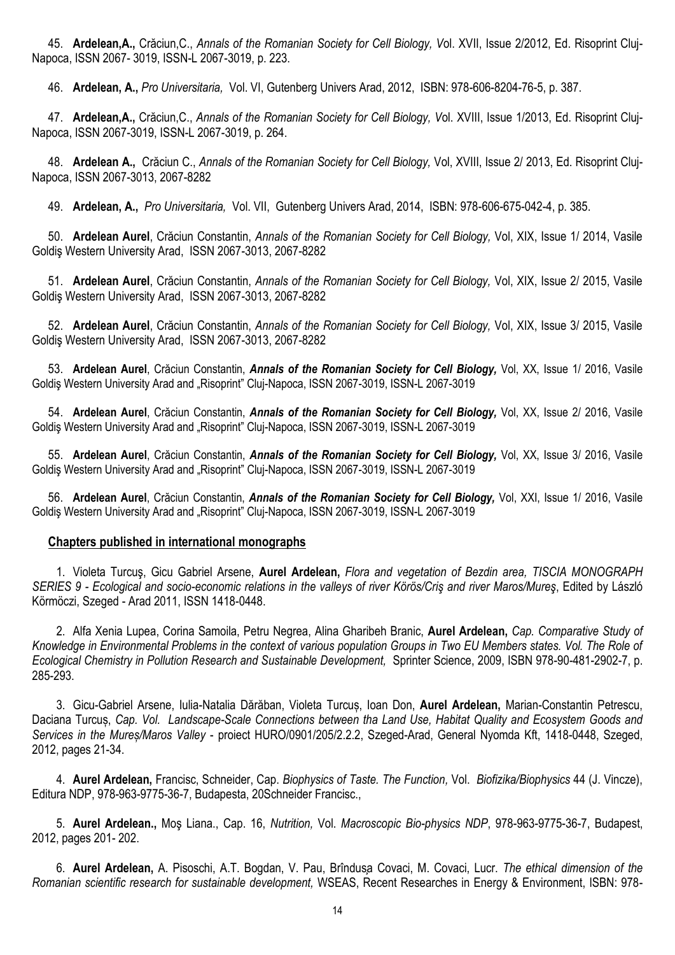45. **Ardelean,A.,** Crăciun,C., *Annals of the Romanian Society for Cell Biology, V*ol. XVII, Issue 2/2012, Ed. Risoprint Cluj-Napoca, ISSN 2067- 3019, ISSN-L 2067-3019, p. 223.

46. **Ardelean, A.,** *Pro Universitaria,* Vol. VI, Gutenberg Univers Arad, 2012, ISBN: 978-606-8204-76-5, p. 387.

47. **Ardelean,A.,** Crăciun,C., *Annals of the Romanian Society for Cell Biology, V*ol. XVIII, Issue 1/2013, Ed. Risoprint Cluj-Napoca, ISSN 2067-3019, ISSN-L 2067-3019, p. 264.

48. **Ardelean A.,** Crăciun C., *Annals of the Romanian Society for Cell Biology,* Vol, XVIII, Issue 2/ 2013, Ed. Risoprint Cluj-Napoca, ISSN 2067-3013, 2067-8282

49. **Ardelean, A.,** *Pro Universitaria,* Vol. VII, Gutenberg Univers Arad, 2014, ISBN: 978-606-675-042-4, p. 385.

50. **Ardelean Aurel**, Crăciun Constantin, *Annals of the Romanian Society for Cell Biology,* Vol, XIX, Issue 1/ 2014, Vasile Goldiş Western University Arad, ISSN 2067-3013, 2067-8282

51. **Ardelean Aurel**, Crăciun Constantin, *Annals of the Romanian Society for Cell Biology,* Vol, XIX, Issue 2/ 2015, Vasile Goldiş Western University Arad, ISSN 2067-3013, 2067-8282

52. **Ardelean Aurel**, Crăciun Constantin, *Annals of the Romanian Society for Cell Biology,* Vol, XIX, Issue 3/ 2015, Vasile Goldiş Western University Arad, ISSN 2067-3013, 2067-8282

53. **Ardelean Aurel**, Crăciun Constantin, *Annals of the Romanian Society for Cell Biology,* Vol, XX, Issue 1/ 2016, Vasile Goldiş Western University Arad and "Risoprint" Cluj-Napoca, ISSN 2067-3019, ISSN-L 2067-3019

54. **Ardelean Aurel**, Crăciun Constantin, *Annals of the Romanian Society for Cell Biology,* Vol, XX, Issue 2/ 2016, Vasile Goldiş Western University Arad and "Risoprint" Cluj-Napoca, ISSN 2067-3019, ISSN-L 2067-3019

55. **Ardelean Aurel**, Crăciun Constantin, *Annals of the Romanian Society for Cell Biology,* Vol, XX, Issue 3/ 2016, Vasile Goldiş Western University Arad and "Risoprint" Cluj-Napoca, ISSN 2067-3019, ISSN-L 2067-3019

56. **Ardelean Aurel**, Crăciun Constantin, *Annals of the Romanian Society for Cell Biology,* Vol, XXI, Issue 1/ 2016, Vasile Goldiş Western University Arad and "Risoprint" Cluj-Napoca, ISSN 2067-3019, ISSN-L 2067-3019

## **Chapters published in international monographs**

1. Violeta Turcuş, Gicu Gabriel Arsene, **Aurel Ardelean,** *Flora and vegetation of Bezdin area, TISCIA MONOGRAPH SERIES 9 - Ecological and socio-economic relations in the valleys of river Körös/Criş and river Maros/Mureş*, Edited by Lászlό Körmöczi, Szeged - Arad 2011, ISSN 1418-0448.

2. Alfa Xenia Lupea, Corina Samoila, Petru Negrea, Alina Gharibeh Branic, **Aurel Ardelean,** *Cap. Comparative Study of Knowledge in Environmental Problems in the context of various population Groups in Two EU Members states. Vol. The Role of Ecological Chemistry in Pollution Research and Sustainable Development,* Sprinter Science, 2009, ISBN 978-90-481-2902-7, p. 285-293.

3. Gicu-Gabriel Arsene, Iulia-Natalia Dărăban, Violeta Turcuș, Ioan Don, **Aurel Ardelean,** Marian-Constantin Petrescu, Daciana Turcuș, *Cap. Vol. Landscape-Scale Connections between tha Land Use, Habitat Quality and Ecosystem Goods and Services in the Mureș/Maros Valley* - proiect HURO/0901/205/2.2.2, Szeged-Arad, General Nyomda Kft, 1418-0448, Szeged, 2012, pages 21-34.

4. **Aurel Ardelean,** Francisc, Schneider, Cap. *Biophysics of Taste. The Function,* Vol. *Biofizika/Biophysics* 44 (J. Vincze), Editura NDP, 978-963-9775-36-7, Budapesta, 20Schneider Francisc.,

5. **Aurel Ardelean.,** Moş Liana., Cap. 16, *Nutrition,* Vol. *Macroscopic Bio-physics NDP*, 978-963-9775-36-7, Budapest, 2012, pages 201- 202.

6. **Aurel Ardelean,** A. Pisoschi, A.T. Bogdan, V. Pau, Brîndusa Covaci, M. Covaci, Lucr. *The ethical dimension of the Romanian scientific research for sustainable development,* WSEAS, Recent Researches in Energy & Environment, ISBN: 978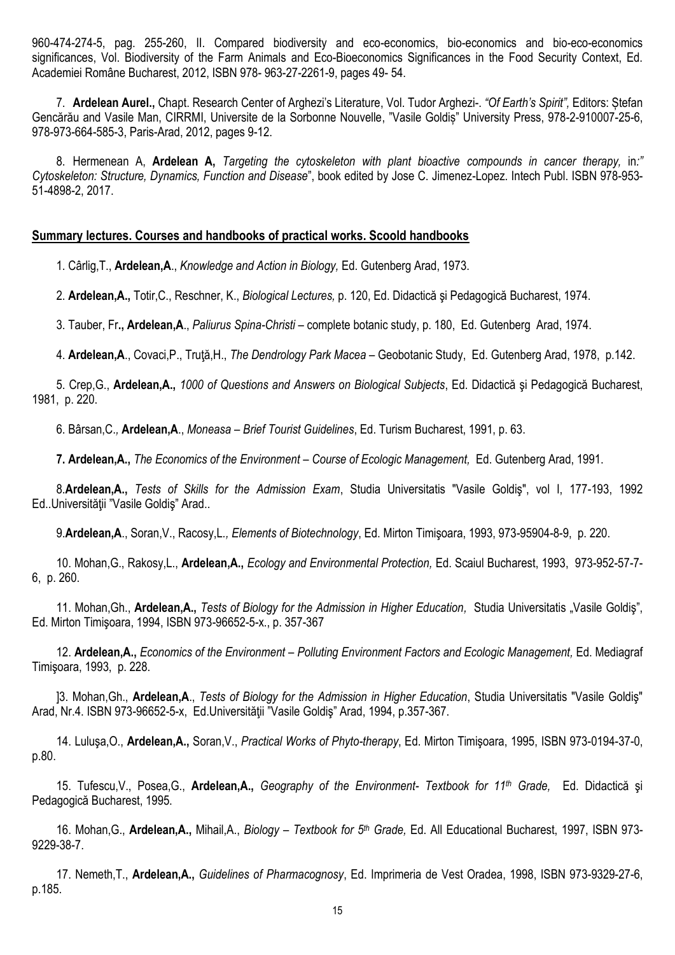960-474-274-5, pag. 255-260, II. Compared biodiversity and eco-economics, bio-economics and bio-eco-economics significances, Vol. Biodiversity of the Farm Animals and Eco-Bioeconomics Significances in the Food Security Context, Ed. Academiei Române Bucharest, 2012, ISBN 978- 963-27-2261-9, pages 49- 54.

7. **Ardelean Aurel.,** Chapt. Research Center of Arghezi's Literature, Vol. Tudor Arghezi-. *"Of Earth's Spirit",* Editors: Ștefan Gencărău and Vasile Man, CIRRMI, Universite de la Sorbonne Nouvelle, "Vasile Goldiș" University Press, 978-2-910007-25-6, 978-973-664-585-3, Paris-Arad, 2012, pages 9-12.

8. Hermenean A, **Ardelean A,** *Targeting the cytoskeleton with plant bioactive compounds in cancer therapy,* in*:" Cytoskeleton: Structure, Dynamics, Function and Disease*", book edited by Jose C. Jimenez-Lopez. Intech Publ. ISBN 978-953- 51-4898-2, 2017.

## **Summary lectures. Courses and handbooks of practical works. Scoold handbooks**

1. Cârlig,T., **Ardelean,A**., *Knowledge and Action in Biology,* Ed. Gutenberg Arad, 1973.

2. **Ardelean,A.,** Totir,C., Reschner, K., *Biological Lectures,* p. 120, Ed. Didactică şi Pedagogică Bucharest, 1974.

3. Tauber, Fr**., Ardelean,A**., *Paliurus Spina-Christi –* complete botanic study, p. 180, Ed. Gutenberg Arad, 1974.

4. **Ardelean,A**., Covaci,P., Truţă,H., *The Dendrology Park Macea* – Geobotanic Study, Ed. Gutenberg Arad, 1978, p.142.

5. Crep,G., **Ardelean,A.,** *1000 of Questions and Answers on Biological Subjects*, Ed. Didactică şi Pedagogică Bucharest, 1981, p. 220.

6. Bârsan,C.*,* **Ardelean,A**., *Moneasa – Brief Tourist Guidelines*, Ed. Turism Bucharest, 1991, p. 63.

**7. Ardelean,A.,** *The Economics of the Environment – Course of Ecologic Management,* Ed. Gutenberg Arad, 1991.

8.**Ardelean,A.,** *Tests of Skills for the Admission Exam*, Studia Universitatis "Vasile Goldiş", vol I, 177-193, 1992 Ed..Universităţii "Vasile Goldiş" Arad..

9.**Ardelean,A**., Soran,V., Racosy,L*., Elements of Biotechnology*, Ed. Mirton Timişoara, 1993, 973-95904-8-9, p. 220.

10. Mohan,G., Rakosy,L., **Ardelean,A.,** *Ecology and Environmental Protection,* Ed. Scaiul Bucharest, 1993, 973-952-57-7- 6, p. 260.

11. Mohan,Gh., **Ardelean,A.,** *Tests of Biology for the Admission in Higher Education,* Studia Universitatis "Vasile Goldiş", Ed. Mirton Timişoara, 1994, ISBN 973-96652-5-x., p. 357-367

12. **Ardelean,A.,** *Economics of the Environment – Polluting Environment Factors and Ecologic Management,* Ed. Mediagraf Timişoara, 1993, p. 228.

]3. Mohan,Gh., **Ardelean,A**., *Tests of Biology for the Admission in Higher Education*, Studia Universitatis "Vasile Goldiş" Arad, Nr.4. ISBN 973-96652-5-x, Ed.Universităţii "Vasile Goldiş" Arad, 1994, p.357-367.

14. Luluşa,O., **Ardelean,A.,** Soran,V., *Practical Works of Phyto-therapy*, Ed. Mirton Timişoara, 1995, ISBN 973-0194-37-0, p.80.

15. Tufescu,V., Posea,G., **Ardelean,A.,** *Geography of the Environment- Textbook for 11th Grade,* Ed. Didactică şi Pedagogică Bucharest, 1995.

16. Mohan,G., **Ardelean,A.,** Mihail,A., *Biology – Textbook for 5th Grade,* Ed. All Educational Bucharest, 1997, ISBN 973- 9229-38-7.

17. Nemeth,T., **Ardelean,A.,** *Guidelines of Pharmacognosy*, Ed. Imprimeria de Vest Oradea, 1998, ISBN 973-9329-27-6, p.185.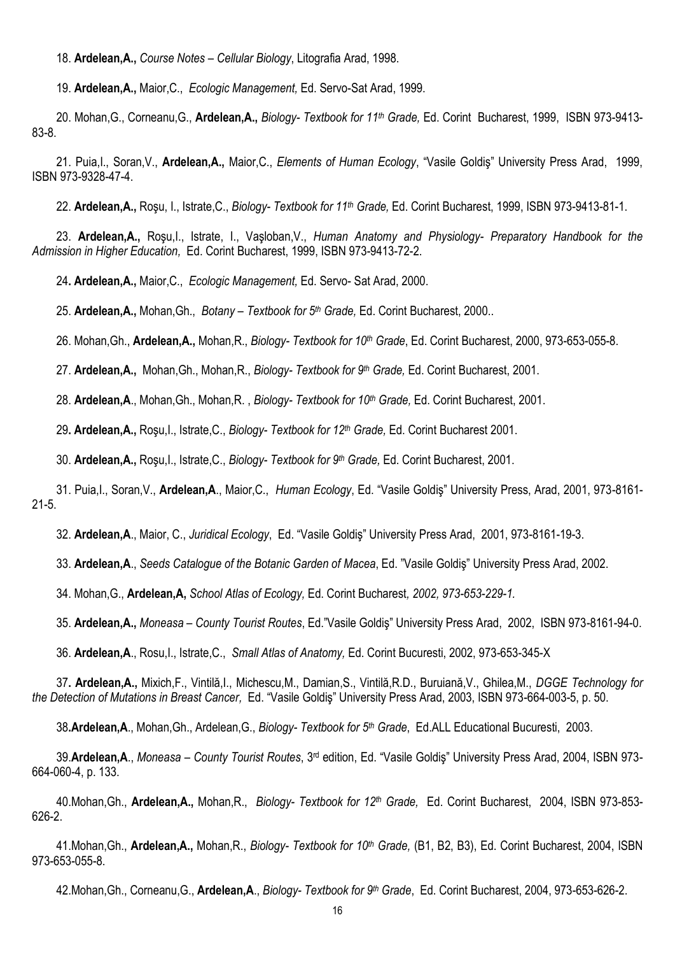18. **Ardelean,A.,** *Course Notes – Cellular Biology*, Litografia Arad, 1998.

19. **Ardelean,A.,** Maior,C., *Ecologic Management,* Ed. Servo-Sat Arad, 1999.

20. Mohan,G., Corneanu,G., **Ardelean,A.,** *Biology- Textbook for 11th Grade,* Ed. Corint Bucharest, 1999, ISBN 973-9413- 83-8.

21. Puia,I., Soran,V., **Ardelean,A.,** Maior,C., *Elements of Human Ecology*, "Vasile Goldiş" University Press Arad, 1999, ISBN 973-9328-47-4.

22. **Ardelean,A.,** Roşu, I., Istrate,C., *Biology- Textbook for 11th Grade,* Ed. Corint Bucharest, 1999, ISBN 973-9413-81-1.

23. **Ardelean,A.,** Roşu,I., Istrate, I., Vaşloban,V., *Human Anatomy and Physiology- Preparatory Handbook for the Admission in Higher Education,* Ed. Corint Bucharest, 1999, ISBN 973-9413-72-2.

24**. Ardelean,A.,** Maior,C.,*Ecologic Management,* Ed. Servo- Sat Arad, 2000.

25. **Ardelean,A.,** Mohan,Gh., *Botany – Textbook for 5 th Grade,* Ed. Corint Bucharest, 2000..

26. Mohan,Gh., **Ardelean,A.,** Mohan,R., *Biology- Textbook for 10th Grade*, Ed. Corint Bucharest, 2000, 973-653-055-8.

27. **Ardelean,A.,** Mohan,Gh., Mohan,R., *Biology- Textbook for 9th Grade,* Ed. Corint Bucharest, 2001.

28. **Ardelean,A**., Mohan,Gh., Mohan,R. , *Biology- Textbook for 10th Grade,* Ed. Corint Bucharest, 2001.

29**. Ardelean,A.,** Roşu,I., Istrate,C., *Biology- Textbook for 12th Grade,* Ed. Corint Bucharest 2001.

30. **Ardelean,A.,** Roşu,I., Istrate,C., *Biology- Textbook for 9th Grade,* Ed. Corint Bucharest, 2001.

31. Puia,I., Soran,V., **Ardelean,A**., Maior,C., *Human Ecology*, Ed. "Vasile Goldiş" University Press, Arad, 2001, 973-8161- 21-5.

32. **Ardelean,A**., Maior, C., *Juridical Ecology*, Ed. "Vasile Goldiş" University Press Arad, 2001, 973-8161-19-3.

33. **Ardelean,A**., *Seeds Catalogue of the Botanic Garden of Macea*, Ed. "Vasile Goldiş" University Press Arad, 2002.

34. Mohan,G., **Ardelean,A,** *School Atlas of Ecology,* Ed. Corint Bucharest*, 2002, 973-653-229-1.*

35. **Ardelean,A.,** *Moneasa – County Tourist Routes*, Ed."Vasile Goldiş" University Press Arad, 2002, ISBN 973-8161-94-0.

36. **Ardelean,A**., Rosu,I., Istrate,C., *Small Atlas of Anatomy,* Ed. Corint Bucuresti, 2002, 973-653-345-X

37**. Ardelean,A.,** Mixich,F., Vintilă,I., Michescu,M., Damian,S., Vintilă,R.D., Buruiană,V., Ghilea,M., *DGGE Technology for the Detection of Mutations in Breast Cancer,* Ed. "Vasile Goldiş" University Press Arad, 2003, ISBN 973-664-003-5, p. 50.

38**.Ardelean,A**., Mohan,Gh., Ardelean,G., *Biology- Textbook for 5th Grade*, Ed.ALL Educational Bucuresti, 2003.

39.**Ardelean,A**., *Moneasa – County Tourist Routes*, 3 rd edition, Ed. "Vasile Goldiş" University Press Arad, 2004, ISBN 973- 664-060-4, p. 133.

40.Mohan,Gh., **Ardelean,A.,** Mohan,R., *Biology- Textbook for 12th Grade,* Ed. Corint Bucharest, 2004, ISBN 973-853- 626-2.

41.Mohan,Gh., **Ardelean,A.,** Mohan,R., *Biology- Textbook for 10th Grade,* (B1, B2, B3), Ed. Corint Bucharest, 2004, ISBN 973-653-055-8.

42.Mohan,Gh., Corneanu,G., **Ardelean,A**., *Biology- Textbook for 9th Grade*, Ed. Corint Bucharest, 2004, 973-653-626-2.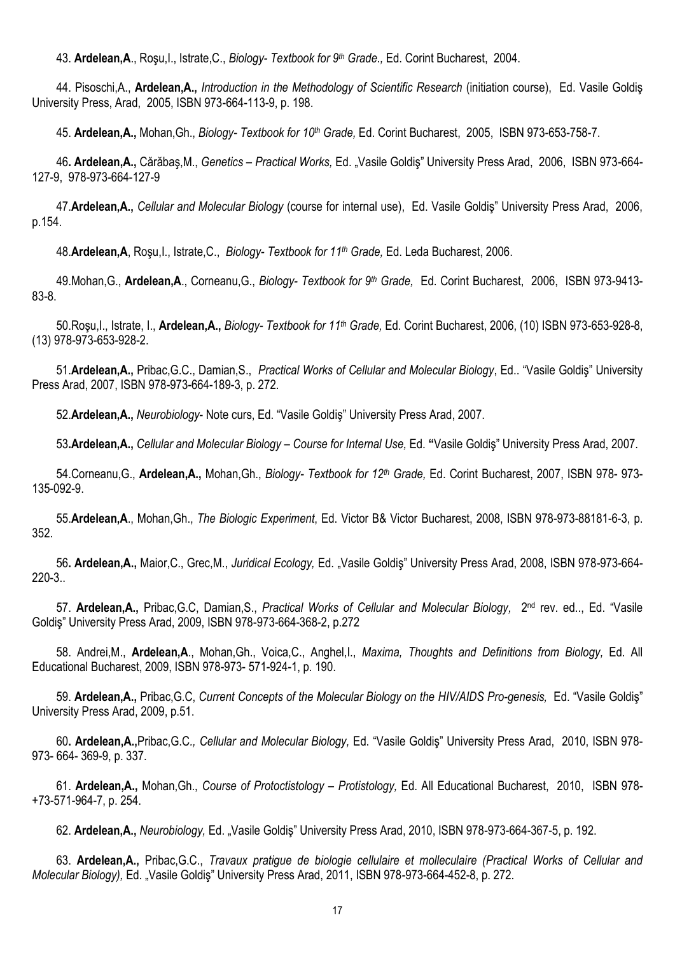43. **Ardelean,A**., Roşu,I., Istrate,C., *Biology- Textbook for 9th Grade.,* Ed. Corint Bucharest, 2004.

44. Pisoschi,A., **Ardelean,A.,** *Introduction in the Methodology of Scientific Research* (initiation course), Ed. Vasile Goldiş University Press, Arad, 2005, ISBN 973-664-113-9, p. 198.

45. **Ardelean,A.,** Mohan,Gh., *Biology- Textbook for 10th Grade,* Ed. Corint Bucharest, 2005, ISBN 973-653-758-7.

46**. Ardelean,A.,** Cărăbaş,M., *Genetics – Practical Works,* Ed. "Vasile Goldiş" University Press Arad, 2006, ISBN 973-664- 127-9, 978-973-664-127-9

47.**Ardelean,A.,** *Cellular and Molecular Biology* (course for internal use), Ed. Vasile Goldiş" University Press Arad, 2006, p.154.

48.**Ardelean,A**, Roşu,I., Istrate,C., *Biology- Textbook for 11th Grade,* Ed. Leda Bucharest, 2006.

49.Mohan,G., **Ardelean,A**., Corneanu,G., *Biology- Textbook for 9th Grade,* Ed. Corint Bucharest, 2006, ISBN 973-9413- 83-8.

50.Roşu,I., Istrate, I., **Ardelean,A.,** *Biology- Textbook for 11th Grade,* Ed. Corint Bucharest, 2006, (10) ISBN 973-653-928-8, (13) 978-973-653-928-2.

51.**Ardelean,A.,** Pribac,G.C., Damian,S., *Practical Works of Cellular and Molecular Biology*, Ed.. "Vasile Goldiş" University Press Arad, 2007, ISBN 978-973-664-189-3, p. 272.

52.**Ardelean,A.,** *Neurobiology*- Note curs, Ed. "Vasile Goldiş" University Press Arad, 2007.

53**.Ardelean,A.,** *Cellular and Molecular Biology – Course for Internal Use,* Ed. **"**Vasile Goldiş" University Press Arad, 2007.

54.Corneanu,G., **Ardelean,A.,** Mohan,Gh., *Biology- Textbook for 12th Grade,* Ed. Corint Bucharest, 2007, ISBN 978- 973- 135-092-9.

55.**Ardelean,A**., Mohan,Gh., *The Biologic Experiment*, Ed. Victor B& Victor Bucharest, 2008, ISBN 978-973-88181-6-3, p. 352.

56**. Ardelean,A.,** Maior,C., Grec,M., *Juridical Ecology,* Ed. "Vasile Goldiş" University Press Arad, 2008, ISBN 978-973-664- 220-3..

57. Ardelean,A., Pribac,G.C, Damian,S., Practical Works of Cellular and Molecular Biology, 2<sup>nd</sup> rev. ed.., Ed. "Vasile Goldiş" University Press Arad, 2009, ISBN 978-973-664-368-2, p.272

58. Andrei,M., **Ardelean,A**., Mohan,Gh., Voica,C., Anghel,I., *Maxima, Thoughts and Definitions from Biology,* Ed. All Educational Bucharest, 2009, ISBN 978-973- 571-924-1, p. 190.

59. **Ardelean,A.,** Pribac,G.C, *Current Concepts of the Molecular Biology on the HIV/AIDS Pro-genesis,* Ed. "Vasile Goldiş" University Press Arad, 2009, p.51.

60**. Ardelean,A.,**Pribac,G.C*., Cellular and Molecular Biology,* Ed. "Vasile Goldiş" University Press Arad, 2010, ISBN 978- 973- 664- 369-9, p. 337.

61. **Ardelean,A.,** Mohan,Gh., *Course of Protoctistology* – *Protistology,* Ed. All Educational Bucharest, 2010, ISBN 978- +73-571-964-7, p. 254.

62. **Ardelean,A.,** *Neurobiology,* Ed. "Vasile Goldiş" University Press Arad, 2010, ISBN 978-973-664-367-5, p. 192.

63. **Ardelean,A.,** Pribac,G.C., *Travaux pratigue de biologie cellulaire et molleculaire (Practical Works of Cellular and Molecular Biology),* Ed. "Vasile Goldiş" University Press Arad, 2011, ISBN 978-973-664-452-8, p. 272.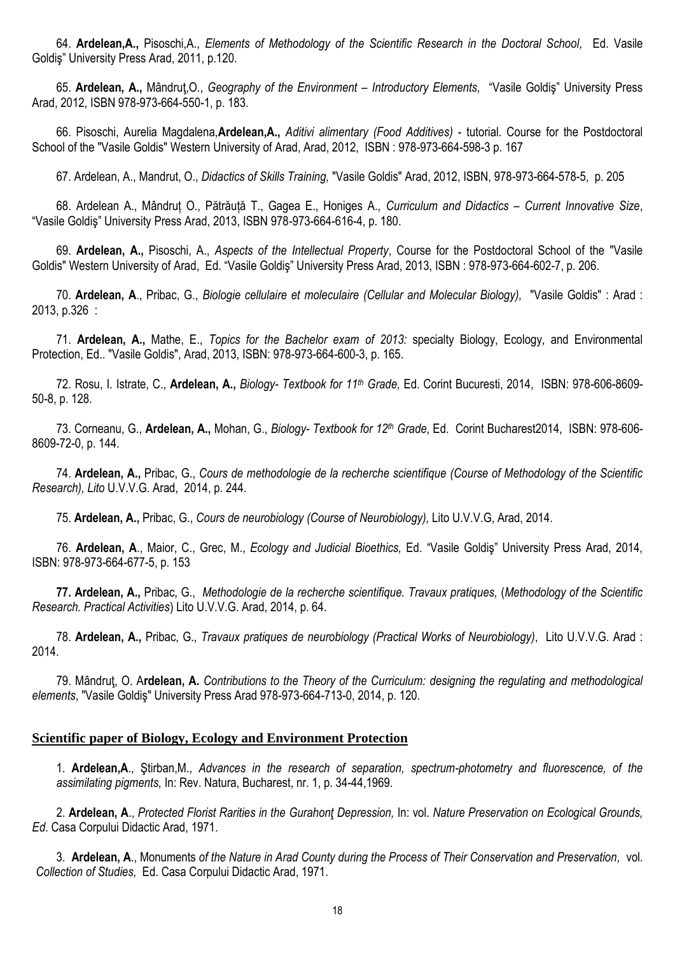64. **Ardelean,A.,** Pisoschi,A., *Elements of Methodology of the Scientific Research in the Doctoral School,* Ed. Vasile Goldiş" University Press Arad, 2011, p.120.

65. **Ardelean, A.,** Mândruţ,O., *Geography of the Environment – Introductory Elements,* "Vasile Goldiş" University Press Arad, 2012, ISBN 978-973-664-550-1, p. 183.

66. Pisoschi, Aurelia Magdalena,**Ardelean,A.,** *Aditivi alimentary (Food Additives)* - tutorial. Course for the Postdoctoral School of the "Vasile Goldis" Western University of Arad, Arad, 2012, ISBN : 978-973-664-598-3 p. 167

67. Ardelean, A., Mandrut, O., *Didactics of Skills Training,* "Vasile Goldis" Arad, 2012, ISBN, 978-973-664-578-5, p. 205

68. Ardelean A., Mândruț O., Pătrăuță T., Gagea E., Honiges A., *Curriculum and Didactics – Current Innovative Size*, "Vasile Goldiş" University Press Arad, 2013, ISBN 978-973-664-616-4, p. 180.

69. **Ardelean, A.,** Pisoschi, A., *Aspects of the Intellectual Property*, Course for the Postdoctoral School of the "Vasile Goldis" Western University of Arad, Ed. "Vasile Goldiş" University Press Arad, 2013, ISBN : 978-973-664-602-7, p. 206.

70. **Ardelean, A**., Pribac, G., *Biologie cellulaire et moleculaire (Cellular and Molecular Biology),* "Vasile Goldis" : Arad : 2013, p.326 :

71. **Ardelean, A.,** Mathe, E., *Topics for the Bachelor exam of 2013:* specialty Biology, Ecology, and Environmental Protection, Ed.. "Vasile Goldis", Arad, 2013, ISBN: 978-973-664-600-3, p. 165.

72. Rosu, I. Istrate, C., **Ardelean, A.,** *Biology- Textbook for 11th Grade,* Ed. Corint Bucuresti, 2014, ISBN: 978-606-8609- 50-8, p. 128.

73. Corneanu, G., **Ardelean, A.,** Mohan, G., *Biology- Textbook for 12th Grade*, Ed. Corint Bucharest2014, ISBN: 978-606- 8609-72-0, p. 144.

74. **Ardelean, A.,** Pribac, G., *Cours de methodologie de la recherche scientifique (Course of Methodology of the Scientific Research), Lito* U.V.V.G. Arad, 2014, p. 244.

75. **Ardelean, A.,** Pribac, G., *Cours de neurobiology (Course of Neurobiology),* Lito U.V.V.G, Arad, 2014.

76. **Ardelean, A**., Maior, C., Grec, M., *Ecology and Judicial Bioethics,* Ed. "Vasile Goldiş" University Press Arad, 2014, ISBN: 978-973-664-677-5, p. 153

**77. Ardelean, A.,** Pribac, G., *Methodologie de la recherche scientifique. Travaux pratiques,* (*Methodology of the Scientific Research. Practical Activities*) Lito U.V.V.G. Arad, 2014, p. 64.

78. **Ardelean, A.,** Pribac, G., *Travaux pratiques de neurobiology (Practical Works of Neurobiology)*, Lito U.V.V.G. Arad : 2014.

79. Mândruţ, O. A**rdelean, A.** *Contributions to the Theory of the Curriculum: designing the regulating and methodological elements*, "Vasile Goldiş" University Press Arad 978-973-664-713-0, 2014, p. 120.

# **Scientific paper of Biology, Ecology and Environment Protection**

1. **Ardelean,A**., Ştirban,M., *Advances in the research of separation, spectrum-photometry and fluorescence, of the assimilating pigments,* In: Rev. Natura, Bucharest, nr. 1, p. 34-44,1969.

2. **Ardelean, A**., *Protected Florist Rarities in the Gurahonţ Depression,* In: vol. *Nature Preservation on Ecological Grounds, Ed*. Casa Corpului Didactic Arad, 1971.

3. **Ardelean, A**., Monuments *of the Nature in Arad County during the Process of Their Conservation and Preservation,* vol. *Collection of Studies,* Ed. Casa Corpului Didactic Arad, 1971.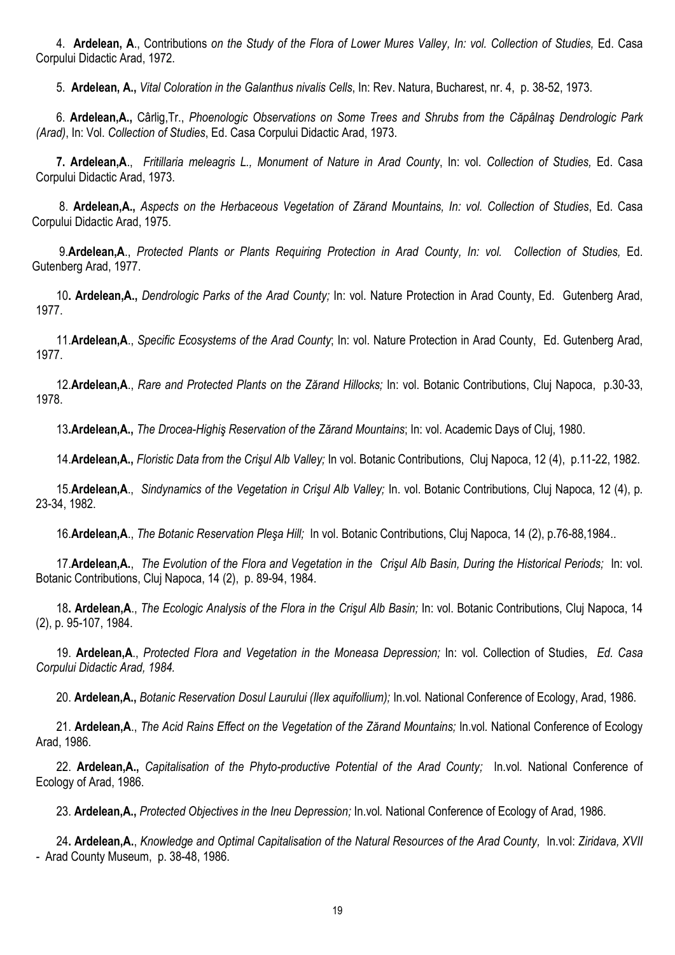4. **Ardelean, A**., Contributions *on the Study of the Flora of Lower Mures Valley, In: vol. Collection of Studies,* Ed. Casa Corpului Didactic Arad, 1972.

5. **Ardelean, A.,** *Vital Coloration in the Galanthus nivalis Cells*, In: Rev. Natura, Bucharest, nr. 4, p. 38-52, 1973.

6. **Ardelean,A.,** Cârlig,Tr., *Phoenologic Observations on Some Trees and Shrubs from the Căpâlnaş Dendrologic Park (Arad)*, In: Vol. *Collection of Studies*, Ed. Casa Corpului Didactic Arad, 1973.

**7. Ardelean,A**., *Fritillaria meleagris L., Monument of Nature in Arad County*, In: vol. *Collection of Studies,* Ed. Casa Corpului Didactic Arad, 1973.

8. **Ardelean,A.,** *Aspects on the Herbaceous Vegetation of Zărand Mountains, In: vol. Collection of Studies*, Ed. Casa Corpului Didactic Arad, 1975.

9.**Ardelean,A**., *Protected Plants or Plants Requiring Protection in Arad County, In: vol. Collection of Studies,* Ed. Gutenberg Arad, 1977.

10**. Ardelean,A.,** *Dendrologic Parks of the Arad County;* In: vol. Nature Protection in Arad County, Ed. Gutenberg Arad, 1977.

11.**Ardelean,A**., *Specific Ecosystems of the Arad County*; In: vol. Nature Protection in Arad County, Ed. Gutenberg Arad, 1977.

12.**Ardelean,A**., *Rare and Protected Plants on the Zărand Hillocks;* In: vol. Botanic Contributions, Cluj Napoca, p.30-33, 1978.

13**.Ardelean,A.,** *The Drocea-Highiş Reservation of the Zărand Mountains*; In: vol. Academic Days of Cluj, 1980.

14.**Ardelean,A.,** *Floristic Data from the Crişul Alb Valley;* In vol. Botanic Contributions, Cluj Napoca, 12 (4), p.11-22, 1982.

15.**Ardelean,A**., *Sindynamics of the Vegetation in Crişul Alb Valley;* In. vol. Botanic Contributions*,* Cluj Napoca, 12 (4), p. 23-34, 1982.

16.**Ardelean,A**., *The Botanic Reservation Pleşa Hill;* In vol. Botanic Contributions, Cluj Napoca, 14 (2), p.76-88,1984..

17.**Ardelean,A.**, *The Evolution of the Flora and Vegetation in the Crişul Alb Basin, During the Historical Periods;* In: vol. Botanic Contributions, Cluj Napoca, 14 (2), p. 89-94, 1984.

18**. Ardelean,A**., *The Ecologic Analysis of the Flora in the Crişul Alb Basin;* In: vol. Botanic Contributions, Cluj Napoca, 14 (2), p. 95-107, 1984.

19. **Ardelean,A**., *Protected Flora and Vegetation in the Moneasa Depression;* In: vol*.* Collection of Studies, *Ed. Casa Corpului Didactic Arad, 1984.*

20. **Ardelean,A.,** *Botanic Reservation Dosul Laurului (Ilex aquifollium);* In.vol*.* National Conference of Ecology, Arad, 1986.

21. **Ardelean,A**., *The Acid Rains Effect on the Vegetation of the Zărand Mountains;* In.vol*.* National Conference of Ecology Arad, 1986.

22. **Ardelean,A.,** *Capitalisation of the Phyto-productive Potential of the Arad County;* In.vol*.* National Conference of Ecology of Arad, 1986.

23. **Ardelean,A.,** *Protected Objectives in the Ineu Depression;* In.vol*.* National Conference of Ecology of Arad, 1986.

24**. Ardelean,A.**, *Knowledge and Optimal Capitalisation of the Natural Resources of the Arad County,* In.vol: *Ziridava, XVII -* Arad County Museum, p. 38-48, 1986.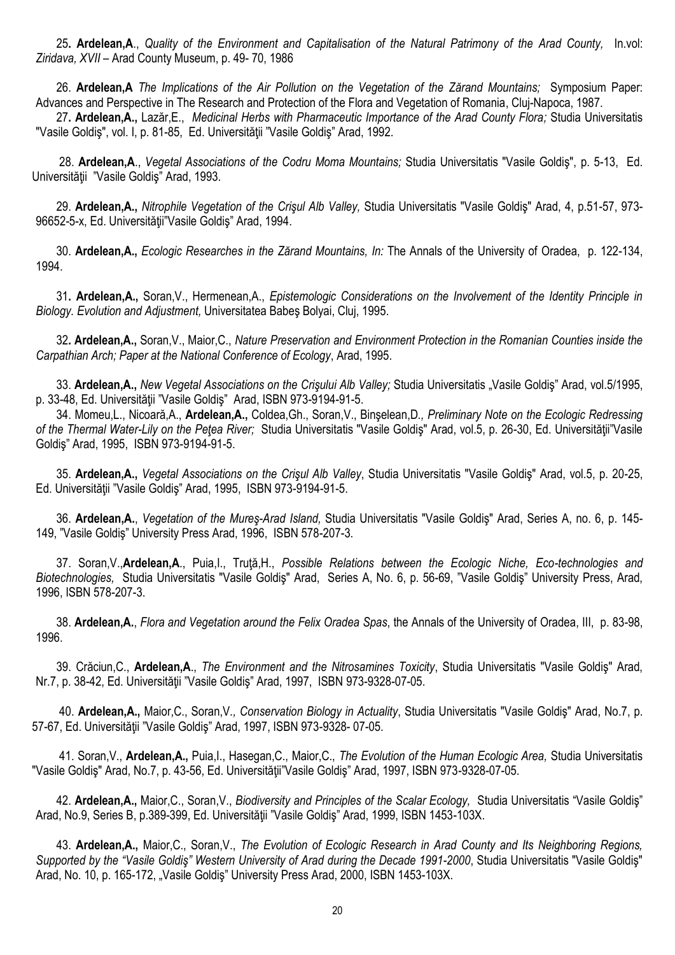25**. Ardelean,A**., *Quality of the Environment and Capitalisation of the Natural Patrimony of the Arad County,* In.vol: *Ziridava, XVII –* Arad County Museum, p. 49- 70, 1986

26. **Ardelean,A** *The Implications of the Air Pollution on the Vegetation of the Zărand Mountains;* Symposium Paper: Advances and Perspective in The Research and Protection of the Flora and Vegetation of Romania, Cluj-Napoca, 1987.

27**. Ardelean,A.,** Lazăr,E., *Medicinal Herbs with Pharmaceutic Importance of the Arad County Flora;* Studia Universitatis "Vasile Goldiş", vol. I, p. 81-85, Ed. Universităţii "Vasile Goldiş" Arad, 1992.

28. **Ardelean,A**., *Vegetal Associations of the Codru Moma Mountains;* Studia Universitatis "Vasile Goldiş", p. 5-13, Ed. Universităţii "Vasile Goldiş" Arad, 1993.

29. **Ardelean,A.,** *Nitrophile Vegetation of the Crişul Alb Valley,* Studia Universitatis "Vasile Goldiş" Arad, 4, p.51-57, 973- 96652-5-x, Ed. Universităţii"Vasile Goldiş" Arad, 1994.

30. **Ardelean,A.,** *Ecologic Researches in the Zărand Mountains, In:* The Annals of the University of Oradea, p. 122-134, 1994.

31**. Ardelean,A.,** Soran,V., Hermenean,A., *Epistemologic Considerations on the Involvement of the Identity Principle in Biology. Evolution and Adjustment,* Universitatea Babeş Bolyai, Cluj, 1995.

32**. Ardelean,A.,** Soran,V., Maior,C., *Nature Preservation and Environment Protection in the Romanian Counties inside the Carpathian Arch; Paper at the National Conference of Ecology*, Arad, 1995.

33. **Ardelean,A.,** *New Vegetal Associations on the Crişului Alb Valley;* Studia Universitatis "Vasile Goldiş" Arad, vol.5/1995, p. 33-48, Ed. Universităţii "Vasile Goldiş" Arad, ISBN 973-9194-91-5.

34. Momeu,L., Nicoară,A., **Ardelean,A.,** Coldea,Gh., Soran,V., Binşelean,D*., Preliminary Note on the Ecologic Redressing of the Thermal Water-Lily on the Peţea River;* Studia Universitatis "Vasile Goldiş" Arad, vol.5, p. 26-30, Ed. Universităţii"Vasile Goldiş" Arad, 1995, ISBN 973-9194-91-5.

35. **Ardelean,A.,** *Vegetal Associations on the Crişul Alb Valley*, Studia Universitatis "Vasile Goldiş" Arad, vol.5, p. 20-25, Ed. Universităţii "Vasile Goldiş" Arad, 1995, ISBN 973-9194-91-5.

36. **Ardelean,A.**, *Vegetation of the Mureş-Arad Island,* Studia Universitatis "Vasile Goldiş" Arad, Series A, no. 6, p. 145- 149, "Vasile Goldiş" University Press Arad, 1996, ISBN 578-207-3.

37. Soran,V.,**Ardelean,A**., Puia,I., Truţă,H., *Possible Relations between the Ecologic Niche, Eco-technologies and Biotechnologies,* Studia Universitatis "Vasile Goldiş" Arad, Series A, No. 6, p. 56-69, "Vasile Goldiş" University Press, Arad, 1996, ISBN 578-207-3.

38. **Ardelean,A.**, *Flora and Vegetation around the Felix Oradea Spas*, the Annals of the University of Oradea, III, p. 83-98, 1996.

39. Crăciun,C., **Ardelean,A**., *The Environment and the Nitrosamines Toxicity*, Studia Universitatis "Vasile Goldiş" Arad, Nr.7, p. 38-42, Ed. Universităţii "Vasile Goldiş" Arad, 1997, ISBN 973-9328-07-05.

40. **Ardelean,A.,** Maior,C., Soran,V*., Conservation Biology in Actuality*, Studia Universitatis "Vasile Goldiş" Arad, No.7, p. 57-67, Ed. Universităţii "Vasile Goldiş" Arad, 1997, ISBN 973-9328- 07-05.

41. Soran,V., **Ardelean,A.,** Puia,I., Hasegan,C., Maior,C., *The Evolution of the Human Ecologic Area,* Studia Universitatis "Vasile Goldiş" Arad, No.7, p. 43-56, Ed. Universităţii"Vasile Goldiş" Arad, 1997, ISBN 973-9328-07-05.

42. **Ardelean,A.,** Maior,C., Soran,V., *Biodiversity and Principles of the Scalar Ecology,* Studia Universitatis "Vasile Goldiş" Arad, No.9, Series B, p.389-399, Ed. Universităţii "Vasile Goldiş" Arad, 1999, ISBN 1453-103X.

43. **Ardelean,A.,** Maior,C., Soran,V., *The Evolution of Ecologic Research in Arad County and Its Neighboring Regions, Supported by the "Vasile Goldiş" Western University of Arad during the Decade 1991-2000*, Studia Universitatis "Vasile Goldiş" Arad, No. 10, p. 165-172, "Vasile Goldiş" University Press Arad, 2000, ISBN 1453-103X.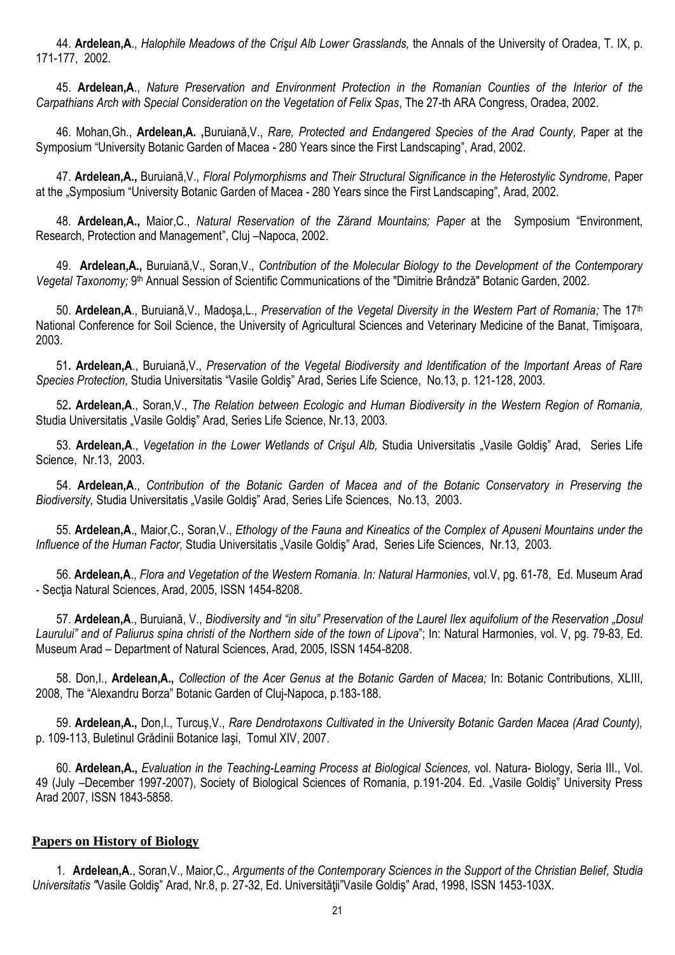44. **Ardelean,A**., *Halophile Meadows of the Crişul Alb Lower Grasslands,* the Annals of the University of Oradea, T. IX, p. 171-177, 2002.

45. **Ardelean,A**., *Nature Preservation and Environment Protection in the Romanian Counties of the Interior of the Carpathians Arch with Special Consideration on the Vegetation of Felix Spas*, The 27-th ARA Congress, Oradea, 2002.

46. Mohan,Gh., **Ardelean,A. ,**Buruiană,V., *Rare, Protected and Endangered Species of the Arad County,* Paper at the Symposium "University Botanic Garden of Macea - 280 Years since the First Landscaping", Arad, 2002.

47. **Ardelean,A.,** Buruiană,V., *Floral Polymorphisms and Their Structural Significance in the Heterostylic Syndrome,* Paper at the "Symposium "University Botanic Garden of Macea - 280 Years since the First Landscaping", Arad, 2002.

48. **Ardelean,A.,** Maior,C., *Natural Reservation of the Zărand Mountains; Paper* at theSymposium "Environment, Research, Protection and Management", Cluj –Napoca, 2002.

49. **Ardelean,A.,** Buruiană,V., Soran,V., *Contribution of the Molecular Biology to the Development of the Contemporary*  Vegetal Taxonomy; 9<sup>th</sup> Annual Session of Scientific Communications of the "Dimitrie Brândză" Botanic Garden, 2002.

50. **Ardelean,A**., Buruiană,V., Madoşa,L., *Preservation of the Vegetal Diversity in the Western Part of Romania;* The 17th National Conference for Soil Science, the University of Agricultural Sciences and Veterinary Medicine of the Banat, Timişoara, 2003.

51**. Ardelean,A**., Buruiană,V., *Preservation of the Vegetal Biodiversity and Identification of the Important Areas of Rare Species Protection,* Studia Universitatis "Vasile Goldiş" Arad, Series Life Science, No.13, p. 121-128, 2003.

52**. Ardelean,A**., Soran,V., *The Relation between Ecologic and Human Biodiversity in the Western Region of Romania,*  Studia Universitatis "Vasile Goldis" Arad, Series Life Science, Nr.13, 2003.

53. **Ardelean,A**., *Vegetation in the Lower Wetlands of Crişul Alb,* Studia Universitatis "Vasile Goldiş" Arad, Series Life Science, Nr.13, 2003.

54. **Ardelean,A**., *Contribution of the Botanic Garden of Macea and of the Botanic Conservatory in Preserving the Biodiversity,* Studia Universitatis "Vasile Goldiş" Arad, Series Life Sciences, No.13, 2003.

55. **Ardelean,A**., Maior,C., Soran,V., *Ethology of the Fauna and Kineatics of the Complex of Apuseni Mountains under the Influence of the Human Factor, Studia Universitatis "Vasile Goldis" Arad, Series Life Sciences, Nr.13, 2003.* 

56. **Ardelean,A**., *Flora and Vegetation of the Western Romania. In: Natural Harmonies*, vol.V, pg. 61-78, Ed. Museum Arad - Secţia Natural Sciences, Arad, 2005, ISSN 1454-8208.

57. **Ardelean,A**., Buruiană, V., *Biodiversity and "in situ" Preservation of the Laurel Ilex aquifolium of the Reservation "Dosul Laurului" and of Paliurus spina christi of the Northern side of the town of Lipova*"; In: Natural Harmonies, vol. V, pg. 79-83, Ed. Museum Arad – Department of Natural Sciences, Arad, 2005, ISSN 1454-8208.

58. Don,I., **Ardelean,A.,** *Collection of the Acer Genus at the Botanic Garden of Macea;* In: Botanic Contributions, XLIII, 2008, The "Alexandru Borza" Botanic Garden of Cluj-Napoca, p.183-188.

59. **Ardelean,A.,** Don,I., Turcuş,V., *Rare Dendrotaxons Cultivated in the University Botanic Garden Macea (Arad County),*  p. 109-113, Buletinul Grădinii Botanice Iaşi, Tomul XIV, 2007.

60. **Ardelean,A.,** *Evaluation in the Teaching-Learning Process at Biological Sciences,* vol. Natura- Biology, Seria III., Vol. 49 (July –December 1997-2007), Society of Biological Sciences of Romania, p.191-204. Ed. "Vasile Goldiş" University Press Arad 2007, ISSN 1843-5858.

# **Papers on History of Biology**

1. **Ardelean,A**., Soran,V., Maior,C., *Arguments of the Contemporary Sciences in the Support of the Christian Belief, Studia Universitatis "*Vasile Goldiş" Arad, Nr.8, p. 27-32, Ed. Universităţii"Vasile Goldiş" Arad, 1998, ISSN 1453-103X.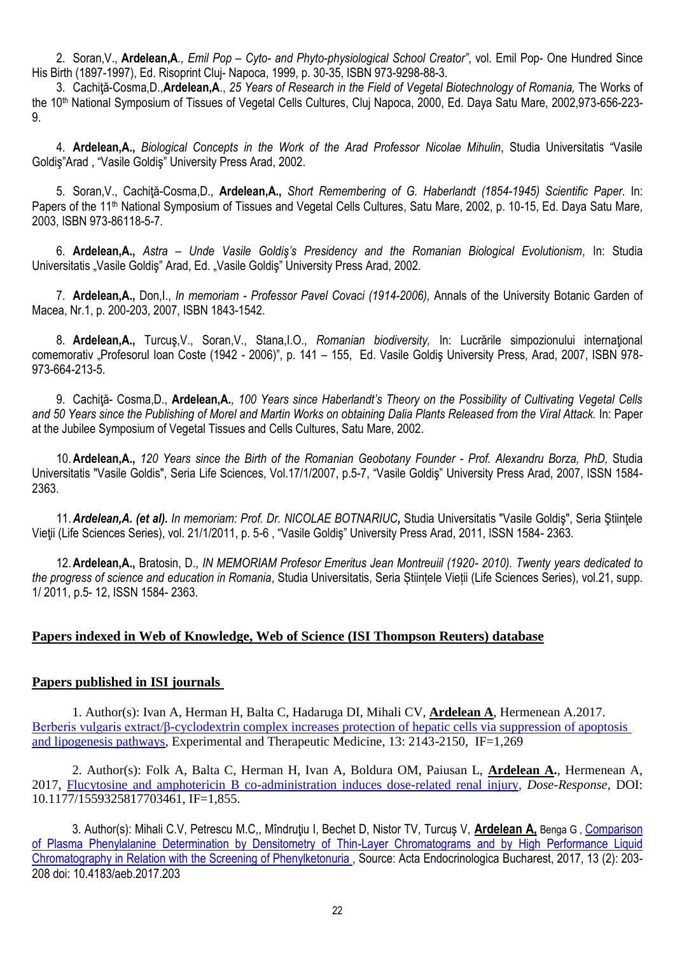2. Soran,V., **Ardelean,A***., Emil Pop – Cyto- and Phyto-physiological School Creator"*, vol. Emil Pop- One Hundred Since His Birth (1897-1997), Ed. Risoprint Cluj- Napoca, 1999, p. 30-35, ISBN 973-9298-88-3.

3. Cachiţă-Cosma,D.,**Ardelean,A**., *25 Years of Research in the Field of Vegetal Biotechnology of Romania,* The Works of the 10<sup>th</sup> National Symposium of Tissues of Vegetal Cells Cultures, Cluj Napoca, 2000, Ed. Daya Satu Mare, 2002,973-656-223-9.

4. **Ardelean,A.,** *Biological Concepts in the Work of the Arad Professor Nicolae Mihulin*, Studia Universitatis "Vasile Goldiş"Arad , "Vasile Goldiş" University Press Arad, 2002.

5. Soran,V., Cachiţă-Cosma,D., **Ardelean,A.,** *Short Remembering of G. Haberlandt (1854-1945) Scientific Paper.* In: Papers of the 11<sup>th</sup> National Symposium of Tissues and Vegetal Cells Cultures, Satu Mare, 2002, p. 10-15, Ed. Daya Satu Mare, 2003, ISBN 973-86118-5-7.

6. **Ardelean,A.,** *Astra – Unde Vasile Goldiş's Presidency and the Romanian Biological Evolutionism,* In: Studia Universitatis "Vasile Goldiş" Arad, Ed. "Vasile Goldiş" University Press Arad, 2002.

7. **Ardelean,A.,** Don,I., *In memoriam - Professor Pavel Covaci (1914-2006),* Annals of the University Botanic Garden of Macea, Nr.1, p. 200-203, 2007, ISBN 1843-1542.

8. **Ardelean,A.,** Turcuş,V., Soran,V., Stana,I.O., *Romanian biodiversity,* In: Lucrările simpozionului internaţional comemorativ "Profesorul Ioan Coste (1942 - 2006)", p. 141 - 155, Ed. Vasile Goldiş University Press, Arad, 2007, ISBN 978-973-664-213-5.

9. Cachiţă- Cosma,D., **Ardelean,A***., 100 Years since Haberlandt's Theory on the Possibility of Cultivating Vegetal Cells and 50 Years since the Publishing of Morel and Martin Works on obtaining Dalia Plants Released from the Viral Attack.* In: Paper at the Jubilee Symposium of Vegetal Tissues and Cells Cultures, Satu Mare, 2002.

10.**Ardelean,A.,** *120 Years since the Birth of the Romanian Geobotany Founder* - *Prof. Alexandru Borza, PhD,* Studia Universitatis "Vasile Goldis", Seria Life Sciences, Vol.17/1/2007, p.5-7, "Vasile Goldiş" University Press Arad, 2007, ISSN 1584- 2363.

11.*Ardelean,A. (et al). In memoriam: Prof. Dr. NICOLAE BOTNARIUC,* Studia Universitatis "Vasile Goldiş", Seria Ştiinţele Vieţii (Life Sciences Series), vol. 21/1/2011, p. 5-6 , "Vasile Goldiş" University Press Arad, 2011, ISSN 1584- 2363.

12.**Ardelean,A.,** Bratosin, D., *IN MEMORIAM Profesor Emeritus Jean Montreuiil (1920- 2010). Twenty years dedicated to the progress of science and education in Romania*, Studia Universitatis, Seria Științele Vieții (Life Sciences Series), vol.21, supp. 1/ 2011, p.5- 12, ISSN 1584- 2363.

# **Papers indexed in Web of Knowledge, Web of Science (ISI Thompson Reuters) database**

# **Papers published in ISI journals**

1. Author(s): Ivan A, Herman H, Balta C, Hadaruga DI, Mihali CV, **Ardelean A**, Hermenean A.2017. Berberis vulgaris extract/β-cyclodextrin complex increases protection of hepatic cells via suppression of apoptosis and lipogenesis pathways, Experimental and Therapeutic Medicine, 13: 2143-2150, IF=1,269

2. Author(s): Folk A, Balta C, Herman H, Ivan A, Boldura OM, Paiusan L, **Ardelean A.**, Hermenean A, 2017, Flucytosine and amphotericin B co-administration induces dose-related renal injury, *Dose-Response*, DOI: 10.1177/1559325817703461, IF=1,855.

3. Author(s): Mihali C.V, Petrescu M.C,, Mîndruțiu I, Bechet D, Nistor TV, Turcuș V, *Ardelean A*, Benga G, Comparison of Plasma Phenylalanine Determination by Densitometry of Thin-Layer Chromatograms and by High Performance Liquid Chromatography in Relation with the Screening of Phenylketonuria , Source: Acta Endocrinologica Bucharest, 2017, 13 (2): 203- 208 doi: 10.4183/aeb.2017.203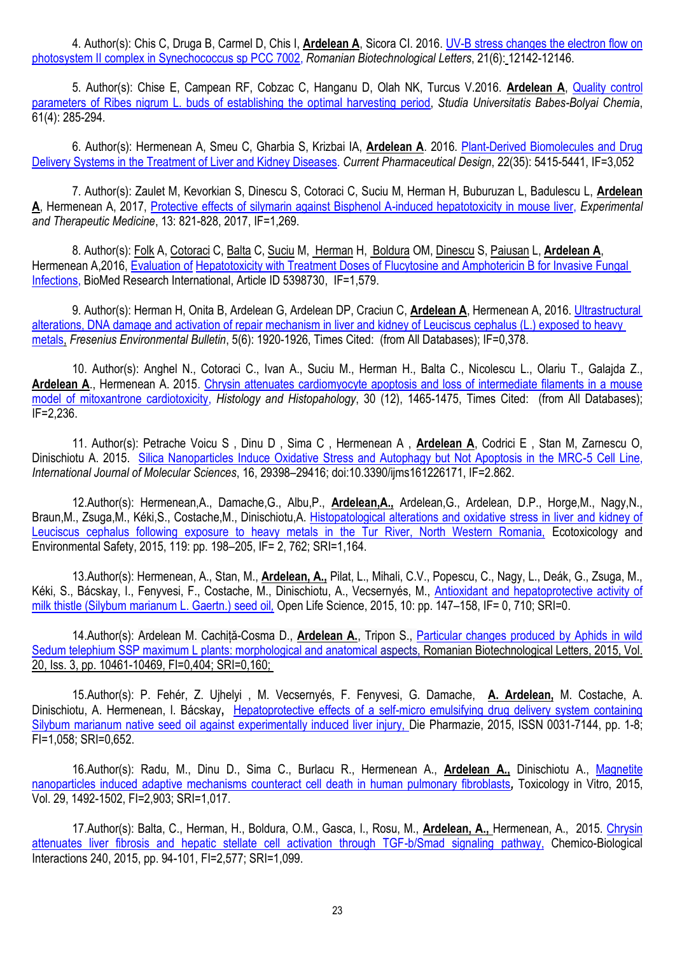4. Author(s): Chis C, Druga B, Carmel D, Chis I, **Ardelean A**, Sicora CI. 2016. UV-B stress changes the electron flow on photosystem II complex in Synechococcus sp PCC 7002, *Romanian Biotechnological Letters*, 21(6): 12142-12146.

5. Author(s): Chise E, Campean RF, Cobzac C, Hanganu D, Olah NK, Turcus V.2016. **Ardelean A**, Quality control parameters of Ribes nigrum L. buds of establishing the optimal harvesting period, *Studia Universitatis Babes-Bolyai Chemia*, 61(4): 285-294.

6. Author(s): Hermenean A, Smeu C, Gharbia S, Krizbai IA, **Ardelean A**. 2016. Plant-Derived Biomolecules and Drug Delivery Systems in the Treatment of Liver and Kidney Diseases. *Current Pharmaceutical Design*, 22(35): 5415-5441, IF=3,052

7. Author(s): Zaulet M, Kevorkian S, Dinescu S, Cotoraci C, Suciu M, Herman H, Buburuzan L, Badulescu L, **Ardelean A**, Hermenean A, 2017, Protective effects of silymarin against Bisphenol A-induced hepatotoxicity in mouse liver, *Experimental and Therapeutic Medicine*, 13: 821-828, 2017, IF=1,269.

8. Author(s): [Folk](http://www.hindawi.com/35062362/) A, [Cotoraci](http://www.hindawi.com/10569578/) C, [Balta](http://www.hindawi.com/89057484/) C, [Suciu](http://www.hindawi.com/96718509/) M, [Herman](http://www.hindawi.com/85940957/) H, [Boldura](http://www.hindawi.com/16593192/) OM, [Dinescu](http://www.hindawi.com/20130412/) S, [Paiusan](http://www.hindawi.com/61313572/) L, **[Ardelean](http://www.hindawi.com/29646219/) A**, Hermenean A,2016, Evaluation of Hepatotoxicity with Treatment Doses of Flucytosine and Amphotericin B for Invasive Fungal Infections, BioMed Research International, Article ID 5398730, IF=1,579.

9. Author(s): Herman H, Onita B, Ardelean G, Ardelean DP, Craciun C, **Ardelean A**, Hermenean A, 2016. Ultrastructural alterations, DNA damage and activation of repair mechanism in liver and kidney of Leuciscus cephalus (L.) exposed to heavy metals, *Fresenius Environmental Bulletin*, 5(6): 1920-1926, Times Cited: (from All Databases); IF=0,378.

10. Author(s): Anghel N., Cotoraci C., Ivan A., Suciu M., Herman H., Balta C., Nicolescu L., Olariu T., Galajda Z., **Ardelean A**., Hermenean A. 2015. Chrysin attenuates cardiomyocyte apoptosis and loss of intermediate filaments in a mouse model of mitoxantrone cardiotoxicity, *Histology and Histopahology*, 30 (12), 1465-1475, Times Cited: (from All Databases); IF=2,236.

11. Author(s): Petrache Voicu S , Dinu D , Sima C , Hermenean A , **Ardelean A**, Codrici E , Stan M, Zarnescu O, Dinischiotu A. 2015. Silica Nanoparticles Induce Oxidative Stress and Autophagy but Not Apoptosis in the MRC-5 Cell Line, *International Journal of Molecular Sciences*, 16, 29398–29416; doi:10.3390/ijms161226171, IF=2.862.

12.Author(s): Hermenean,A., Damache,G., Albu,P., **Ardelean,A.,** Ardelean,G., Ardelean, D.P., Horge,M., Nagy,N., Braun,M., Zsuga,M., Kéki,S., Costache,M., Dinischiotu,A. Histopatological alterations and oxidative stress in liver and kidney of Leuciscus cephalus following exposure to heavy metals in the Tur River, North Western Romania, Ecotoxicology and Environmental Safety, 2015, 119: pp. 198–205, IF= 2, 762; SRI=1,164.

13.Author(s): Hermenean, A., Stan, M., **Ardelean, A.,** Pilat, L., Mihali, C.V., Popescu, C., Nagy, L., Deák, G., Zsuga, M., Kéki, S., Bácskay, I., Fenyvesi, F., Costache, M., Dinischiotu, A., Vecsernyés, M., Antioxidant and hepatoprotective activity of milk thistle (Silybum marianum L. Gaertn.) seed oil*,* Open Life Science, 2015, 10: pp. 147–158, IF= 0, 710; SRI=0.

14.Author(s): Ardelean M. Cachiță-Cosma D., **Ardelean A.**, Tripon S., Particular changes produced by Aphids in wild Sedum telephium SSP maximum L plants: morphological and anatomical aspects, Romanian Biotechnological Letters, 2015, Vol. 20, Iss. 3, pp. 10461-10469, FI=0,404; SRI=0,160;

15.Author(s): P. Fehér, Z. Ujhelyi , M. Vecsernyés, F. Fenyvesi, G. Damache, **A. Ardelean,** M. Costache, A. Dinischiotu, A. Hermenean, I. Bácskay**,** Hepatoprotective effects of a self-micro emulsifying drug delivery system containing Silybum marianum native seed oil against experimentally induced liver injury, Die Pharmazie, 2015, ISSN 0031-7144, pp. 1-8; FI=1,058; SRI=0,652.

16.Author(s): Radu, M., Dinu D., Sima C., Burlacu R., Hermenean A., **Ardelean A.,** Dinischiotu A., Magnetite nanoparticles induced adaptive mechanisms counteract cell death in human pulmonary fibroblasts*,* Toxicology in Vitro, 2015, Vol. 29, 1492-1502, FI=2,903; SRI=1,017.

17.Author(s): Balta, C., Herman, H., Boldura, O.M., Gasca, I., Rosu, M., **Ardelean, A.,** Hermenean, A., 2015. Chrysin attenuates liver fibrosis and hepatic stellate cell activation through TGF-b/Smad signaling pathway, Chemico-Biological Interactions 240, 2015, pp. 94-101, FI=2,577; SRI=1,099.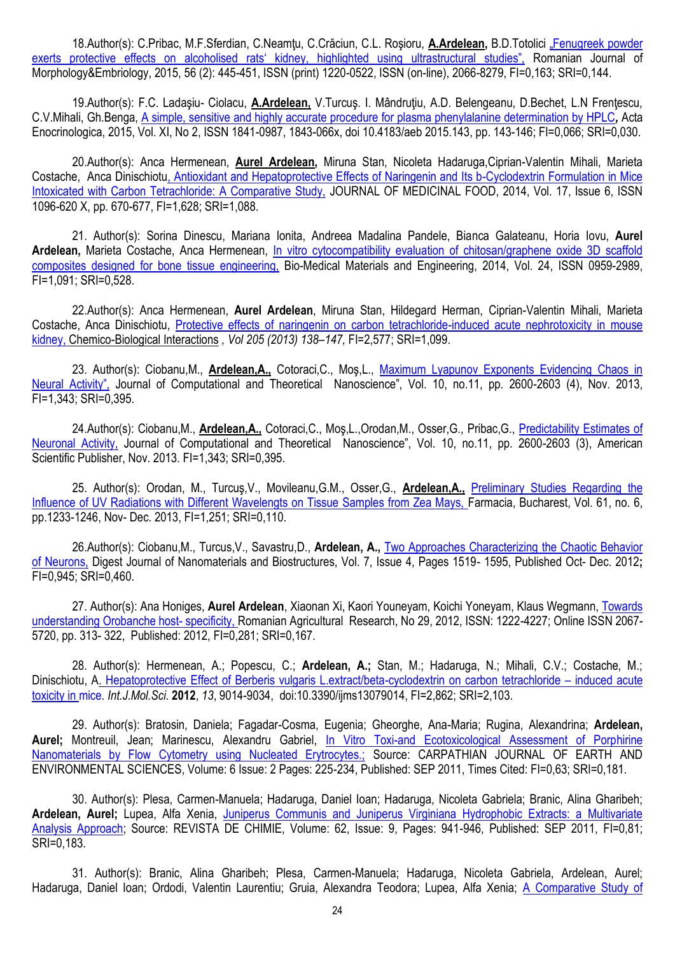18.Author(s): C.Pribac, M.F.Sferdian, C.Neamţu, C.Crăciun, C.L. Roşioru, **A.Ardelean,** B.D.Totolici "Fenugreek powder exerts protective effects on alcoholised rats' kidney, highlighted using ultrastructural studies", Romanian Journal of Morphology&Embriology, 2015, 56 (2): 445-451, ISSN (print) 1220-0522, ISSN (on-line), 2066-8279, FI=0,163; SRI=0,144.

19.Author(s): F.C. Ladaşiu- Ciolacu, **A.Ardelean,** V.Turcuş. I. Mândruţiu, A.D. Belengeanu, D.Bechet, L.N Frenţescu, C.V.Mihali, Gh.Benga, A simple, sensitive and highly accurate procedure for plasma phenylalanine determination by HPLC*,* Acta Enocrinologica, 2015, Vol. XI, No 2, ISSN 1841-0987, 1843-066x, doi 10.4183/aeb 2015.143, pp. 143-146; FI=0,066; SRI=0,030.

20.Author(s): Anca Hermenean, **Aurel Ardelean,** Miruna Stan, Nicoleta Hadaruga,Ciprian-Valentin Mihali, Marieta Costache, Anca Dinischiotu, Antioxidant and Hepatoprotective Effects of Naringenin and Its b-Cyclodextrin Formulation in Mice Intoxicated with Carbon Tetrachloride: A Comparative Study, JOURNAL OF MEDICINAL FOOD, 2014, Vol. 17, Issue 6, ISSN 1096-620 X, pp. 670-677, FI=1,628; SRI=1,088.

21. Author(s): Sorina Dinescu, Mariana Ionita, Andreea Madalina Pandele, Bianca Galateanu, Horia Iovu, **Aurel Ardelean,** Marieta Costache, Anca Hermenean, In vitro cytocompatibility evaluation of chitosan/graphene oxide 3D scaffold composites designed for bone tissue engineering, Bio-Medical Materials and Engineering, 2014, Vol. 24, ISSN 0959-2989, FI=1,091; SRI=0,528.

22.Author(s): Anca Hermenean, **Aurel Ardelean**, Miruna Stan, Hildegard Herman, Ciprian-Valentin Mihali, Marieta Costache, Anca Dinischiotu, Protective effects of naringenin on carbon tetrachloride-induced acute nephrotoxicity in mouse kidney, Chemico-Biological Interactions *, Vol 205 (2013) 138–147,* FI=2,577; SRI=1,099.

23. Author(s): Ciobanu,M., **Ardelean,A.,** Cotoraci,C., Moş,L., Maximum Lyapunov Exponents Evidencing Chaos in Neural Activity", Journal of Computational and Theoretical Nanoscience", Vol. 10, no.11, pp. 2600-2603 (4), Nov. 2013, FI=1,343; SRI=0,395.

24.Author(s): Ciobanu,M., **Ardelean,A.,** Cotoraci,C., Moş,L.,Orodan,M., Osser,G., Pribac,G., Predictability Estimates of Neuronal Activity, Journal of Computational and Theoretical Nanoscience", Vol. 10, no.11, pp. 2600-2603 (3), American Scientific Publisher, Nov. 2013. FI=1,343; SRI=0,395.

25. Author(s): Orodan, M., Turcuş,V., Movileanu,G.M., Osser,G., **Ardelean,A.,** Preliminary Studies Regarding the Influence of UV Radiations with Different Wavelengts on Tissue Samples from Zea Mays, Farmacia, Bucharest, Vol. 61, no. 6, pp.1233-1246, Nov- Dec. 2013, FI=1,251; SRI=0,110.

26.Author(s): Ciobanu,M., Turcus,V., Savastru,D., **Ardelean, A.,** Two Approaches Characterizing the Chaotic Behavior of Neurons, Digest Journal of Nanomaterials and Biostructures, Vol. 7, Issue 4, Pages 1519- 1595, Published Oct- Dec. 2012**;**  FI=0,945; SRI=0,460.

27. Author(s): Ana Honiges, **Aurel Ardelean**, Xiaonan Xi, Kaori Youneyam, Koichi Yoneyam, Klaus Wegmann, Towards understanding Orobanche host- specificity, Romanian Agricultural Research, No 29, 2012, ISSN: 1222-4227; Online ISSN 2067- 5720, pp. 313- 322, Published: 2012, FI=0,281; SRI=0,167.

28. Author(s): Hermenean, A.; Popescu, C.; **Ardelean, A.;** Stan, M.; Hadaruga, N.; Mihali, C.V.; Costache, M.; Dinischiotu, A. Hepatoprotective Effect of Berberis vulgaris L.extract/beta-cyclodextrin on carbon tetrachloride – induced acute toxicity in mice. *Int.J.Mol.Sci*. **2012**, *13*, 9014-9034, doi:10.3390/ijms13079014, FI=2,862; SRI=2,103.

29. Author(s): Bratosin, Daniela; Fagadar-Cosma, Eugenia; Gheorghe, Ana-Maria; Rugina, Alexandrina; **Ardelean,**  Aurel; Montreuil, Jean; Marinescu, Alexandru Gabriel, In Vitro Toxi-and Ecotoxicological Assessment of Porphirine Nanomaterials by Flow Cytometry using Nucleated Erytrocytes.; Source: CARPATHIAN JOURNAL OF EARTH AND ENVIRONMENTAL SCIENCES, Volume: 6 Issue: 2 Pages: 225-234, Published: SEP 2011, Times Cited: FI=0,63; SRI=0,181.

30. Author(s): Plesa, Carmen-Manuela; Hadaruga, Daniel Ioan; Hadaruga, Nicoleta Gabriela; Branic, Alina Gharibeh; **Ardelean, Aurel;** Lupea, Alfa Xenia, [Juniperus Communis and Juniperus Virginiana Hydrophobic Extracts: a Multivariate](http://apps.webofknowledge.com.globalproxy.cvt.dk/full_record.do?product=UA&search_mode=GeneralSearch&qid=5&SID=N23@38A67pe5AO4a1K9&page=1&doc=2)  [Analysis Approach;](http://apps.webofknowledge.com.globalproxy.cvt.dk/full_record.do?product=UA&search_mode=GeneralSearch&qid=5&SID=N23@38A67pe5AO4a1K9&page=1&doc=2) Source: REVISTA DE CHIMIE, Volume: 62, Issue: 9, Pages: 941-946, Published: SEP 2011, FI=0,81; SRI=0,183.

31. Author(s): Branic, Alina Gharibeh; Plesa, Carmen-Manuela; Hadaruga, Nicoleta Gabriela, Ardelean, Aurel; Hadaruga, Daniel Ioan; Ordodi, Valentin Laurentiu; Gruia, Alexandra Teodora; Lupea, Alfa Xenia; [A Comparative Study of](http://apps.webofknowledge.com.globalproxy.cvt.dk/full_record.do?product=UA&search_mode=GeneralSearch&qid=5&SID=N23@38A67pe5AO4a1K9&page=1&doc=3)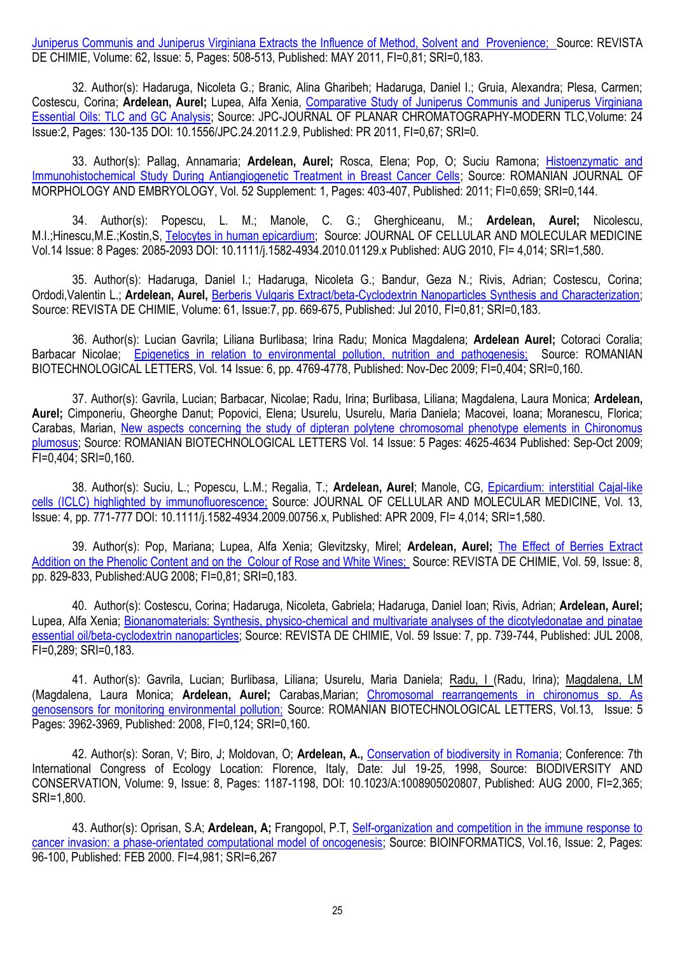[Juniperus Communis and Juniperus Virginiana Extracts the Influence of Method, Solvent and Provenience; S](http://apps.webofknowledge.com.globalproxy.cvt.dk/full_record.do?product=UA&search_mode=GeneralSearch&qid=5&SID=N23@38A67pe5AO4a1K9&page=1&doc=3)ource: REVISTA DE CHIMIE, Volume: 62, Issue: 5, Pages: 508-513, Published: MAY 2011, FI=0,81; SRI=0,183.

32. Author(s): Hadaruga, Nicoleta G.; Branic, Alina Gharibeh; Hadaruga, Daniel I.; Gruia, Alexandra; Plesa, Carmen; Costescu, Corina; **Ardelean, Aurel;** Lupea, Alfa Xenia, [Comparative Study of Juniperus Communis and Juniperus Virginiana](http://apps.webofknowledge.com.globalproxy.cvt.dk/full_record.do?product=UA&search_mode=GeneralSearch&qid=5&SID=N23@38A67pe5AO4a1K9&page=1&doc=4)  [Essential Oils: TLC and GC Analysis;](http://apps.webofknowledge.com.globalproxy.cvt.dk/full_record.do?product=UA&search_mode=GeneralSearch&qid=5&SID=N23@38A67pe5AO4a1K9&page=1&doc=4) Source: JPC-JOURNAL OF PLANAR CHROMATOGRAPHY-MODERN TLC,Volume: 24 Issue:2, Pages: 130-135 DOI: 10.1556/JPC.24.2011.2.9, Published: PR 2011, FI=0,67; SRI=0.

33. Author(s): Pallag, Annamaria; **Ardelean, Aurel;** Rosca, Elena; Pop, O; Suciu Ramona; [Histoenzymatic and](http://apps.webofknowledge.com.globalproxy.cvt.dk/full_record.do?product=UA&search_mode=GeneralSearch&qid=5&SID=N23@38A67pe5AO4a1K9&page=1&doc=5)  [Immunohistochemical Study During Antiangiogenetic Treatment in Breast Cancer Cells;](http://apps.webofknowledge.com.globalproxy.cvt.dk/full_record.do?product=UA&search_mode=GeneralSearch&qid=5&SID=N23@38A67pe5AO4a1K9&page=1&doc=5) Source: ROMANIAN JOURNAL OF MORPHOLOGY AND EMBRYOLOGY, Vol. 52 Supplement: 1, Pages: 403-407, Published: 2011; FI=0,659; SRI=0,144.

34. Author(s): Popescu, L. M.; Manole, C. G.; Gherghiceanu, M.; **Ardelean, Aurel;** Nicolescu, M.I.;Hinescu,M.E.;Kostin,S, [Telocytes in human epicardium;](http://apps.webofknowledge.com.globalproxy.cvt.dk/full_record.do?product=UA&search_mode=GeneralSearch&qid=5&SID=N23@38A67pe5AO4a1K9&page=1&doc=6) Source: JOURNAL OF CELLULAR AND MOLECULAR MEDICINE Vol.14 Issue: 8 Pages: 2085-2093 DOI: 10.1111/j.1582-4934.2010.01129.x Published: AUG 2010, FI= 4,014; SRI=1,580.

35. Author(s): Hadaruga, Daniel I.; Hadaruga, Nicoleta G.; Bandur, Geza N.; Rivis, Adrian; Costescu, Corina; Ordodi,Valentin L.; **Ardelean, Aurel,** [Berberis Vulgaris Extract/beta-Cyclodextrin Nanoparticles Synthesis and Characterization;](http://apps.webofknowledge.com.globalproxy.cvt.dk/full_record.do?product=UA&search_mode=GeneralSearch&qid=5&SID=N23@38A67pe5AO4a1K9&page=1&doc=7)  Source: REVISTA DE CHIMIE, Volume: 61, Issue:7, pp. 669-675, Published: Jul 2010, FI=0,81; SRI=0,183.

36. Author(s): Lucian Gavrila; Liliana Burlibasa; Irina Radu; Monica Magdalena; **Ardelean Aurel;** Cotoraci Coralia; Barbacar Nicolae; [Epigenetics in relation to environmental pollution, nutrition and pathogenesis; S](http://apps.webofknowledge.com.globalproxy.cvt.dk/full_record.do?product=UA&search_mode=GeneralSearch&qid=5&SID=N23@38A67pe5AO4a1K9&page=1&doc=8)ource: ROMANIAN BIOTECHNOLOGICAL LETTERS, Vol. 14 Issue: 6, pp. 4769-4778, Published: Nov-Dec 2009; FI=0,404; SRI=0,160.

37. Author(s): Gavrila, Lucian; Barbacar, Nicolae; Radu, Irina; Burlibasa, Liliana; Magdalena, Laura Monica; **Ardelean, Aurel;** Cimponeriu, Gheorghe Danut; Popovici, Elena; Usurelu, Usurelu, Maria Daniela; Macovei, Ioana; Moranescu, Florica; Carabas, Marian, [New aspects concerning the study of dipteran polytene chromosomal phenotype elements in Chironomus](http://apps.webofknowledge.com.globalproxy.cvt.dk/full_record.do?product=UA&search_mode=GeneralSearch&qid=5&SID=N23@38A67pe5AO4a1K9&page=1&doc=9)  [plumosus;](http://apps.webofknowledge.com.globalproxy.cvt.dk/full_record.do?product=UA&search_mode=GeneralSearch&qid=5&SID=N23@38A67pe5AO4a1K9&page=1&doc=9) Source: ROMANIAN BIOTECHNOLOGICAL LETTERS Vol. 14 Issue: 5 Pages: 4625-4634 Published: Sep-Oct 2009; FI=0,404; SRI=0,160.

38. Author(s): Suciu, L.; Popescu, L.M.; Regalia, T.; **Ardelean, Aurel**; Manole, CG, Epicardium: interstitial Cajal-like cells (ICLC) highlighted by immunofluorescence; Source: JOURNAL OF CELLULAR AND MOLECULAR MEDICINE, Vol. 13, Issue: 4, pp. 771-777 DOI: 10.1111/j.1582-4934.2009.00756.x, Published: APR 2009, FI= 4,014; SRI=1,580.

39. Author(s): Pop, Mariana; Lupea, Alfa Xenia; Glevitzsky, Mirel; **Ardelean, Aurel;** [The Effect of Berries Extract](http://apps.webofknowledge.com.globalproxy.cvt.dk/full_record.do?product=UA&search_mode=GeneralSearch&qid=5&SID=N23@38A67pe5AO4a1K9&page=1&doc=11)  [Addition on the Phenolic Content and on the Colour of Rose and White Wines;](http://apps.webofknowledge.com.globalproxy.cvt.dk/full_record.do?product=UA&search_mode=GeneralSearch&qid=5&SID=N23@38A67pe5AO4a1K9&page=1&doc=11) Source: REVISTA DE CHIMIE, Vol. 59, Issue: 8, pp. 829-833, Published:AUG 2008; FI=0,81; SRI=0,183.

40.Author(s): Costescu, Corina; Hadaruga, Nicoleta, Gabriela; Hadaruga, Daniel Ioan; Rivis, Adrian; **Ardelean, Aurel;** Lupea, Alfa Xenia; [Bionanomaterials: Synthesis, physico-chemical and multivariate analyses of the dicotyledonatae and pinatae](http://apps.webofknowledge.com.globalproxy.cvt.dk/full_record.do?product=UA&search_mode=GeneralSearch&qid=5&SID=N23@38A67pe5AO4a1K9&page=1&doc=12)  [essential oil/beta-cyclodextrin nanoparticles;](http://apps.webofknowledge.com.globalproxy.cvt.dk/full_record.do?product=UA&search_mode=GeneralSearch&qid=5&SID=N23@38A67pe5AO4a1K9&page=1&doc=12) Source: REVISTA DE CHIMIE, Vol. 59 Issue: 7, pp. 739-744, Published: JUL 2008, FI=0,289; SRI=0,183.

41. Author(s): Gavrila, Lucian; Burlibasa, Liliana; Usurelu, Maria Daniela; [Radu, I \(](http://apps.webofknowledge.com.globalproxy.cvt.dk/OneClickSearch.do?product=UA&search_mode=OneClickSearch&colName=WOS&SID=N23@38A67pe5AO4a1K9&field=AU&value=Radu,%20I)Radu, Irina); [Magdalena, LM](http://apps.webofknowledge.com.globalproxy.cvt.dk/OneClickSearch.do?product=UA&search_mode=OneClickSearch&colName=WOS&SID=N23@38A67pe5AO4a1K9&field=AU&value=Magdalena,%20LM)  (Magdalena, Laura Monica; **Ardelean, Aurel;** Carabas,Marian; Chromosomal rearrangements in chironomus sp. As genosensors for monitoring environmental pollution; Source: ROMANIAN BIOTECHNOLOGICAL LETTERS, Vol.13, Issue: 5 Pages: 3962-3969, Published: 2008, FI=0,124; SRI=0,160.

42. Author(s): Soran, V; Biro, J; Moldovan, O; **Ardelean, A.,** [Conservation of biodiversity in Romania;](http://apps.webofknowledge.com.globalproxy.cvt.dk/full_record.do?product=UA&search_mode=GeneralSearch&qid=5&SID=N23@38A67pe5AO4a1K9&page=1&doc=15) Conference: 7th International Congress of Ecology Location: Florence, Italy, Date: Jul 19-25, 1998, Source: BIODIVERSITY AND CONSERVATION, Volume: 9, Issue: 8, Pages: 1187-1198, DOI: 10.1023/A:1008905020807, Published: AUG 2000, FI=2,365; SRI=1,800.

43. Author(s): Oprisan, S.A; **Ardelean, A;** Frangopol, P.T, [Self-organization and competition in the immune response to](http://apps.webofknowledge.com.globalproxy.cvt.dk/full_record.do?product=UA&search_mode=GeneralSearch&qid=5&SID=N23@38A67pe5AO4a1K9&page=1&doc=16)  [cancer invasion: a phase-orientated computational model of oncogenesis;](http://apps.webofknowledge.com.globalproxy.cvt.dk/full_record.do?product=UA&search_mode=GeneralSearch&qid=5&SID=N23@38A67pe5AO4a1K9&page=1&doc=16) Source: BIOINFORMATICS, Vol.16, Issue: 2, Pages: 96-100, Published: FEB 2000. FI=4,981; SRI=6,267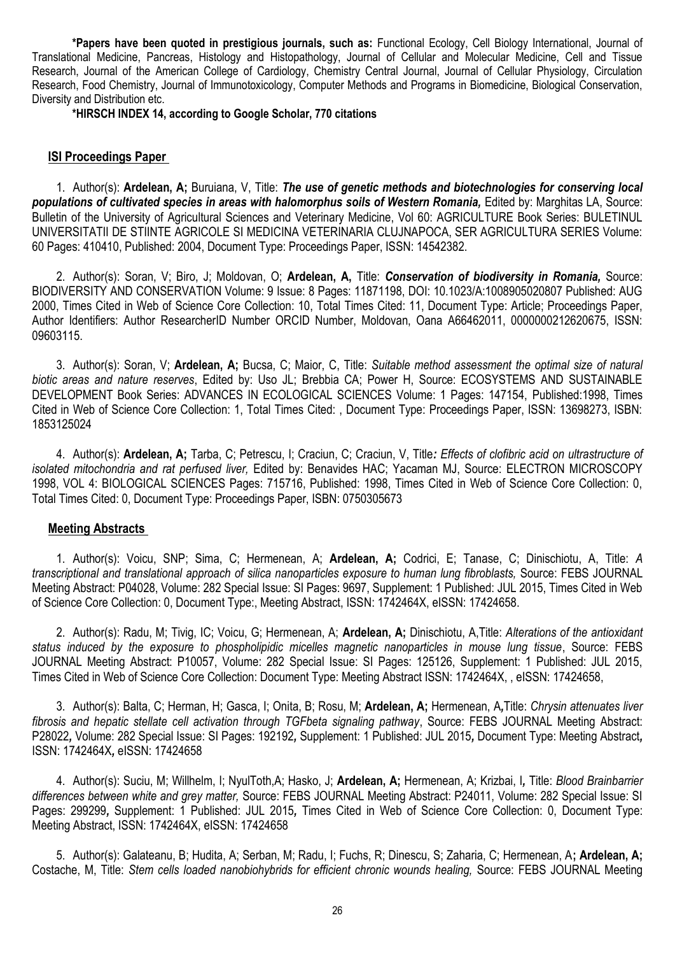**\*Papers have been quoted in prestigious journals, such as:** Functional Ecology, Cell Biology International, Journal of Translational Medicine, Pancreas, Histology and Histopathology, Journal of Cellular and Molecular Medicine, Cell and Tissue Research, Journal of the American College of Cardiology, Chemistry Central Journal, Journal of Cellular Physiology, Circulation Research, Food Chemistry, Journal of Immunotoxicology, Computer Methods and Programs in Biomedicine, Biological Conservation, Diversity and Distribution etc.

**\*HIRSCH INDEX 14, according to Google Scholar, 770 citations**

## **ISI Proceedings Paper**

1. Author(s): **Ardelean, A;** Buruiana, V, Title: *The use of genetic methods and biotechnologies for conserving local*  populations of cultivated species in areas with halomorphus soils of Western Romania, Edited by: Marghitas LA, Source: Bulletin of the University of Agricultural Sciences and Veterinary Medicine, Vol 60: AGRICULTURE Book Series: BULETINUL UNIVERSITATII DE STIINTE AGRICOLE SI MEDICINA VETERINARIA CLUJNAPOCA, SER AGRICULTURA SERIES Volume: 60 Pages: 410410, Published: 2004, Document Type: Proceedings Paper, ISSN: 14542382.

2. Author(s): Soran, V; Biro, J; Moldovan, O; **Ardelean, A,** Title: *Conservation of biodiversity in Romania,* Source: BIODIVERSITY AND CONSERVATION Volume: 9 Issue: 8 Pages: 11871198, DOI: 10.1023/A:1008905020807 Published: AUG 2000, Times Cited in Web of Science Core Collection: 10, Total Times Cited: 11, Document Type: Article; Proceedings Paper, Author Identifiers: Author ResearcherID Number ORCID Number, Moldovan, Oana A66462011, 0000000212620675, ISSN: 09603115.

3. Author(s): Soran, V; **Ardelean, A;** Bucsa, C; Maior, C, Title: *Suitable method assessment the optimal size of natural biotic areas and nature reserves*, Edited by: Uso JL; Brebbia CA; Power H, Source: ECOSYSTEMS AND SUSTAINABLE DEVELOPMENT Book Series: ADVANCES IN ECOLOGICAL SCIENCES Volume: 1 Pages: 147154, Published:1998, Times Cited in Web of Science Core Collection: 1, Total Times Cited: , Document Type: Proceedings Paper, ISSN: 13698273, ISBN: 1853125024

4. Author(s): **Ardelean, A;** Tarba, C; Petrescu, I; Craciun, C; Craciun, V, Title*: Effects of clofibric acid on ultrastructure of isolated mitochondria and rat perfused liver,* Edited by: Benavides HAC; Yacaman MJ, Source: ELECTRON MICROSCOPY 1998, VOL 4: BIOLOGICAL SCIENCES Pages: 715716, Published: 1998, Times Cited in Web of Science Core Collection: 0, Total Times Cited: 0, Document Type: Proceedings Paper, ISBN: 0750305673

## **Meeting Abstracts**

1. Author(s): Voicu, SNP; Sima, C; Hermenean, A; **Ardelean, A;** Codrici, E; Tanase, C; Dinischiotu, A, Title: *A transcriptional and translational approach of silica nanoparticles exposure to human lung fibroblasts,* Source: FEBS JOURNAL Meeting Abstract: P04028, Volume: 282 Special Issue: SI Pages: 9697, Supplement: 1 Published: JUL 2015, Times Cited in Web of Science Core Collection: 0, Document Type:, Meeting Abstract, ISSN: 1742464X, eISSN: 17424658.

2. Author(s): Radu, M; Tivig, IC; Voicu, G; Hermenean, A; **Ardelean, A;** Dinischiotu, A,Title: *Alterations of the antioxidant status induced by the exposure to phospholipidic micelles magnetic nanoparticles in mouse lung tissue*, Source: FEBS JOURNAL Meeting Abstract: P10057, Volume: 282 Special Issue: SI Pages: 125126, Supplement: 1 Published: JUL 2015, Times Cited in Web of Science Core Collection: Document Type: Meeting Abstract ISSN: 1742464X, , eISSN: 17424658,

3. Author(s): Balta, C; Herman, H; Gasca, I; Onita, B; Rosu, M; **Ardelean, A;** Hermenean, A*,*Title: *Chrysin attenuates liver fibrosis and hepatic stellate cell activation through TGFbeta signaling pathway*, Source: FEBS JOURNAL Meeting Abstract: P28022*,* Volume: 282 Special Issue: SI Pages: 192192*,* Supplement: 1 Published: JUL 2015*,* Document Type: Meeting Abstract*,*  ISSN: 1742464X*,* eISSN: 17424658

4. Author(s): Suciu, M; Willhelm, I; NyulToth,A; Hasko, J; **Ardelean, A;** Hermenean, A; Krizbai, I*,* Title: *Blood Brainbarrier differences between white and grey matter,* Source: FEBS JOURNAL Meeting Abstract: P24011, Volume: 282 Special Issue: SI Pages: 299299*,* Supplement: 1 Published: JUL 2015*,* Times Cited in Web of Science Core Collection: 0, Document Type: Meeting Abstract, ISSN: 1742464X, eISSN: 17424658

5. Author(s): Galateanu, B; Hudita, A; Serban, M; Radu, I; Fuchs, R; Dinescu, S; Zaharia, C; Hermenean, A**; Ardelean, A;** Costache, M, Title: *Stem cells loaded nanobiohybrids for efficient chronic wounds healing,* Source: FEBS JOURNAL Meeting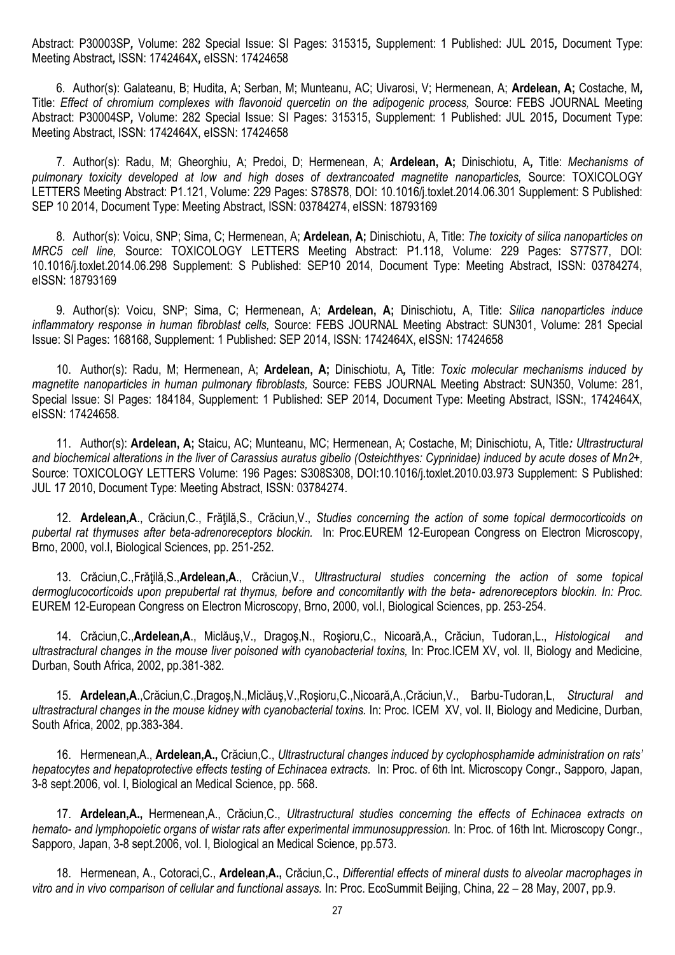Abstract: P30003SP*,* Volume: 282 Special Issue: SI Pages: 315315*,* Supplement: 1 Published: JUL 2015*,* Document Type: Meeting Abstract*,* ISSN: 1742464X*,* eISSN: 17424658

6. Author(s): Galateanu, B; Hudita, A; Serban, M; Munteanu, AC; Uivarosi, V; Hermenean, A; **Ardelean, A;** Costache, M*,*  Title: *Effect of chromium complexes with flavonoid quercetin on the adipogenic process,* Source: FEBS JOURNAL Meeting Abstract: P30004SP*,* Volume: 282 Special Issue: SI Pages: 315315, Supplement: 1 Published: JUL 2015*,* Document Type: Meeting Abstract, ISSN: 1742464X, eISSN: 17424658

7. Author(s): Radu, M; Gheorghiu, A; Predoi, D; Hermenean, A; **Ardelean, A;** Dinischiotu, A*,* Title: *Mechanisms of pulmonary toxicity developed at low and high doses of dextrancoated magnetite nanoparticles,* Source: TOXICOLOGY LETTERS Meeting Abstract: P1.121, Volume: 229 Pages: S78S78, DOI: 10.1016/j.toxlet.2014.06.301 Supplement: S Published: SEP 10 2014, Document Type: Meeting Abstract, ISSN: 03784274, eISSN: 18793169

8. Author(s): Voicu, SNP; Sima, C; Hermenean, A; **Ardelean, A;** Dinischiotu, A, Title: *The toxicity of silica nanoparticles on MRC5 cell line,* Source: TOXICOLOGY LETTERS Meeting Abstract: P1.118, Volume: 229 Pages: S77S77, DOI: 10.1016/j.toxlet.2014.06.298 Supplement: S Published: SEP10 2014, Document Type: Meeting Abstract, ISSN: 03784274, eISSN: 18793169

9. Author(s): Voicu, SNP; Sima, C; Hermenean, A; **Ardelean, A;** Dinischiotu, A, Title: *Silica nanoparticles induce inflammatory response in human fibroblast cells,* Source: FEBS JOURNAL Meeting Abstract: SUN301, Volume: 281 Special Issue: SI Pages: 168168, Supplement: 1 Published: SEP 2014, ISSN: 1742464X, eISSN: 17424658

10. Author(s): Radu, M; Hermenean, A; **Ardelean, A;** Dinischiotu, A*,* Title: *Toxic molecular mechanisms induced by magnetite nanoparticles in human pulmonary fibroblasts,* Source: FEBS JOURNAL Meeting Abstract: SUN350, Volume: 281, Special Issue: SI Pages: 184184, Supplement: 1 Published: SEP 2014, Document Type: Meeting Abstract, ISSN:, 1742464X, eISSN: 17424658.

11. Author(s): **Ardelean, A;** Staicu, AC; Munteanu, MC; Hermenean, A; Costache, M; Dinischiotu, A, Title*: Ultrastructural and biochemical alterations in the liver of Carassius auratus gibelio (Osteichthyes: Cyprinidae) induced by acute doses of Mn2+,* Source: TOXICOLOGY LETTERS Volume: 196 Pages: S308S308, DOI:10.1016/j.toxlet.2010.03.973 Supplement: S Published: JUL 17 2010, Document Type: Meeting Abstract, ISSN: 03784274.

12. **Ardelean,A**., Crăciun,C., Frăţilă,S., Crăciun,V., *Studies concerning the action of some topical dermocorticoids on pubertal rat thymuses after beta-adrenoreceptors blockin.* In: Proc.EUREM 12-European Congress on Electron Microscopy, Brno, 2000, vol.I, Biological Sciences, pp. 251-252.

13. Crăciun,C.,Frăţilă,S.,**Ardelean,A**., Crăciun,V., *Ultrastructural studies concerning the action of some topical dermoglucocorticoids upon prepubertal rat thymus, before and concomitantly with the beta- adrenoreceptors blockin. In: Proc.* EUREM 12-European Congress on Electron Microscopy, Brno, 2000, vol.I, Biological Sciences, pp. 253-254.

14. Crăciun,C.,**Ardelean,A**., Miclăuş,V., Dragoş,N., Roşioru,C., Nicoară,A., Crăciun, Tudoran,L., *Histological and ultrastractural changes in the mouse liver poisoned with cyanobacterial toxins,* In: Proc.ICEM XV, vol. II, Biology and Medicine, Durban, South Africa, 2002, pp.381-382.

15. **Ardelean,A**.,Crăciun,C.,Dragoş,N.,Miclăuş,V.,Roşioru,C.,Nicoară,A.,Crăciun,V., Barbu-Tudoran,L, *Structural and ultrastractural changes in the mouse kidney with cyanobacterial toxins.* In: Proc. ICEM XV, vol. II, Biology and Medicine, Durban, South Africa, 2002, pp.383-384.

16. Hermenean,A., **Ardelean,A.,** Crăciun,C., *Ultrastructural changes induced by cyclophosphamide administration on rats' hepatocytes and hepatoprotective effects testing of Echinacea extracts.* In: Proc. of 6th Int. Microscopy Congr., Sapporo, Japan, 3-8 sept.2006, vol. I, Biological an Medical Science, pp. 568.

17. **Ardelean,A.,** Hermenean,A., Crăciun,C., *Ultrastructural studies concerning the effects of Echinacea extracts on hemato- and lymphopoietic organs of wistar rats after experimental immunosuppression.* In: Proc. of 16th Int. Microscopy Congr., Sapporo, Japan, 3-8 sept.2006, vol. I, Biological an Medical Science, pp.573.

18. Hermenean, A., Cotoraci,C., **Ardelean,A.,** Crăciun,C., *Differential effects of mineral dusts to alveolar macrophages in vitro and in vivo comparison of cellular and functional assays.* In: Proc. EcoSummit Beijing, China, 22 – 28 May, 2007, pp.9.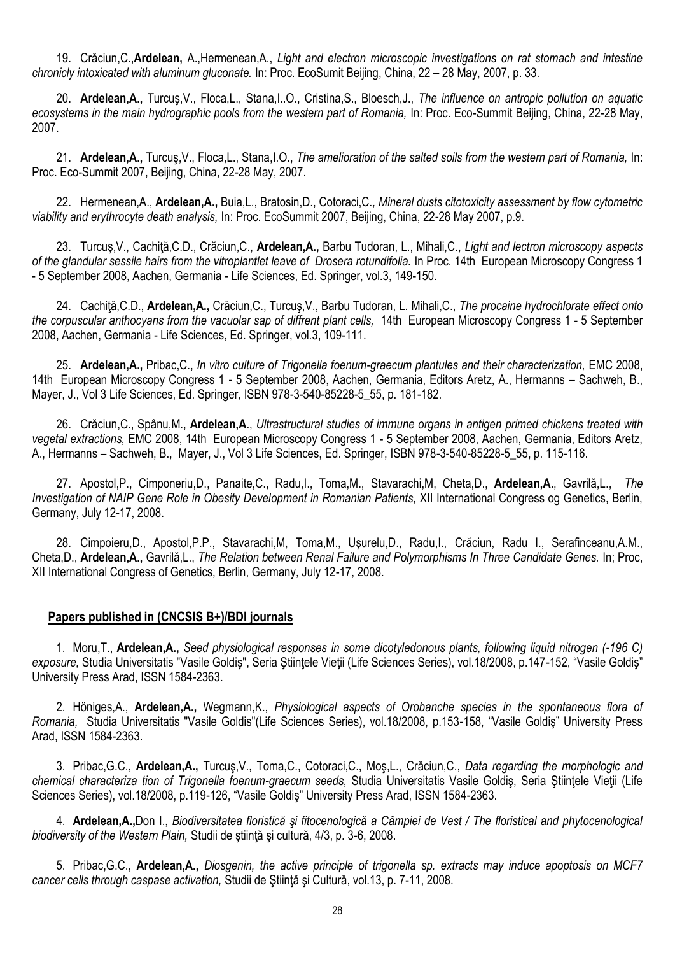19. Crăciun,C.,**Ardelean,** A.,Hermenean,A., *Light and electron microscopic investigations on rat stomach and intestine chronicly intoxicated with aluminum gluconate.* In: Proc. EcoSumit Beijing, China, 22 – 28 May, 2007, p. 33.

20. **Ardelean,A.,** Turcuş,V., Floca,L., Stana,I..O., Cristina,S., Bloesch,J., *The influence on antropic pollution on aquatic*  ecosystems in the main hydrographic pools from the western part of Romania, In: Proc. Eco-Summit Beijing, China, 22-28 May, 2007.

21. **Ardelean,A.,** Turcuş,V., Floca,L., Stana,I.O., *The amelioration of the salted soils from the western part of Romania,* In: Proc. Eco-Summit 2007, Beijing, China, 22-28 May, 2007.

22. Hermenean,A., **Ardelean,A.,** Buia,L., Bratosin,D., Cotoraci,C*., Mineral dusts citotoxicity assessment by flow cytometric viability and erythrocyte death analysis,* In: Proc. EcoSummit 2007, Beijing, China, 22-28 May 2007, p.9.

23. Turcuş,V., Cachiţă,C.D., Crăciun,C., **Ardelean,A.,** Barbu Tudoran, L., Mihali,C., *Light and lectron microscopy aspects of the glandular sessile hairs from the vitroplantlet leave of Drosera rotundifolia.* In Proc. 14th European Microscopy Congress 1 - 5 September 2008, Aachen, Germania - Life Sciences, Ed. Springer, vol.3, 149-150.

24. Cachiţă,C.D., **Ardelean,A.,** Crăciun,C., Turcuş,V., Barbu Tudoran, L. Mihali,C., *The procaine hydrochlorate effect onto the corpuscular anthocyans from the vacuolar sap of diffrent plant cells,* 14th European Microscopy Congress 1 - 5 September 2008, Aachen, Germania - Life Sciences, Ed. Springer, vol.3, 109-111.

25. **Ardelean,A.,** Pribac,C., *In vitro culture of Trigonella foenum-graecum plantules and their characterization,* EMC 2008, 14th European Microscopy Congress 1 - 5 September 2008, Aachen, Germania, Editors Aretz, A., Hermanns – Sachweh, B., Mayer, J., Vol 3 Life Sciences, Ed. Springer, ISBN 978-3-540-85228-5\_55, p. 181-182.

26. Crăciun,C., Spânu,M., **Ardelean,A**., *Ultrastructural studies of immune organs in antigen primed chickens treated with vegetal extractions,* EMC 2008, 14th European Microscopy Congress 1 - 5 September 2008, Aachen, Germania, Editors Aretz, A., Hermanns – Sachweh, B., Mayer, J., Vol 3 Life Sciences, Ed. Springer, ISBN 978-3-540-85228-5\_55, p. 115-116.

27. Apostol,P., Cimponeriu,D., Panaite,C., Radu,I., Toma,M., Stavarachi,M, Cheta,D., **Ardelean,A**., Gavrilă,L., *The Investigation of NAIP Gene Role in Obesity Development in Romanian Patients,* XII International Congress og Genetics, Berlin, Germany, July 12-17, 2008.

28. Cimpoieru,D., Apostol,P.P., Stavarachi,M, Toma,M., Uşurelu,D., Radu,I., Crăciun, Radu I., Serafinceanu,A.M., Cheta,D., **Ardelean,A.,** Gavrilă,L., *The Relation between Renal Failure and Polymorphisms In Three Candidate Genes.* In; Proc, XII International Congress of Genetics, Berlin, Germany, July 12-17, 2008.

## **Papers published in (CNCSIS B+)/BDI journals**

1. Moru,T., **Ardelean,A.,** *Seed physiological responses in some dicotyledonous plants, following liquid nitrogen (-196 C)*  exposure, Studia Universitatis "Vasile Goldiş", Seria Ştiințele Vieții (Life Sciences Series), vol.18/2008, p.147-152, "Vasile Goldiş" University Press Arad, ISSN 1584-2363.

2. Höniges,A., **Ardelean,A.,** Wegmann,K., *Physiological aspects of Orobanche species in the spontaneous flora of Romania,* Studia Universitatis "Vasile Goldis"(Life Sciences Series), vol.18/2008, p.153-158, "Vasile Goldiş" University Press Arad, ISSN 1584-2363.

3. Pribac,G.C., **Ardelean,A.,** Turcuş,V., Toma,C., Cotoraci,C., Moş,L., Crăciun,C., *Data regarding the morphologic and chemical characteriza tion of Trigonella foenum-graecum seeds,* Studia Universitatis Vasile Goldiş, Seria Ştiinţele Vieţii (Life Sciences Series), vol.18/2008, p.119-126, "Vasile Goldiş" University Press Arad, ISSN 1584-2363.

4. **Ardelean,A.,**Don I., *Biodiversitatea floristică şi fitocenologică a Câmpiei de Vest / The floristical and phytocenological biodiversity of the Western Plain,* Studii de ştiinţă şi cultură, 4/3, p. 3-6, 2008.

5. Pribac,G.C., **Ardelean,A.,** *Diosgenin, the active principle of trigonella sp. extracts may induce apoptosis on MCF7 cancer cells through caspase activation,* Studii de Ştiinţă şi Cultură, vol.13, p. 7-11, 2008.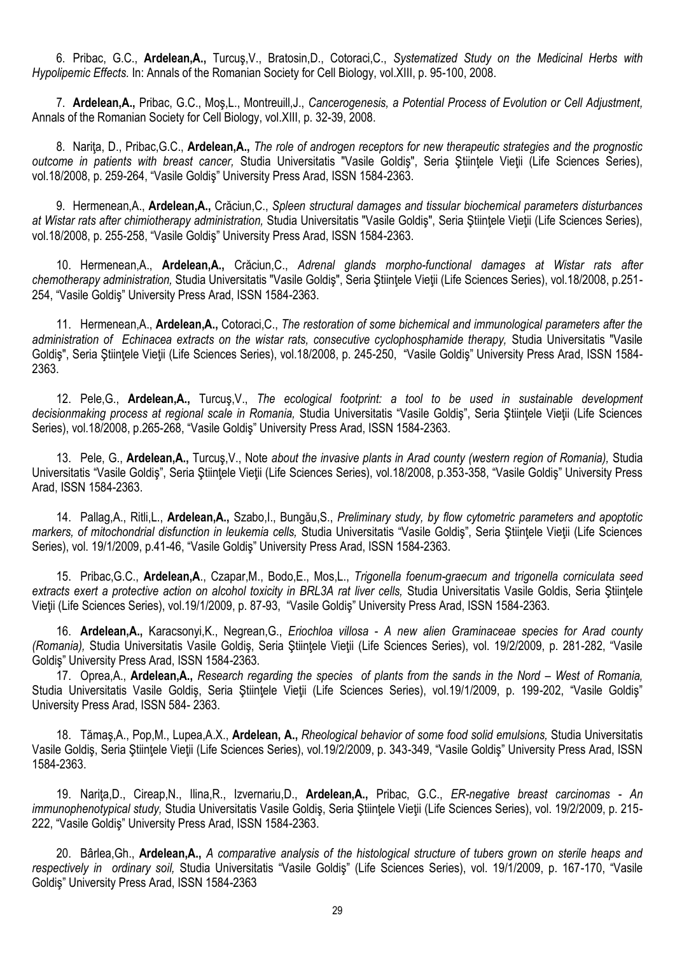6. Pribac, G.C., **Ardelean,A.,** Turcuş,V., Bratosin,D., Cotoraci,C., *Systematized Study on the Medicinal Herbs with Hypolipemic Effects.* In: Annals of the Romanian Society for Cell Biology, vol.XIII, p. 95-100, 2008.

7. **Ardelean,A.,** Pribac, G.C., Moş,L., Montreuill,J., *Cancerogenesis, a Potential Process of Evolution or Cell Adjustment,*  Annals of the Romanian Society for Cell Biology, vol.XIII, p. 32-39, 2008.

8. Nariţa, D., Pribac,G.C., **Ardelean,A.,** *The role of androgen receptors for new therapeutic strategies and the prognostic outcome in patients with breast cancer,* Studia Universitatis "Vasile Goldiş", Seria Ştiinţele Vieţii (Life Sciences Series), vol.18/2008, p. 259-264, "Vasile Goldiş" University Press Arad, ISSN 1584-2363.

9. Hermenean,A., **Ardelean,A.,** Crăciun,C., *Spleen structural damages and tissular biochemical parameters disturbances at Wistar rats after chimiotherapy administration,* Studia Universitatis "Vasile Goldiş", Seria Ştiinţele Vieţii (Life Sciences Series), vol.18/2008, p. 255-258, "Vasile Goldiş" University Press Arad, ISSN 1584-2363.

10. Hermenean,A., **Ardelean,A.,** Crăciun,C., *Adrenal glands morpho-functional damages at Wistar rats after chemotherapy administration,* Studia Universitatis "Vasile Goldiş", Seria Ştiinţele Vieţii (Life Sciences Series), vol.18/2008, p.251- 254, "Vasile Goldiş" University Press Arad, ISSN 1584-2363.

11. Hermenean,A., **Ardelean,A.,** Cotoraci,C., *The restoration of some bichemical and immunological parameters after the administration of Echinacea extracts on the wistar rats, consecutive cyclophosphamide therapy,* Studia Universitatis "Vasile Goldiş", Seria Ştiințele Vieții (Life Sciences Series), vol.18/2008, p. 245-250, "Vasile Goldiș" University Press Arad, ISSN 1584-2363.

12. Pele,G., **Ardelean,A.,** Turcuş,V., *The ecological footprint: a tool to be used in sustainable development decisionmaking process at regional scale in Romania,* Studia Universitatis "Vasile Goldiş", Seria Ştiinţele Vieţii (Life Sciences Series), vol.18/2008, p.265-268, "Vasile Goldiş" University Press Arad, ISSN 1584-2363.

13. Pele, G., **Ardelean,A.,** Turcuş,V., Note *about the invasive plants in Arad county (western region of Romania),* Studia Universitatis "Vasile Goldiş", Seria Ştiinţele Vieţii (Life Sciences Series), vol.18/2008, p.353-358, "Vasile Goldiş" University Press Arad, ISSN 1584-2363.

14. Pallag,A., Ritli,L., **Ardelean,A.,** Szabo,I., Bungău,S., *Preliminary study, by flow cytometric parameters and apoptotic markers, of mitochondrial disfunction in leukemia cells,* Studia Universitatis "Vasile Goldiş", Seria Ştiinţele Vieţii (Life Sciences Series), vol. 19/1/2009, p.41-46, "Vasile Goldiş" University Press Arad, ISSN 1584-2363.

15. Pribac,G.C., **Ardelean,A**., Czapar,M., Bodo,E., Mos,L., *Trigonella foenum-graecum and trigonella corniculata seed*  extracts exert a protective action on alcohol toxicity in BRL3A rat liver cells. Studia Universitatis Vasile Goldis, Seria Stiintele Vieţii (Life Sciences Series), vol.19/1/2009, p. 87-93, "Vasile Goldiş" University Press Arad, ISSN 1584-2363.

16. **Ardelean,A.,** Karacsonyi,K., Negrean,G., *Eriochloa villosa* - *A new alien Graminaceae species for Arad county (Romania),* Studia Universitatis Vasile Goldiş, Seria Ştiinţele Vieţii (Life Sciences Series), vol. 19/2/2009, p. 281-282, "Vasile Goldiş" University Press Arad, ISSN 1584-2363.

17. Oprea, A., **Ardelean, A.,** Research regarding the species of plants from the sands in the Nord – West of Romania, Studia Universitatis Vasile Goldiş, Seria Ştiinţele Vieţii (Life Sciences Series), vol.19/1/2009, p. 199-202, "Vasile Goldiş" University Press Arad, ISSN 584- 2363.

18. Tămaş,A., Pop,M., Lupea,A.X., **Ardelean, A.,** *Rheological behavior of some food solid emulsions,* Studia Universitatis Vasile Goldiş, Seria Ştiinţele Vieţii (Life Sciences Series), vol.19/2/2009, p. 343-349, "Vasile Goldiş" University Press Arad, ISSN 1584-2363.

19. Nariţa,D., Cireap,N., Ilina,R., Izvernariu,D., **Ardelean,A.,** Pribac, G.C., *ER-negative breast carcinomas - An immunophenotypical study,* Studia Universitatis Vasile Goldiş, Seria Ştiinţele Vieţii (Life Sciences Series), vol. 19/2/2009, p. 215- 222, "Vasile Goldiş" University Press Arad, ISSN 1584-2363.

20. Bârlea,Gh., **Ardelean,A.,** *A comparative analysis of the histological structure of tubers grown on sterile heaps and respectively in ordinary soil,* Studia Universitatis "Vasile Goldiş" (Life Sciences Series), vol. 19/1/2009, p. 167-170, "Vasile Goldiş" University Press Arad, ISSN 1584-2363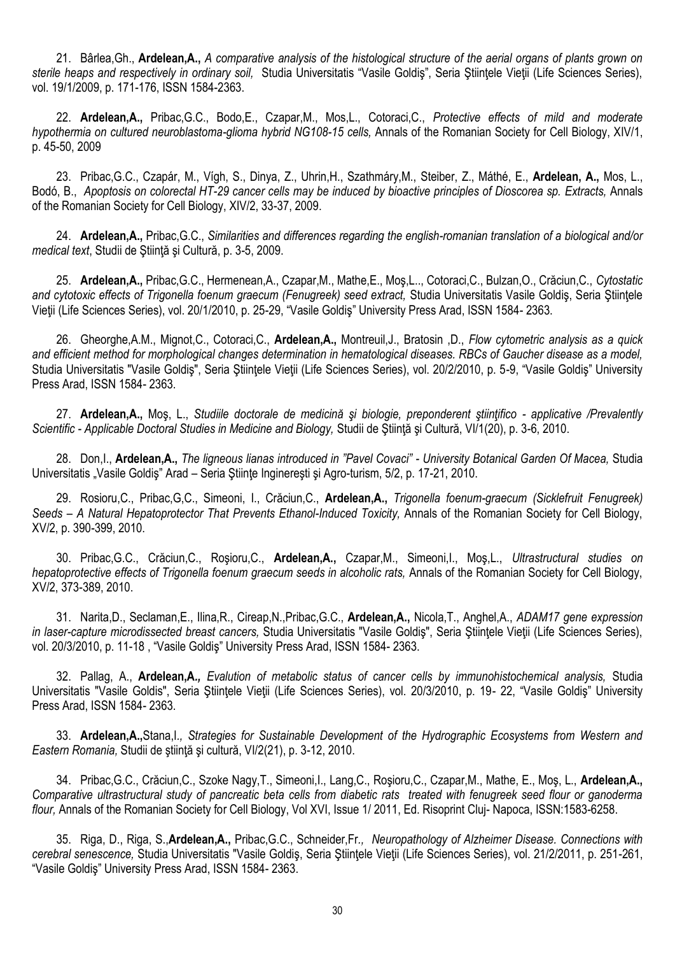21. Bârlea,Gh., **Ardelean,A.,** *A comparative analysis of the histological structure of the aerial organs of plants grown on sterile heaps and respectively in ordinary soil,* Studia Universitatis "Vasile Goldiş", Seria Ştiinţele Vieţii (Life Sciences Series), vol. 19/1/2009, p. 171-176, ISSN 1584-2363.

22. **Ardelean,A.,** Pribac,G.C., Bodo,E., Czapar,M., Mos,L., Cotoraci,C., *Protective effects of mild and moderate hypothermia on cultured neuroblastoma-glioma hybrid NG108-15 cells,* Annals of the Romanian Society for Cell Biology, XIV/1, p. 45-50, 2009

23. Pribac,G.C., Czapár, M., Vígh, S., Dinya, Z., Uhrin,H., Szathmáry,M., Steiber, Z., Máthé, E., **Ardelean, A.,** Mos, L., Bodó, B., *Apoptosis on colorectal HT-29 cancer cells may be induced by bioactive principles of Dioscorea sp. Extracts,* Annals of the Romanian Society for Cell Biology, XIV/2, 33-37, 2009.

24. **Ardelean,A.,** Pribac,G.C., *Similarities and differences regarding the english-romanian translation of a biological and/or medical text*, Studii de Ştiinţă şi Cultură, p. 3-5, 2009.

25. **Ardelean,A.,** Pribac,G.C., Hermenean,A., Czapar,M., Mathe,E., Moş,L.., Cotoraci,C., Bulzan,O., Crăciun,C., *Cytostatic*  and cytotoxic effects of Trigonella foenum graecum (Fenugreek) seed extract, Studia Universitatis Vasile Goldis, Seria Stiintele Vieţii (Life Sciences Series), vol. 20/1/2010, p. 25-29, "Vasile Goldiş" University Press Arad, ISSN 1584- 2363.

26. Gheorghe,A.M., Mignot,C., Cotoraci,C., **Ardelean,A.,** Montreuil,J., Bratosin ,D., *Flow cytometric analysis as a quick and efficient method for morphological changes determination in hematological diseases. RBCs of Gaucher disease as a model,*  Studia Universitatis "Vasile Goldiş", Seria Ştiințele Vieții (Life Sciences Series), vol. 20/2/2010, p. 5-9, "Vasile Goldiș" University Press Arad, ISSN 1584- 2363.

27. **Ardelean,A.,** Moş, L., *Studiile doctorale de medicină şi biologie, preponderent ştiinţifico - applicative /Prevalently Scientific - Applicable Doctoral Studies in Medicine and Biology,* Studii de Ştiinţă şi Cultură, VI/1(20), p. 3-6, 2010.

28. Don,I., **Ardelean,A.,** *The ligneous lianas introduced in "Pavel Covaci" - University Botanical Garden Of Macea,* Studia Universitatis "Vasile Goldiş" Arad – Seria Ştiinţe Inginereşti şi Agro-turism, 5/2, p. 17-21, 2010.

29. Rosioru,C., Pribac,G,C., Simeoni, I., Crăciun,C., **Ardelean,A.,** *Trigonella foenum-graecum (Sicklefruit Fenugreek) Seeds – A Natural Hepatoprotector That Prevents Ethanol-Induced Toxicity,* Annals of the Romanian Society for Cell Biology, XV/2, p. 390-399, 2010.

30. Pribac,G.C., Crăciun,C., Roşioru,C., **Ardelean,A.,** Czapar,M., Simeoni,I., Moş,L., *Ultrastructural studies on hepatoprotective effects of Trigonella foenum graecum seeds in alcoholic rats,* Annals of the Romanian Society for Cell Biology, XV/2, 373-389, 2010.

31. Narita,D., Seclaman,E., Ilina,R., Cireap,N.,Pribac,G.C., **Ardelean,A.,** Nicola,T., Anghel,A., *ADAM17 gene expression in laser-capture microdissected breast cancers,* Studia Universitatis "Vasile Goldiş", Seria Ştiinţele Vieţii (Life Sciences Series), vol. 20/3/2010, p. 11-18 , "Vasile Goldiş" University Press Arad, ISSN 1584- 2363.

32. Pallag, A., **Ardelean,A***., Evalution of metabolic status of cancer cells by immunohistochemical analysis,* Studia Universitatis "Vasile Goldis", Seria Ştiinţele Vieţii (Life Sciences Series), vol. 20/3/2010, p. 19- 22, "Vasile Goldiş" University Press Arad, ISSN 1584- 2363.

33. **Ardelean,A.,**Stana,I*., Strategies for Sustainable Development of the Hydrographic Ecosystems from Western and Eastern Romania,* Studii de ştiinţă şi cultură, VI/2(21), p. 3-12, 2010.

34. Pribac,G.C., Crăciun,C., Szoke Nagy,T., Simeoni,I., Lang,C., Roşioru,C., Czapar,M., Mathe, E., Moş, L., **Ardelean,A.,** *Comparative ultrastructural study of pancreatic beta cells from diabetic rats treated with fenugreek seed flour or ganoderma flour,* Annals of the Romanian Society for Cell Biology, Vol XVI, Issue 1/ 2011, Ed. Risoprint Cluj- Napoca, ISSN:1583-6258.

35. Riga, D., Riga, S.,**Ardelean,A.,** Pribac,G.C., Schneider,Fr*., Neuropathology of Alzheimer Disease. Connections with cerebral senescence,* Studia Universitatis "Vasile Goldiş, Seria Ştiinţele Vieţii (Life Sciences Series), vol. 21/2/2011, p. 251-261, "Vasile Goldiş" University Press Arad, ISSN 1584- 2363.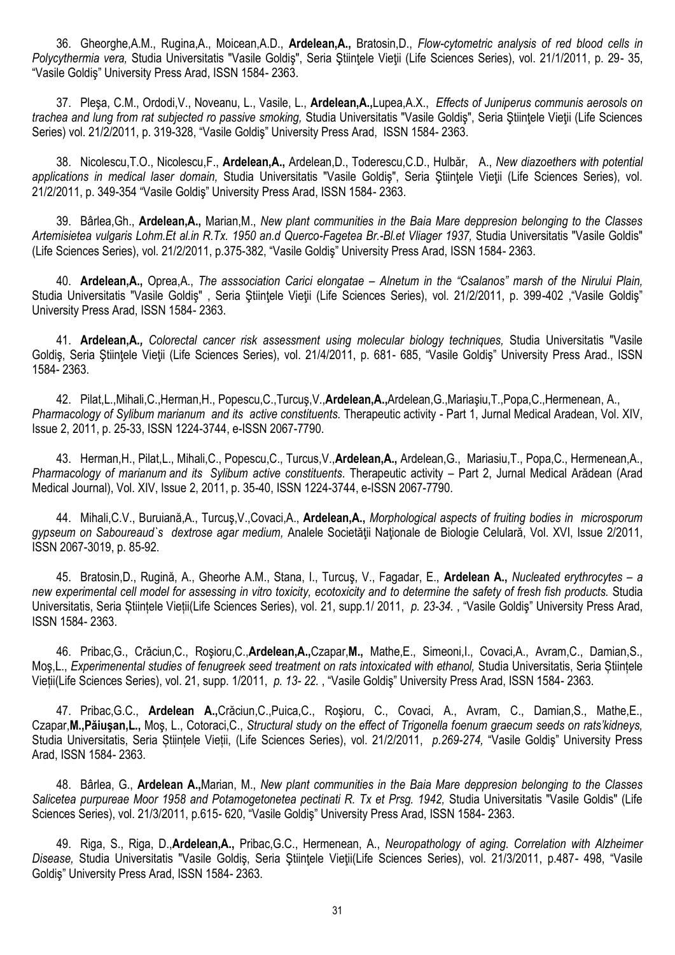36. Gheorghe,A.M., Rugina,A., Moicean,A.D., **Ardelean,A.,** Bratosin,D., *Flow-cytometric analysis of red blood cells in Polycythermia vera,* Studia Universitatis "Vasile Goldiş", Seria Ştiinţele Vieţii (Life Sciences Series), vol. 21/1/2011, p. 29- 35, "Vasile Goldiş" University Press Arad, ISSN 1584- 2363.

37. Pleşa, C.M., Ordodi,V., Noveanu, L., Vasile, L., **Ardelean,A.,**Lupea,A.X., *Effects of Juniperus communis aerosols on trachea and lung from rat subjected ro passive smoking,* Studia Universitatis "Vasile Goldiş", Seria Ştiinţele Vieţii (Life Sciences Series) vol. 21/2/2011, p. 319-328, "Vasile Goldiş" University Press Arad, ISSN 1584- 2363.

38. Nicolescu,T.O., Nicolescu,F., **Ardelean,A.,** Ardelean,D., Toderescu,C.D., Hulbăr, A., *New diazoethers with potential applications in medical laser domain,* Studia Universitatis "Vasile Goldiş", Seria Ştiinţele Vieţii (Life Sciences Series), vol. 21/2/2011, p. 349-354 "Vasile Goldiş" University Press Arad, ISSN 1584- 2363.

39. Bârlea,Gh., **Ardelean,A.,** Marian,M., *New plant communities in the Baia Mare deppresion belonging to the Classes Artemisietea vulgaris Lohm.Et al.in R.Tx. 1950 an.d Querco-Fagetea Br.-Bl.et Vliager 1937,* Studia Universitatis "Vasile Goldis" (Life Sciences Series), vol. 21/2/2011, p.375-382, "Vasile Goldiş" University Press Arad, ISSN 1584- 2363.

40. **Ardelean,A.,** Oprea,A., *The asssociation Carici elongatae – Alnetum in the "Csalanos" marsh of the Nirului Plain,* Studia Universitatis "Vasile Goldiş" , Seria Ştiinţele Vieţii (Life Sciences Series), vol. 21/2/2011, p. 399-402 ,"Vasile Goldiş" University Press Arad, ISSN 1584- 2363.

41. **Ardelean,A***., Colorectal cancer risk assessment using molecular biology techniques,* Studia Universitatis "Vasile Goldiş, Seria Ştiințele Vieții (Life Sciences Series), vol. 21/4/2011, p. 681- 685, "Vasile Goldiș" University Press Arad., ISSN 1584- 2363.

42. Pilat,L.,Mihali,C.,Herman,H., Popescu,C.,Turcuş,V.,**Ardelean,A.,**Ardelean,G.,Mariaşiu,T.,Popa,C.,Hermenean, A., *Pharmacology of Sylibum marianum and its active constituents.* Therapeutic activity - Part 1, Jurnal Medical Aradean, Vol. XIV, Issue 2, 2011, p. 25-33, ISSN 1224-3744, e-ISSN 2067-7790.

43. Herman,H., Pilat,L., Mihali,C., Popescu,C., Turcus,V.,**Ardelean,A.,** Ardelean,G., Mariasiu,T., Popa,C., Hermenean,A., *Pharmacology of marianum and its Sylibum active constituents*. Therapeutic activity – Part 2, Jurnal Medical Arădean (Arad Medical Journal), Vol. XIV, Issue 2, 2011, p. 35-40, ISSN 1224-3744, e-ISSN 2067-7790.

44. Mihali,C.V., Buruiană,A., Turcuş,V.,Covaci,A., **Ardelean,A.,** *Morphological aspects of fruiting bodies in microsporum gypseum on Saboureaud`s dextrose agar medium,* Analele Societăţii Naţionale de Biologie Celulară, Vol. XVI, Issue 2/2011, ISSN 2067-3019, p. 85-92.

45. Bratosin,D., Rugină, A., Gheorhe A.M., Stana, I., Turcuş, V., Fagadar, E., **Ardelean A.,** *Nucleated erythrocytes – a new experimental cell model for assessing in vitro toxicity, ecotoxicity and to determine the safety of fresh fish products.* Studia Universitatis, Seria Științele Vieții(Life Sciences Series), vol. 21, supp.1/ 2011, *p. 23-34.* , "Vasile Goldiş" University Press Arad, ISSN 1584- 2363.

46. Pribac,G., Crăciun,C., Roşioru,C.,**Ardelean,A.,**Czapar,**M.,** Mathe,E., Simeoni,I., Covaci,A., Avram,C., Damian,S., Moş,L., *Experimenental studies of fenugreek seed treatment on rats intoxicated with ethanol,* Studia Universitatis, Seria Științele Vieții(Life Sciences Series), vol. 21, supp. 1/2011, *p. 13- 22.* , "Vasile Goldiş" University Press Arad, ISSN 1584- 2363.

47. Pribac,G.C., **Ardelean A.,**Crăciun,C.,Puica,C., Roşioru, C., Covaci, A., Avram, C., Damian,S., Mathe,E., Czapar,**M.,Păiuşan,L.,** Moş, L., Cotoraci,C., *Structural study on the effect of Trigonella foenum graecum seeds on rats'kidneys,*  Studia Universitatis, Seria Științele Vieții, (Life Sciences Series), vol. 21/2/2011, *p.269-274,* "Vasile Goldiş" University Press Arad, ISSN 1584- 2363.

48. Bârlea, G., **Ardelean A.,**Marian, M., *New plant communities in the Baia Mare deppresion belonging to the Classes*  Salicetea purpureae Moor 1958 and Potamogetonetea pectinati R. Tx et Prsg. 1942, Studia Universitatis "Vasile Goldis" (Life Sciences Series), vol. 21/3/2011, p.615- 620, "Vasile Goldiş" University Press Arad, ISSN 1584- 2363.

49. Riga, S., Riga, D.,**Ardelean,A.,** Pribac,G.C., Hermenean, A., *Neuropathology of aging. Correlation with Alzheimer Disease,* Studia Universitatis "Vasile Goldiş, Seria Ştiinţele Vieţii(Life Sciences Series), vol. 21/3/2011, p.487- 498, "Vasile Goldiş" University Press Arad, ISSN 1584- 2363.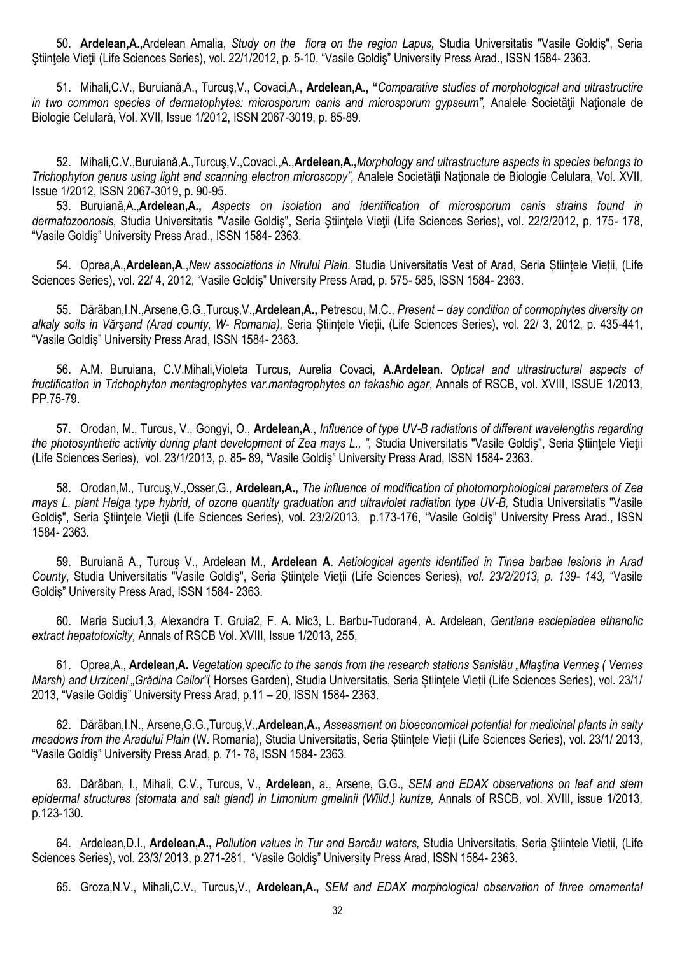50. **Ardelean,A.,**Ardelean Amalia, *Study on the flora on the region Lapus,* Studia Universitatis "Vasile Goldiş", Seria Stiințele Vieții (Life Sciences Series), vol. 22/1/2012, p. 5-10, "Vasile Goldiș" University Press Arad., ISSN 1584-2363.

51. Mihali,C.V., Buruiană,A., Turcuş,V., Covaci,A., **Ardelean,A., "***Comparative studies of morphological and ultrastructire in two common species of dermatophytes: microsporum canis and microsporum gypseum"*. Analele Societății Naționale de Biologie Celulară, Vol. XVII, Issue 1/2012, ISSN 2067-3019, p. 85-89.

52. Mihali,C.V.,Buruiană,A.,Turcuş,V.,Covaci.,A.,**Ardelean,A.,***Morphology and ultrastructure aspects in species belongs to Trichophyton genus using light and scanning electron microscopy",* Analele Societăţii Naţionale de Biologie Celulara, Vol. XVII, Issue 1/2012, ISSN 2067-3019, p. 90-95.

53. Buruiană,A.,**Ardelean,A.,** *Aspects on isolation and identification of microsporum canis strains found in dermatozoonosis,* Studia Universitatis "Vasile Goldiş", Seria Ştiinţele Vieţii (Life Sciences Series), vol. 22/2/2012, p. 175- 178, "Vasile Goldiş" University Press Arad., ISSN 1584- 2363.

54. Oprea,A.,**Ardelean,A**.,*New associations in Nirului Plain.* Studia Universitatis Vest of Arad, Seria Științele Vieții, (Life Sciences Series), vol. 22/ 4, 2012, "Vasile Goldiş" University Press Arad, p. 575- 585, ISSN 1584- 2363.

55. Dărăban,I.N.,Arsene,G.G.,Turcuş,V.,**Ardelean,A.,** Petrescu, M.C., *Present – day condition of cormophytes diversity on alkaly soils in Vărşand (Arad county, W- Romania),* Seria Științele Vieții, (Life Sciences Series), vol. 22/ 3, 2012, p. 435-441, "Vasile Goldiş" University Press Arad, ISSN 1584- 2363.

56. A.M. Buruiana, C.V.Mihali,Violeta Turcus, Aurelia Covaci, **A.Ardelean**. *Optical and ultrastructural aspects of fructification in Trichophyton mentagrophytes var.mantagrophytes on takashio agar*, Annals of RSCB, vol. XVIII, ISSUE 1/2013, PP.75-79.

57. Orodan, M., Turcus, V., Gongyi, O., **Ardelean,A**., *Influence of type UV-B radiations of different wavelengths regarding the photosynthetic activity during plant development of Zea mays L., ", Studia Universitatis "Vasile Goldis", Seria Ştiintele Vietii* (Life Sciences Series), vol. 23/1/2013, p. 85- 89, "Vasile Goldiş" University Press Arad, ISSN 1584- 2363.

58. Orodan,M., Turcuş,V.,Osser,G., **Ardelean,A.,** *The influence of modification of photomorphological parameters of Zea mays L. plant Helga type hybrid, of ozone quantity graduation and ultraviolet radiation type UV-B,* Studia Universitatis "Vasile Goldis", Seria Ştiințele Vieții (Life Sciences Series), vol. 23/2/2013, p.173-176, "Vasile Goldis" University Press Arad., ISSN 1584- 2363.

59. Buruiană A., Turcuş V., Ardelean M., **Ardelean A**. *Aetiological agents identified in Tinea barbae lesions in Arad County*, Studia Universitatis "Vasile Goldiş", Seria Ştiinţele Vieţii (Life Sciences Series), *vol. 23/2/2013, p. 139- 143,* "Vasile Goldiş" University Press Arad, ISSN 1584- 2363.

60. Maria Suciu1,3, Alexandra T. Gruia2, F. A. Mic3, L. Barbu-Tudoran4, A. Ardelean, *Gentiana asclepiadea ethanolic extract hepatotoxicity,* Annals of RSCB Vol. XVIII, Issue 1/2013, 255,

61. Oprea,A., **Ardelean,A.** *Vegetation specific to the sands from the research stations Sanislău "Mlaştina Vermeş ( Vernes Marsh) and Urziceni "Grădina Cailor"*( Horses Garden), Studia Universitatis, Seria Științele Vieții (Life Sciences Series), vol. 23/1/ 2013, "Vasile Goldiş" University Press Arad, p.11 – 20, ISSN 1584- 2363.

62. Dărăban,I.N., Arsene,G.G.,Turcuş,V.,**Ardelean,A.,** *Assessment on bioeconomical potential for medicinal plants in salty meadows from the Aradului Plain* (W. Romania), Studia Universitatis, Seria Științele Vieții (Life Sciences Series), vol. 23/1/ 2013, "Vasile Goldiş" University Press Arad, p. 71- 78, ISSN 1584- 2363.

63. Dărăban, I., Mihali, C.V., Turcus, V., **Ardelean**, a., Arsene, G.G., *SEM and EDAX observations on leaf and stem epidermal structures (stomata and salt gland) in Limonium gmelinii (Willd.) kuntze,* Annals of RSCB, vol. XVIII, issue 1/2013, p.123-130.

64. Ardelean,D.I., **Ardelean,A.,** *Pollution values in Tur and Barcău waters,* Studia Universitatis, Seria Științele Vieții, (Life Sciences Series), vol. 23/3/ 2013, p.271-281, "Vasile Goldiş" University Press Arad, ISSN 1584- 2363.

65. Groza,N.V., Mihali,C.V., Turcus,V., **Ardelean,A.,** *SEM and EDAX morphological observation of three ornamental*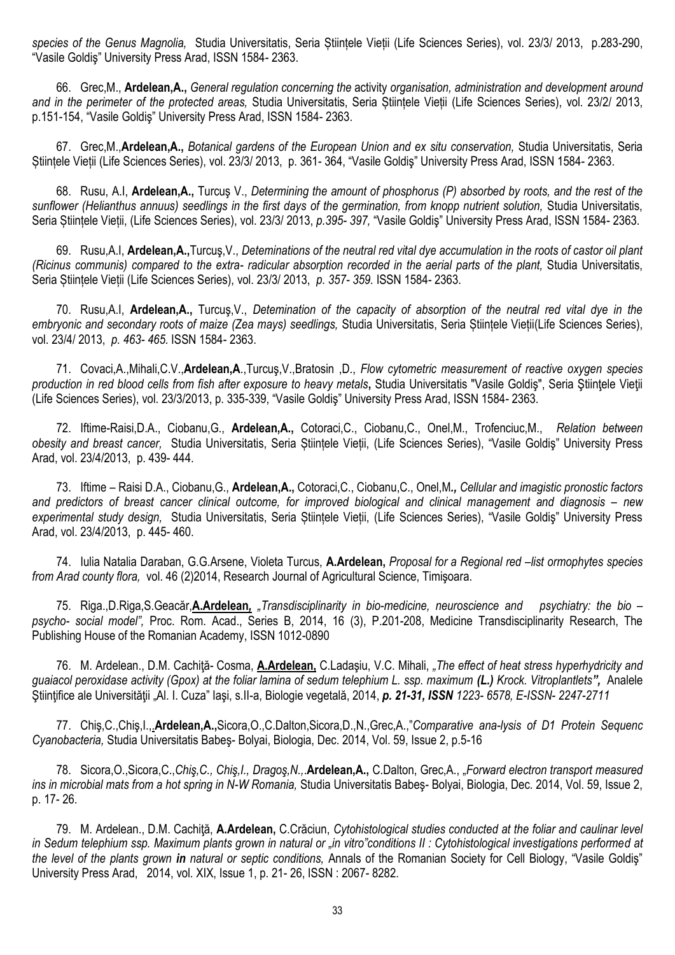*species of the Genus Magnolia,* Studia Universitatis, Seria Științele Vieții (Life Sciences Series), vol. 23/3/ 2013, p.283-290, "Vasile Goldiş" University Press Arad, ISSN 1584- 2363.

66. Grec,M., **Ardelean,A.,** *General regulation concerning the* activity *organisation, administration and development around and in the perimeter of the protected areas,* Studia Universitatis, Seria Științele Vieții (Life Sciences Series), vol. 23/2/ 2013, p.151-154, "Vasile Goldiş" University Press Arad, ISSN 1584- 2363.

67. Grec,M.,**Ardelean,A.,** *Botanical gardens of the European Union and ex situ conservation,* Studia Universitatis, Seria Științele Vieții (Life Sciences Series), vol. 23/3/ 2013, p. 361- 364, "Vasile Goldiş" University Press Arad, ISSN 1584- 2363.

68. Rusu, A.I, **Ardelean,A.,** Turcuş V., *Determining the amount of phosphorus (P) absorbed by roots, and the rest of the sunflower (Helianthus annuus) seedlings in the first days of the germination, from knopp nutrient solution,* Studia Universitatis, Seria Științele Vieții, (Life Sciences Series), vol. 23/3/ 2013, *p.395- 397,* "Vasile Goldiş" University Press Arad, ISSN 1584- 2363.

69. Rusu,A.I, **Ardelean,A.,**Turcuş,V., *Deteminations of the neutral red vital dye accumulation in the roots of castor oil plant (Ricinus communis) compared to the extra- radicular absorption recorded in the aerial parts of the plant,* Studia Universitatis, Seria Științele Vieții (Life Sciences Series), vol. 23/3/ 2013, *p. 357- 359.* ISSN 1584- 2363.

70. Rusu,A.I, **Ardelean,A.,** Turcuş,V., *Detemination of the capacity of absorption of the neutral red vital dye in the embryonic and secondary roots of maize (Zea mays) seedlings,* Studia Universitatis, Seria Științele Vieții(Life Sciences Series), vol. 23/4/ 2013, *p. 463- 465.* ISSN 1584- 2363.

71. Covaci,A.,Mihali,C.V.,**Ardelean,A**.,Turcuş,V.,Bratosin ,D., *Flow cytometric measurement of reactive oxygen species production in red blood cells from fish after exposure to heavy metals***,** Studia Universitatis "Vasile Goldiş", Seria Ştiinţele Vieţii (Life Sciences Series), vol. 23/3/2013, p. 335-339, "Vasile Goldiş" University Press Arad, ISSN 1584- 2363.

72. Iftime-Raisi,D.A., Ciobanu,G., **Ardelean,A.,** Cotoraci,C., Ciobanu,C., Onel,M., Trofenciuc,M., *Relation between obesity and breast cancer,* Studia Universitatis, Seria Științele Vieții, (Life Sciences Series), "Vasile Goldiş" University Press Arad, vol. 23/4/2013, p. 439- 444.

73. Iftime – Raisi D.A., Ciobanu,G., **Ardelean,A.,** Cotoraci,C., Ciobanu,C., Onel,M*., Cellular and imagistic pronostic factors*  and predictors of breast cancer clinical outcome, for improved biological and clinical management and diagnosis – new *experimental study design,* Studia Universitatis, Seria Științele Vieții, (Life Sciences Series), "Vasile Goldiş" University Press Arad, vol. 23/4/2013, p. 445- 460.

74. Iulia Natalia Daraban, G.G.Arsene, Violeta Turcus, **A.Ardelean,** *Proposal for a Regional red –list ormophytes species from Arad county flora,* vol. 46 (2)2014, Research Journal of Agricultural Science, Timişoara.

75. Riga.,D.Riga,S.Geacăr,**A.Ardelean***, "Transdisciplinarity in bio-medicine, neuroscience and psychiatry: the bio – psycho- social model",* Proc. Rom. Acad., Series B, 2014, 16 (3), P.201-208, Medicine Transdisciplinarity Research, The Publishing House of the Romanian Academy, ISSN 1012-0890

76. M. Ardelean., D.M. Cachiţă- Cosma, **A.Ardelean,** C.Ladaşiu, V.C. Mihali, *"The effect of heat stress hyperhydricity and guaiacol peroxidase activity (Gpox) at the foliar lamina of sedum telephium L. ssp. maximum (L.) Krock. Vitroplantlets",* Analele Ştiinţifice ale Universităţii "Al. I. Cuza" Iaşi, s.II-a, Biologie vegetală, 2014, *p. 21-31, ISSN 1223- 6578, E-ISSN- 2247-2711*

77. Chiş,C.,Chiş,I.,.**Ardelean,A.,**Sicora,O.,C.Dalton,Sicora,D.,N.,Grec,A.,"*Comparative ana-lysis of D1 Protein Sequenc Cyanobacteria,* Studia Universitatis Babeş- Bolyai, Biologia, Dec. 2014, Vol. 59, Issue 2, p.5-16

78. Sicora,O.,Sicora,C.,*Chiş,C., Chiş,I., Dragoş,N.,*.**Ardelean,A.,** C.Dalton, Grec,A., "*Forward electron transport measured ins in microbial mats from a hot spring in N-W Romania,* Studia Universitatis Babeş- Bolyai, Biologia, Dec. 2014, Vol. 59, Issue 2, p. 17- 26.

79. M. Ardelean., D.M. Cachiţă, **A.Ardelean,** C.Crăciun, *Cytohistological studies conducted at the foliar and caulinar level in Sedum telephium ssp. Maximum plants grown in natural or "in vitro"conditions II : Cytohistological investigations performed at the level of the plants grown in natural or septic conditions,* Annals of the Romanian Society for Cell Biology, "Vasile Goldiş" University Press Arad, 2014, vol. XIX, Issue 1, p. 21- 26, ISSN : 2067- 8282.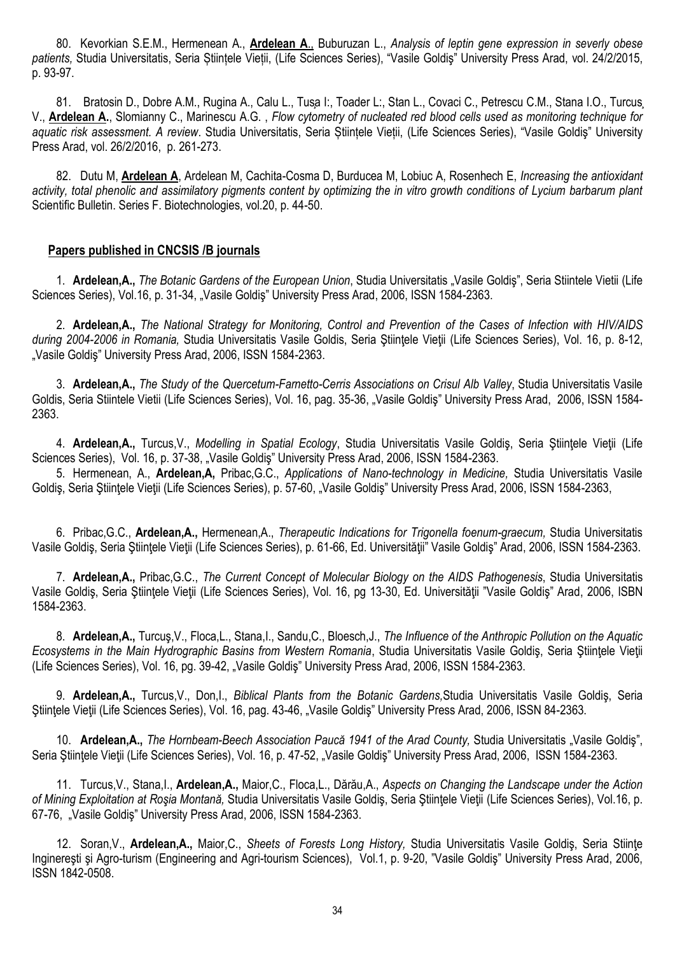80. Kevorkian S.E.M., Hermenean A., **Ardelean A**., Buburuzan L., *Analysis of leptin gene expression in severly obese patients,* Studia Universitatis, Seria Științele Vieții, (Life Sciences Series), "Vasile Goldiş" University Press Arad, vol. 24/2/2015, p. 93-97.

81. Bratosin D., Dobre A.M., Rugina A., Calu L., Tusa I:, Toader L:, Stan L., Covaci C., Petrescu C.M., Stana I.O., Turcus, V., **Ardelean A.**, Slomianny C., Marinescu A.G. , *Flow cytometry of nucleated red blood cells used as monitoring technique for aquatic risk assessment. A review*. Studia Universitatis, Seria Științele Vieții, (Life Sciences Series), "Vasile Goldiş" University Press Arad, vol. 26/2/2016, p. 261-273.

82. Dutu M, **Ardelean A**, Ardelean M, Cachita-Cosma D, Burducea M, Lobiuc A, Rosenhech E, *Increasing the antioxidant activity, total phenolic and assimilatory pigments content by optimizing the in vitro growth conditions of Lycium barbarum plant* Scientific Bulletin. Series F. Biotechnologies, vol.20, p. 44-50.

## **Papers published in CNCSIS /B journals**

1. **Ardelean,A.,** *The Botanic Gardens of the European Union*, Studia Universitatis "Vasile Goldiş", Seria Stiintele Vietii (Life Sciences Series), Vol.16, p. 31-34, "Vasile Goldiş" University Press Arad, 2006, ISSN 1584-2363.

2. **Ardelean,A.,** *The National Strategy for Monitoring, Control and Prevention of the Cases of Infection with HIV/AIDS during 2004-2006 in Romania,* Studia Universitatis Vasile Goldis, Seria Ştiinţele Vieţii (Life Sciences Series), Vol. 16, p. 8-12, "Vasile Goldis" University Press Arad, 2006, ISSN 1584-2363.

3. **Ardelean,A.,** *The Study of the Quercetum-Farnetto-Cerris Associations on Crisul Alb Valley*, Studia Universitatis Vasile Goldis, Seria Stiintele Vietii (Life Sciences Series), Vol. 16, pag. 35-36, "Vasile Goldiş" University Press Arad, 2006, ISSN 1584-2363.

4. **Ardelean,A.,** Turcus,V., *Modelling in Spatial Ecology*, Studia Universitatis Vasile Goldiş, Seria Ştiinţele Vieţii (Life Sciences Series), Vol. 16, p. 37-38, "Vasile Goldiş" University Press Arad, 2006, ISSN 1584-2363.

5. Hermenean, A., **Ardelean,A,** Pribac,G.C., *Applications of Nano-technology in Medicine,* Studia Universitatis Vasile Goldiş, Seria Ştiințele Vieții (Life Sciences Series), p. 57-60, "Vasile Goldiş" University Press Arad, 2006, ISSN 1584-2363,

6. Pribac,G.C., **Ardelean,A.,** Hermenean,A., *Therapeutic Indications for Trigonella foenum-graecum,* Studia Universitatis Vasile Goldiş, Seria Ştiinţele Vieţii (Life Sciences Series), p. 61-66, Ed. Universităţii" Vasile Goldiş" Arad, 2006, ISSN 1584-2363.

7. **Ardelean,A.,** Pribac,G.C., *The Current Concept of Molecular Biology on the AIDS Pathogenesis*, Studia Universitatis Vasile Goldis, Seria Stiintele Vietii (Life Sciences Series), Vol. 16, pg 13-30, Ed. Universității "Vasile Goldis" Arad, 2006, ISBN 1584-2363.

8. **Ardelean,A.,** Turcuş,V., Floca,L., Stana,I., Sandu,C., Bloesch,J., *The Influence of the Anthropic Pollution on the Aquatic Ecosystems in the Main Hydrographic Basins from Western Romania*, Studia Universitatis Vasile Goldiş, Seria Ştiinţele Vieţii (Life Sciences Series), Vol. 16, pg. 39-42, "Vasile Goldiş" University Press Arad, 2006, ISSN 1584-2363.

9. **Ardelean,A.,** Turcus,V., Don,I., *Biblical Plants from the Botanic Gardens,*Studia Universitatis Vasile Goldiş, Seria Ştiinţele Vieţii (Life Sciences Series), Vol. 16, pag. 43-46, "Vasile Goldiş" University Press Arad, 2006, ISSN 84-2363.

10. **Ardelean,A.,** *The Hornbeam-Beech Association Paucă 1941 of the Arad County,* Studia Universitatis "Vasile Goldiş", Seria Stiintele Vietii (Life Sciences Series), Vol. 16, p. 47-52, "Vasile Goldis" University Press Arad, 2006, ISSN 1584-2363.

11. Turcus,V., Stana,I., **Ardelean,A.,** Maior,C., Floca,L., Dărău,A., *Aspects on Changing the Landscape under the Action of Mining Exploitation at Roşia Montană,* Studia Universitatis Vasile Goldiş, Seria Ştiinţele Vieţii (Life Sciences Series), Vol.16, p. 67-76, "Vasile Goldiş" University Press Arad, 2006, ISSN 1584-2363.

12. Soran,V., **Ardelean,A.,** Maior,C., *Sheets of Forests Long History,* Studia Universitatis Vasile Goldiş, Seria Stiinţe Inginereşti şi Agro-turism (Engineering and Agri-tourism Sciences), Vol.1, p. 9-20, "Vasile Goldiş" University Press Arad, 2006, ISSN 1842-0508.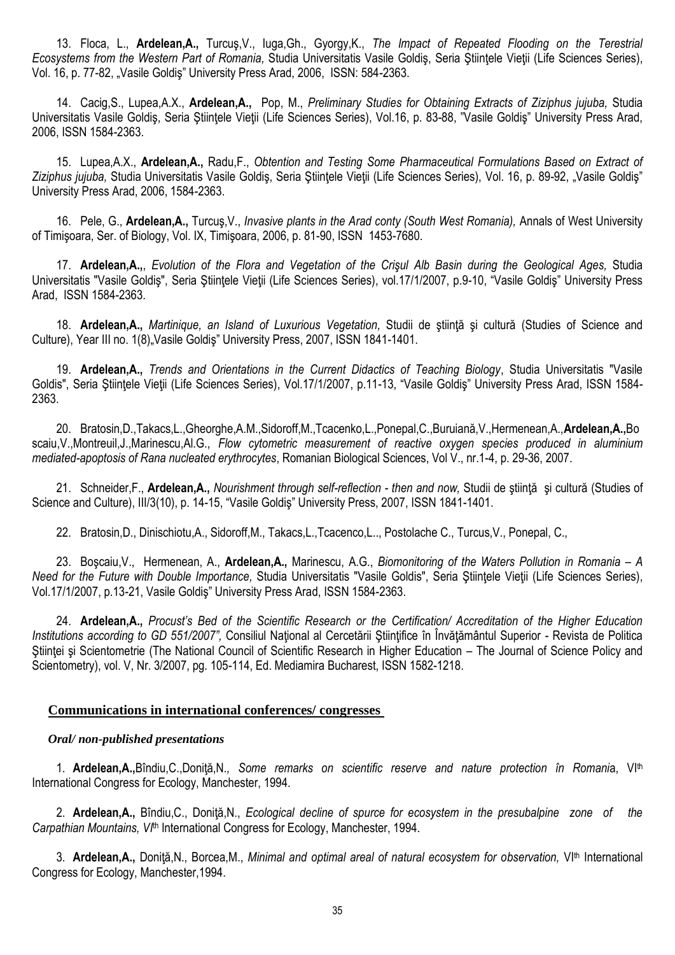13. Floca, L., **Ardelean,A.,** Turcuş,V., Iuga,Gh., Gyorgy,K., *The Impact of Repeated Flooding on the Terestrial Ecosystems from the Western Part of Romania,* Studia Universitatis Vasile Goldiş, Seria Ştiinţele Vieţii (Life Sciences Series), Vol. 16, p. 77-82, "Vasile Goldiş" University Press Arad, 2006, ISSN: 584-2363.

14. Cacig,S., Lupea,A.X., **Ardelean,A.,** Pop, M., *Preliminary Studies for Obtaining Extracts of Ziziphus jujuba,* Studia Universitatis Vasile Goldiş, Seria Ştiinţele Vieţii (Life Sciences Series), Vol.16, p. 83-88, "Vasile Goldiş" University Press Arad, 2006, ISSN 1584-2363.

15. Lupea,A.X., **Ardelean,A.,** Radu,F., *Obtention and Testing Some Pharmaceutical Formulations Based on Extract of* Ziziphus jujuba, Studia Universitatis Vasile Goldis, Seria Ştiintele Vietii (Life Sciences Series), Vol. 16, p. 89-92, "Vasile Goldis" University Press Arad, 2006, 1584-2363.

16. Pele, G., **Ardelean,A.,** Turcuş,V., *Invasive plants in the Arad conty (South West Romania),* Annals of West University of Timişoara, Ser. of Biology, Vol. IX, Timişoara, 2006, p. 81-90, ISSN 1453-7680.

17. **Ardelean,A.,**, *Evolution of the Flora and Vegetation of the Crişul Alb Basin during the Geological Ages,* Studia Universitatis "Vasile Goldiş", Seria Ştiinţele Vieţii (Life Sciences Series), vol.17/1/2007, p.9-10, "Vasile Goldiş" University Press Arad, ISSN 1584-2363.

18. **Ardelean,A.,** *Martinique, an Island of Luxurious Vegetation,* Studii de ştiinţă şi cultură (Studies of Science and Culture), Year III no. 1(8), Vasile Goldis" University Press, 2007, ISSN 1841-1401.

19. **Ardelean,A.,** *Trends and Orientations in the Current Didactics of Teaching Biology*, Studia Universitatis "Vasile Goldis", Seria Stiintele Vietii (Life Sciences Series), Vol.17/1/2007, p.11-13, "Vasile Goldis" University Press Arad, ISSN 1584-2363.

20. Bratosin,D.,Takacs,L.,Gheorghe,A.M.,Sidoroff,M.,Tcacenko,L.,Ponepal,C.,Buruiană,V.,Hermenean,A.,**Ardelean,A.,**Bo scaiu,V.,Montreuil,J.,Marinescu,Al.G., *Flow cytometric measurement of reactive oxygen species produced in aluminium mediated-apoptosis of Rana nucleated erythrocytes*, Romanian Biological Sciences, Vol V., nr.1-4, p. 29-36, 2007.

21. Schneider,F., **Ardelean,A.,** *Nourishment through self-reflection - then and now,* Studii de ştiinţă şi cultură (Studies of Science and Culture), III/3(10), p. 14-15, "Vasile Goldiş" University Press, 2007, ISSN 1841-1401.

22. Bratosin,D., Dinischiotu,A., Sidoroff,M., Takacs,L.,Tcacenco,L.., Postolache C., Turcus,V., Ponepal, C.,

23. Boşcaiu,V., Hermenean, A., **Ardelean,A.,** Marinescu, A.G., *Biomonitoring of the Waters Pollution in Romania – A Need for the Future with Double Importance,* Studia Universitatis "Vasile Goldis", Seria Ştiinţele Vieţii (Life Sciences Series), Vol.17/1/2007, p.13-21, Vasile Goldiş" University Press Arad, ISSN 1584-2363.

24. **Ardelean,A.,** *Procust's Bed of the Scientific Research or the Certification/ Accreditation of the Higher Education Institutions according to GD 551/2007"*, Consiliul Național al Cercetării Științifice în Învățământul Superior - Revista de Politica Stiinței și Scientometrie (The National Council of Scientific Research in Higher Education – The Journal of Science Policy and Scientometry), vol. V, Nr. 3/2007, pg. 105-114, Ed. Mediamira Bucharest, ISSN 1582-1218.

## **Communications in international conferences/ congresses**

## *Oral/ non-published presentations*

1. **Ardelean,A.,**B ndiu,C.,Doniţă,N*., Some remarks on scientific reserve and nature protection în Romani*a, VIth International Congress for Ecology, Manchester, 1994.

2. **Ardelean,A.,** Bîndiu,C., Doniţă,N., *Ecological decline of spurce for ecosystem in the presubalpine zone of the Carpathian Mountains, VI*th International Congress for Ecology, Manchester, 1994.

3. **Ardelean,A.,** Doniţă,N., Borcea,M., *Minimal and optimal areal of natural ecosystem for observation,* VIth International Congress for Ecology, Manchester,1994.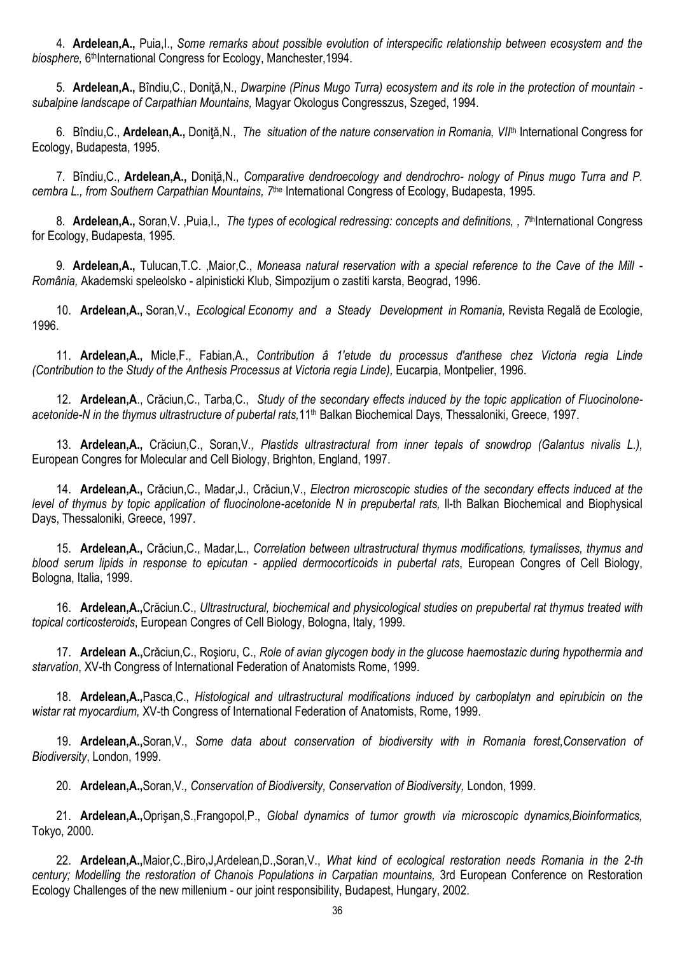4. **Ardelean,A.,** Puia,I., *Some remarks about possible evolution of interspecific relationship between ecosystem and the*  biosphere, 6<sup>th</sup>International Congress for Ecology, Manchester, 1994.

5. **Ardelean,A.,** B ndiu,C., Doniţă,N., *Dwarpine (Pinus Mugo Turra) ecosystem and its role in the protection of mountain subalpine landscape of Carpathian Mountains,* Magyar Okologus Congresszus, Szeged, 1994.

6. Bîndiu,C., **Ardelean,A.,** Doniţă,N., *The situation of the nature conservation in Romania, VII*th International Congress for Ecology, Budapesta, 1995.

7. Bîndiu,C., **Ardelean,A.,** Doniţă,N., *Comparative dendroecology and dendrochro- nology of Pinus mugo Turra and P. cembra L., from Southern Carpathian Mountains, 7*the International Congress of Ecology, Budapesta, 1995.

8. **Ardelean, A.,** Soran, V., Puia, I., *The types of ecological redressing: concepts and definitions, , 7<sup>th</sup>International Congress* for Ecology, Budapesta, 1995.

9. **Ardelean,A.,** Tulucan,T.C. ,Maior,C., *Moneasa natural reservation with a special reference to the Cave of the Mill - România,* Akademski speleolsko - alpinisticki Klub, Simpozijum o zastiti karsta, Beograd, 1996.

10. **Ardelean,A.,** Soran,V., *Ecological Economy and a Steady Development in Romania,* Revista Regală de Ecologie, 1996.

11. **Ardelean,A.,** Micle,F., Fabian,A., *Contribution â 1'etude du processus d'anthese chez Victoria regia Linde (Contribution to the Study of the Anthesis Processus at Victoria regia Linde),* Eucarpia, Montpelier, 1996.

12. **Ardelean,A**., Crăciun,C., Tarba,C., *Study of the secondary effects induced by the topic application of Fluocinolone*acetonide-N in the thymus ultrastructure of pubertal rats,11<sup>th</sup> Balkan Biochemical Days, Thessaloniki, Greece, 1997.

13. **Ardelean,A.,** Crăciun,C., Soran,V*., Plastids ultrastractural from inner tepals of snowdrop (Galantus nivalis L.),*  European Congres for Molecular and Cell Biology, Brighton, England, 1997.

14. **Ardelean,A.,** Crăciun,C., Madar,J., Crăciun,V., *Electron microscopic studies of the secondary effects induced at the level of thymus by topic application of fluocinolone-acetonide N in prepubertal rats, II-th Balkan Biochemical and Biophysical* Days, Thessaloniki, Greece, 1997.

15. **Ardelean,A.,** Crăciun,C., Madar,L., *Correlation between ultrastructural thymus modifications, tymalisses, thymus and blood serum lipids in response to epicutan - applied dermocorticoids in pubertal rats*, European Congres of Cell Biology, Bologna, Italia, 1999.

16. **Ardelean,A.,**Crăciun.C., *Ultrastructural, biochemical and physicological studies on prepubertal rat thymus treated with topical corticosteroids*, European Congres of Cell Biology, Bologna, Italy, 1999.

17. **Ardelean A.,**Crăciun,C., Roşioru, C., *Role of avian glycogen body in the glucose haemostazic during hypothermia and starvation*, XV-th Congress of International Federation of Anatomists Rome, 1999.

18. **Ardelean,A.,**Pasca,C., *Histological and ultrastructural modifications induced by carboplatyn and epirubicin on the wistar rat myocardium,* XV-th Congress of International Federation of Anatomists, Rome, 1999.

19. **Ardelean,A.,**Soran,V., *Some data about conservation of biodiversity with in Romania forest,Conservation of Biodiversity*, London, 1999.

20. **Ardelean,A.,**Soran,V*., Conservation of Biodiversity, Conservation of Biodiversity,* London, 1999.

21. **Ardelean,A.,**Oprişan,S.,Frangopol,P., *Global dynamics of tumor growth via microscopic dynamics,Bioinformatics,*  Tokyo, 2000.

22. **Ardelean,A.,**Maior,C.,Biro,J,Ardelean,D.,Soran,V., *What kind of ecological restoration needs Romania in the 2-th century; Modelling the restoration of Chanois Populations in Carpatian mountains,* 3rd European Conference on Restoration Ecology Challenges of the new millenium - our joint responsibility, Budapest, Hungary, 2002.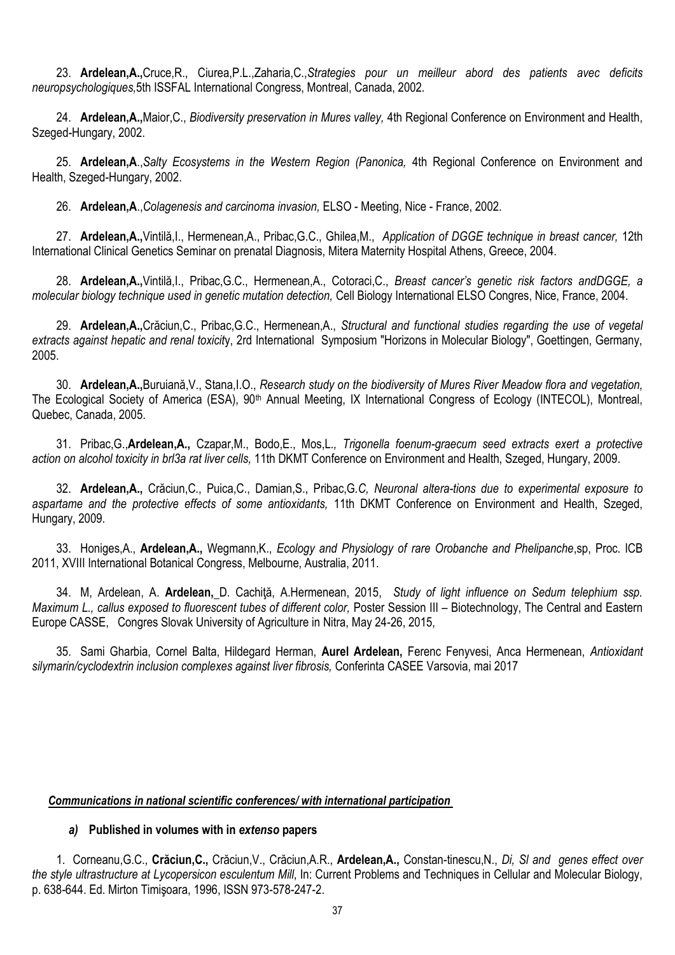23. **Ardelean,A.,**Cruce,R., Ciurea,P.L.,Zaharia,C.,*Strategies pour un meilleur abord des patients avec deficits neuropsychologiques,*5th ISSFAL International Congress, Montreal, Canada, 2002.

24. **Ardelean,A.,**Maior,C., *Biodiversity preservation in Mures valley,* 4th Regional Conference on Environment and Health, Szeged-Hungary, 2002.

25. **Ardelean,A**.,*Salty Ecosystems in the Western Region (Panonica,* 4th Regional Conference on Environment and Health, Szeged-Hungary, 2002.

26. **Ardelean,A**.,*Colagenesis and carcinoma invasion,* ELSO - Meeting, Nice - France, 2002.

27. **Ardelean,A.,**Vintilă,I., Hermenean,A., Pribac,G.C., Ghilea,M., *Application of DGGE technique in breast cancer,* 12th International Clinical Genetics Seminar on prenatal Diagnosis, Mitera Maternity Hospital Athens, Greece, 2004.

28. **Ardelean,A.,**Vintilă,I., Pribac,G.C., Hermenean,A., Cotoraci,C., *Breast cancer's genetic risk factors andDGGE, a molecular biology technique used in genetic mutation detection,* Cell Biology International ELSO Congres, Nice, France, 2004.

29. **Ardelean,A.,**Crăciun,C., Pribac,G.C., Hermenean,A., *Structural and functional studies regarding the use of vegetal extracts against hepatic and renal toxicit*y, 2rd International Symposium "Horizons in Molecular Biology", Goettingen, Germany, 2005.

30. **Ardelean,A.,**Buruiană,V., Stana,I.O., *Research study on the biodiversity of Mures River Meadow flora and vegetation,*  The Ecological Society of America (ESA), 90<sup>th</sup> Annual Meeting, IX International Congress of Ecology (INTECOL), Montreal, Quebec, Canada, 2005.

31. Pribac,G.,**Ardelean,A.,** Czapar,M., Bodo,E., Mos,L*., Trigonella foenum-graecum seed extracts exert a protective action on alcohol toxicity in brl3a rat liver cells,* 11th DKMT Conference on Environment and Health, Szeged, Hungary, 2009.

32. **Ardelean,A.,** Crăciun,C., Puica,C., Damian,S., Pribac,G*.C, Neuronal altera-tions due to experimental exposure to aspartame and the protective effects of some antioxidants,* 11th DKMT Conference on Environment and Health, Szeged, Hungary, 2009.

33. Honiges,A., **Ardelean,A.,** Wegmann,K., *Ecology and Physiology of rare Orobanche and Phelipanche*,sp, Proc. ICB 2011, XVIII International Botanical Congress, Melbourne, Australia, 2011.

34. M, Ardelean, A. **Ardelean,** D. Cachiţă, A.Hermenean, 2015,*Study of light influence on Sedum telephium ssp. Maximum L., callus exposed to fluorescent tubes of different color, Poster Session III – Biotechnology, The Central and Eastern* Europe CASSE, Congres Slovak University of Agriculture in Nitra, May 24-26, 2015,

35. Sami Gharbia, Cornel Balta, Hildegard Herman, **Aurel Ardelean,** Ferenc Fenyvesi, Anca Hermenean, *Antioxidant silymarin/cyclodextrin inclusion complexes against liver fibrosis,* Conferinta CASEE Varsovia, mai 2017

## *Communications in national scientific conferences/ with international participation*

## *a)* **Published in volumes with in** *extenso* **papers**

1. Corneanu,G.C., **Crăciun,C.,** Crăciun,V., Crăciun,A.R., **Ardelean,A.,** Constan-tinescu,N., *Di, Sl and genes effect over the style ultrastructure at Lycopersicon esculentum Mill*, In: Current Problems and Techniques in Cellular and Molecular Biology, p. 638-644. Ed. Mirton Timişoara, 1996, ISSN 973-578-247-2.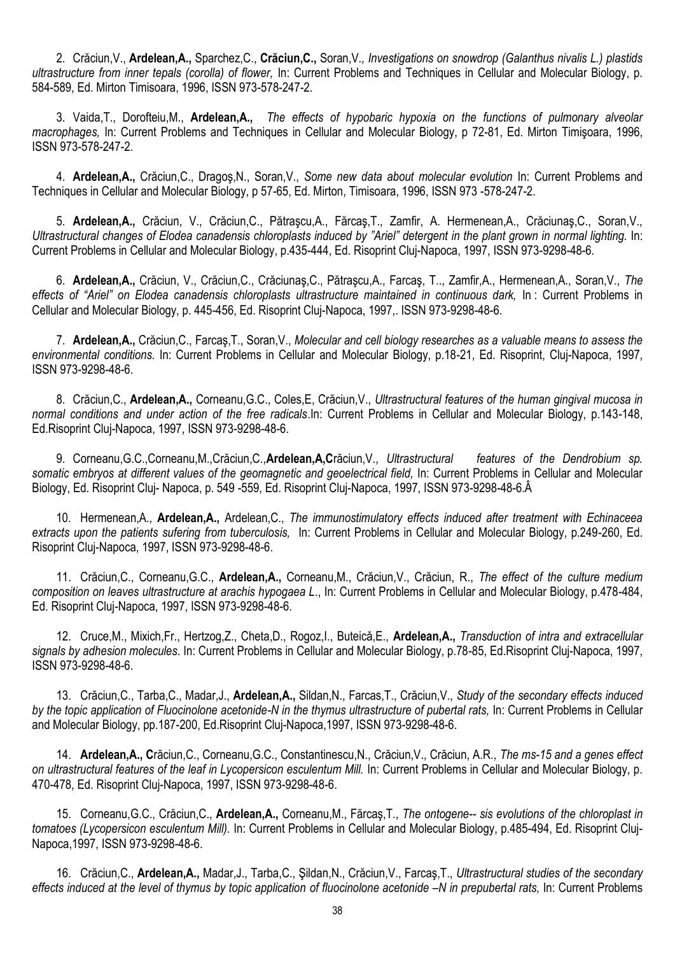2. Crăciun,V., **Ardelean,A.,** Sparchez,C., **Crăciun,C.,** Soran,V*., Investigations on snowdrop (Galanthus nivalis L.) plastids ultrastructure from inner tepals (corolla) of flower,* In: Current Problems and Techniques in Cellular and Molecular Biology, p. 584-589, Ed. Mirton Timisoara, 1996, ISSN 973-578-247-2.

3. Vaida,T., Dorofteiu,M., **Ardelean,A.,** *The effects of hypobaric hypoxia on the functions of pulmonary alveolar macrophages,* In: Current Problems and Techniques in Cellular and Molecular Biology, p 72-81, Ed. Mirton Timişoara, 1996, ISSN 973-578-247-2.

4. **Ardelean,A.,** Crăciun,C., Dragoş,N., Soran,V., *Some new data about molecular evolution* In: Current Problems and Techniques in Cellular and Molecular Biology, p 57-65, Ed. Mirton, Timisoara, 1996, ISSN 973 -578-247-2.

5. **Ardelean,A.,** Crăciun, V., Crăciun,C., Pătraşcu,A., Fărcaş,T., Zamfir, A. Hermenean,A., Crăciunaş,C., Soran,V., *Ultrastructural changes of Elodea canadensis chloroplasts induced by "Ariel" detergent in the plant grown in normal lighting.* In: Current Problems in Cellular and Molecular Biology, p.435-444, Ed. Risoprint Cluj-Napoca, 1997, ISSN 973-9298-48-6.

6. **Ardelean,A.,** Crăciun, V., Crăciun,C., Crăciunaş,C., Pătraşcu,A., Farcaş, T.., Zamfir,A., Hermenean,A., Soran,V., *The effects of "Ariel" on Elodea canadensis chloroplasts ultrastructure maintained in continuous dark,* In : Current Problems in Cellular and Molecular Biology, p. 445-456, Ed. Risoprint Cluj-Napoca, 1997,. ISSN 973-9298-48-6.

7. **Ardelean,A.,** Crăciun,C., Farcaş,T., Soran,V., *Molecular and cell biology researches as a valuable means to assess the environmental conditions.* In: Current Problems in Cellular and Molecular Biology, p.18-21, Ed. Risoprint, Cluj-Napoca, 1997, ISSN 973-9298-48-6.

8. Crăciun,C., **Ardelean,A.,** Corneanu,G.C., Coles,E, Crăciun,V., *Ultrastructural features of the human gingival mucosa in normal conditions and under action of the free radicals*.In: Current Problems in Cellular and Molecular Biology, p.143-148, Ed.Risoprint Cluj-Napoca, 1997, ISSN 973-9298-48-6.

9. Corneanu,G.C.,Corneanu,M.,Crăciun,C.,**Ardelean,A,C**răciun,V., *Ultrastructural features of the Dendrobium sp. somatic embryos at different values of the geomagnetic and geoelectrical field,* In: Current Problems in Cellular and Molecular Biology, Ed. Risoprint Cluj- Napoca, p. 549 -559, Ed. Risoprint Cluj-Napoca, 1997, ISSN 973-9298-48-6.Â

10. Hermenean,A*.,* **Ardelean,A.,** Ardelean,C., *The immunostimulatory effects induced after treatment with Echinaceea extracts upon the patients sufering from tuberculosis,* In: Current Problems in Cellular and Molecular Biology, p.249-260, Ed. Risoprint Cluj-Napoca, 1997, ISSN 973-9298-48-6.

11. Crăciun,C., Corneanu,G.C., **Ardelean,A.,** Corneanu,M., Crăciun,V., Crăciun, R., *The effect of the culture medium composition on leaves ultrastructure at arachis hypogaea L*., In: Current Problems in Cellular and Molecular Biology, p.478-484, Ed. Risoprint Cluj-Napoca, 1997, ISSN 973-9298-48-6.

12. Cruce,M., Mixich,Fr., Hertzog,Z., Cheta,D., Rogoz,I., Buteică,E., **Ardelean,A.,** *Transduction of intra and extracellular signals by adhesion molecules*. In: Current Problems in Cellular and Molecular Biology, p.78-85, Ed.Risoprint Cluj-Napoca, 1997, ISSN 973-9298-48-6.

13. Crăciun,C., Tarba,C., Madar,J., **Ardelean,A.,** Sildan,N., Farcas,T., Crăciun,V., *Study of the secondary effects induced by the topic application of Fluocinolone acetonide-N in the thymus ultrastructure of pubertal rats,* In: Current Problems in Cellular and Molecular Biology, pp.187-200, Ed.Risoprint Cluj-Napoca,1997, ISSN 973-9298-48-6.

14. **Ardelean,A., C**răciun,C., Corneanu,G.C., Constantinescu,N., Crăciun,V., Crăciun, A.R*., The ms-15 and a genes effect on ultrastructural features of the leaf in Lycopersicon esculentum Mill.* In: Current Problems in Cellular and Molecular Biology, p. 470-478, Ed. Risoprint Cluj-Napoca, 1997, ISSN 973-9298-48-6.

15. Corneanu,G.C., Crăciun,C., **Ardelean,A.,** Corneanu,M., Fărcaş,T., *The ontogene-- sis evolutions of the chloroplast in tomatoes (Lycopersicon esculentum Mill).* In: Current Problems in Cellular and Molecular Biology, p.485-494, Ed. Risoprint Cluj-Napoca,1997, ISSN 973-9298-48-6.

16. Crăciun,C., **Ardelean,A.,** Madar,J., Tarba,C., Şildan,N., Crăciun,V., Farcaş,T., *Ultrastructural studies of the secondary effects induced at the level of thymus by topic application of fluocinolone acetonide –N in prepubertal rats,* In: Current Problems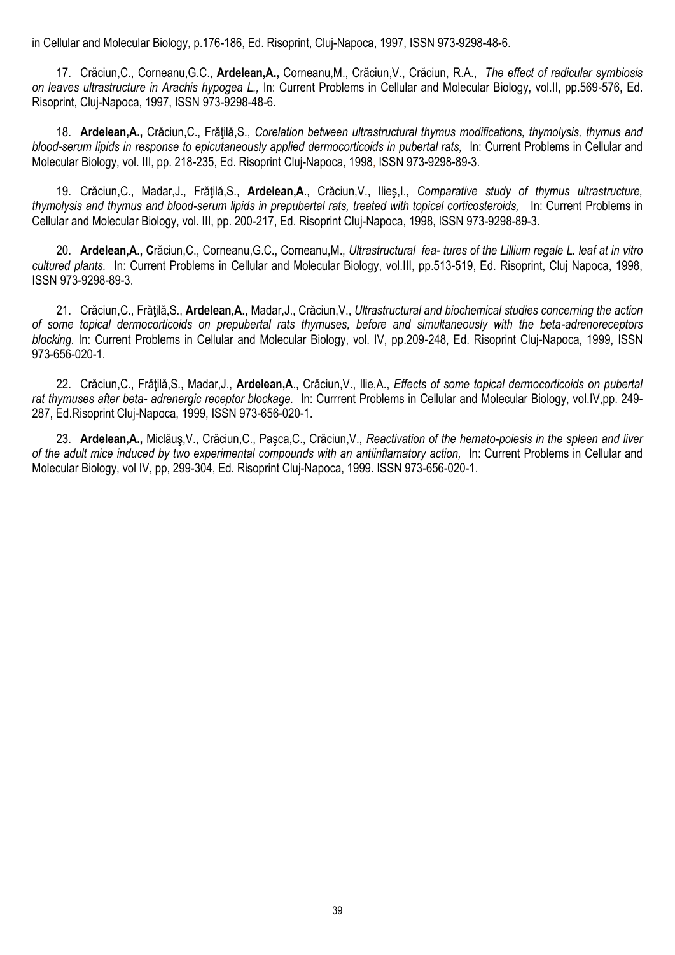in Cellular and Molecular Biology, p.176-186, Ed. Risoprint, Cluj-Napoca, 1997, ISSN 973-9298-48-6.

17. Crăciun,C., Corneanu,G.C., **Ardelean,A.,** Corneanu,M., Crăciun,V., Crăciun, R.A., *The effect of radicular symbiosis on leaves ultrastructure in Arachis hypogea L.,* In: Current Problems in Cellular and Molecular Biology, vol.II, pp.569-576, Ed. Risoprint, Cluj-Napoca, 1997, ISSN 973-9298-48-6.

18. **Ardelean,A.,** Crăciun,C., Frăţilă,S., *Corelation between ultrastructural thymus modifications, thymolysis, thymus and blood-serum lipids in response to epicutaneously applied dermocorticoids in pubertal rats,* In: Current Problems in Cellular and Molecular Biology, vol. III, pp. 218-235, Ed. Risoprint Cluj-Napoca, 1998, ISSN 973-9298-89-3.

19. Crăciun,C., Madar,J., Frăţilă,S., **Ardelean,A**., Crăciun,V., Ilieş,I., *Comparative study of thymus ultrastructure, thymolysis and thymus and blood-serum lipids in prepubertal rats, treated with topical corticosteroids,* In: Current Problems in Cellular and Molecular Biology, vol. III, pp. 200-217, Ed. Risoprint Cluj-Napoca, 1998, ISSN 973-9298-89-3.

20. **Ardelean,A., C**răciun,C., Corneanu,G.C., Corneanu,M., *Ultrastructural fea- tures of the Lillium regale L. leaf at in vitro cultured plants.* In: Current Problems in Cellular and Molecular Biology, vol.III, pp.513-519, Ed. Risoprint, Cluj Napoca, 1998, ISSN 973-9298-89-3.

21. Crăciun,C., Frăţilă,S., **Ardelean,A.,** Madar,J., Crăciun,V., *Ultrastructural and biochemical studies concerning the action of some topical dermocorticoids on prepubertal rats thymuses, before and simultaneously with the beta-adrenoreceptors blocking.* In: Current Problems in Cellular and Molecular Biology, vol. IV, pp.209-248, Ed. Risoprint Cluj-Napoca, 1999, ISSN 973-656-020-1.

22. Crăciun,C., Frăţilă,S., Madar,J., **Ardelean,A**., Crăciun,V., Ilie,A., *Effects of some topical dermocorticoids on pubertal rat thymuses after beta- adrenergic receptor blockage.* In: Currrent Problems in Cellular and Molecular Biology, vol.IV,pp. 249- 287, Ed.Risoprint Cluj-Napoca, 1999, ISSN 973-656-020-1.

23. **Ardelean,A.,** Miclăuş,V., Crăciun,C., Paşca,C., Crăciun,V., *Reactivation of the hemato-poiesis in the spleen and liver of the adult mice induced by two experimental compounds with an antiinflamatory action,* In: Current Problems in Cellular and Molecular Biology, vol IV, pp, 299-304, Ed. Risoprint Cluj-Napoca, 1999. ISSN 973-656-020-1.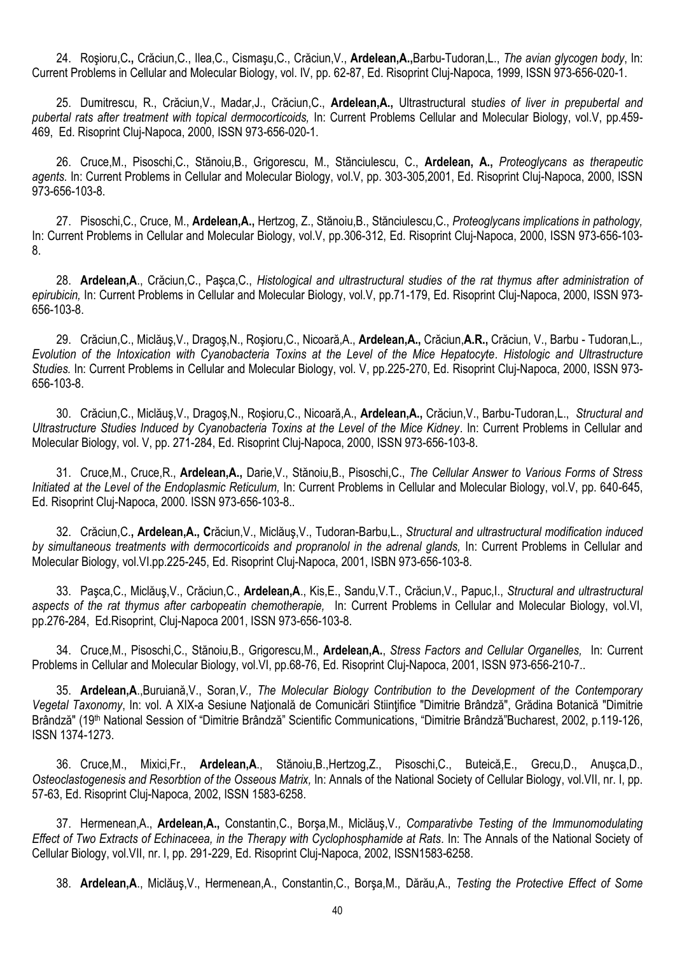24. Roşioru,C**.,** Crăciun,C., Ilea,C., Cismaşu,C., Crăciun,V., **Ardelean,A.,**Barbu-Tudoran,L., *The avian glycogen body*, In: Current Problems in Cellular and Molecular Biology, vol. IV, pp. 62-87, Ed. Risoprint Cluj-Napoca, 1999, ISSN 973-656-020-1.

25. Dumitrescu, R., Crăciun,V., Madar,J., Crăciun,C., **Ardelean,A.,** Ultrastructural stu*dies of liver in prepubertal and pubertal rats after treatment with topical dermocorticoids,* In: Current Problems Cellular and Molecular Biology, vol.V, pp.459- 469, Ed. Risoprint Cluj-Napoca, 2000, ISSN 973-656-020-1.

26. Cruce,M., Pisoschi,C., Stănoiu,B., Grigorescu, M., Stănciulescu, C., **Ardelean, A.,** *Proteoglycans as therapeutic agents.* In: Current Problems in Cellular and Molecular Biology, vol.V, pp. 303-305,2001, Ed. Risoprint Cluj-Napoca, 2000, ISSN 973-656-103-8.

27. Pisoschi,C., Cruce, M., **Ardelean,A.,** Hertzog, Z., Stănoiu,B., Stănciulescu,C., *Proteoglycans implications in pathology,*  In: Current Problems in Cellular and Molecular Biology, vol.V, pp.306-312, Ed. Risoprint Cluj-Napoca, 2000, ISSN 973-656-103- 8.

28. **Ardelean,A**., Crăciun,C., Paşca,C., *Histological and ultrastructural studies of the rat thymus after administration of epirubicin,* In: Current Problems in Cellular and Molecular Biology, vol.V, pp.71-179, Ed. Risoprint Cluj-Napoca, 2000, ISSN 973- 656-103-8.

29. Crăciun,C., Miclăuş,V., Dragoş,N., Roşioru,C., Nicoară,A., **Ardelean,A.,** Crăciun,**A.R.,** Crăciun, V., Barbu - Tudoran,L*., Evolution of the Intoxication with Cyanobacteria Toxins at the Level of the Mice Hepatocyte. Histologic and Ultrastructure Studies.* In: Current Problems in Cellular and Molecular Biology, vol. V, pp.225-270, Ed. Risoprint Cluj-Napoca, 2000, ISSN 973- 656-103-8.

30. Crăciun,C., Miclăuş,V., Dragoş,N., Roşioru,C., Nicoară,A., **Ardelean,A.,** Crăciun,V., Barbu-Tudoran,L., *Structural and Ultrastructure Studies Induced by Cyanobacteria Toxins at the Level of the Mice Kidney*. In: Current Problems in Cellular and Molecular Biology, vol. V, pp. 271-284, Ed. Risoprint Cluj-Napoca, 2000, ISSN 973-656-103-8.

31. Cruce,M., Cruce,R., **Ardelean,A.,** Darie,V., Stănoiu,B., Pisoschi,C., *The Cellular Answer to Various Forms of Stress Initiated at the Level of the Endoplasmic Reticulum, In: Current Problems in Cellular and Molecular Biology, vol.V, pp. 640-645,* Ed. Risoprint Cluj-Napoca, 2000. ISSN 973-656-103-8..

32. Crăciun,C.**, Ardelean,A., C**răciun,V., Miclăuş,V., Tudoran-Barbu,L., *Structural and ultrastructural modification induced by simultaneous treatments with dermocorticoids and propranolol in the adrenal glands,* In: Current Problems in Cellular and Molecular Biology, vol.VI.pp.225-245, Ed. Risoprint Cluj-Napoca, 2001, ISBN 973-656-103-8.

33. Paşca,C., Miclăuş,V., Crăciun,C., **Ardelean,A**., Kis,E., Sandu,V.T., Crăciun,V., Papuc,I., *Structural and ultrastructural aspects of the rat thymus after carbopeatin chemotherapie,* In: Current Problems in Cellular and Molecular Biology, vol.VI, pp.276-284, Ed.Risoprint, Cluj-Napoca 2001, ISSN 973-656-103-8.

34. Cruce,M., Pisoschi,C., Stănoiu,B., Grigorescu,M., **Ardelean,A.**, *Stress Factors and Cellular Organelles,* In: Current Problems in Cellular and Molecular Biology, vol.VI, pp.68-76, Ed. Risoprint Cluj-Napoca, 2001, ISSN 973-656-210-7..

35. **Ardelean,A**.,Buruiană,V., Soran,*V., The Molecular Biology Contribution to the Development of the Contemporary Vegetal Taxonomy*, In: vol. A XIX-a Sesiune Naţională de Comunicări Stiinţifice "Dimitrie Brândză", Grădina Botanică "Dimitrie Brândză" (19th National Session of "Dimitrie Brândză" Scientific Communications, "Dimitrie Brândză"Bucharest, 2002, p.119-126, ISSN 1374-1273.

36. Cruce,M., Mixici,Fr., **Ardelean,A**., Stănoiu,B.,Hertzog,Z., Pisoschi,C., Buteică,E., Grecu,D., Anuşca,D., *Osteoclastogenesis and Resorbtion of the Osseous Matrix,* In: Annals of the National Society of Cellular Biology, vol.VII, nr. I, pp. 57-63, Ed. Risoprint Cluj-Napoca, 2002, ISSN 1583-6258.

37. Hermenean,A., **Ardelean,A.,** Constantin,C., Borşa,M., Miclăuş,V*., Comparativbe Testing of the Immunomodulating Effect of Two Extracts of Echinaceea, in the Therapy with Cyclophosphamide at Rats.* In: The Annals of the National Society of Cellular Biology, vol.VII, nr. I, pp. 291-229, Ed. Risoprint Cluj-Napoca, 2002, ISSN1583-6258.

38. **Ardelean,A**., Miclăuş,V., Hermenean,A., Constantin,C., Borşa,M., Dărău,A., *Testing the Protective Effect of Some*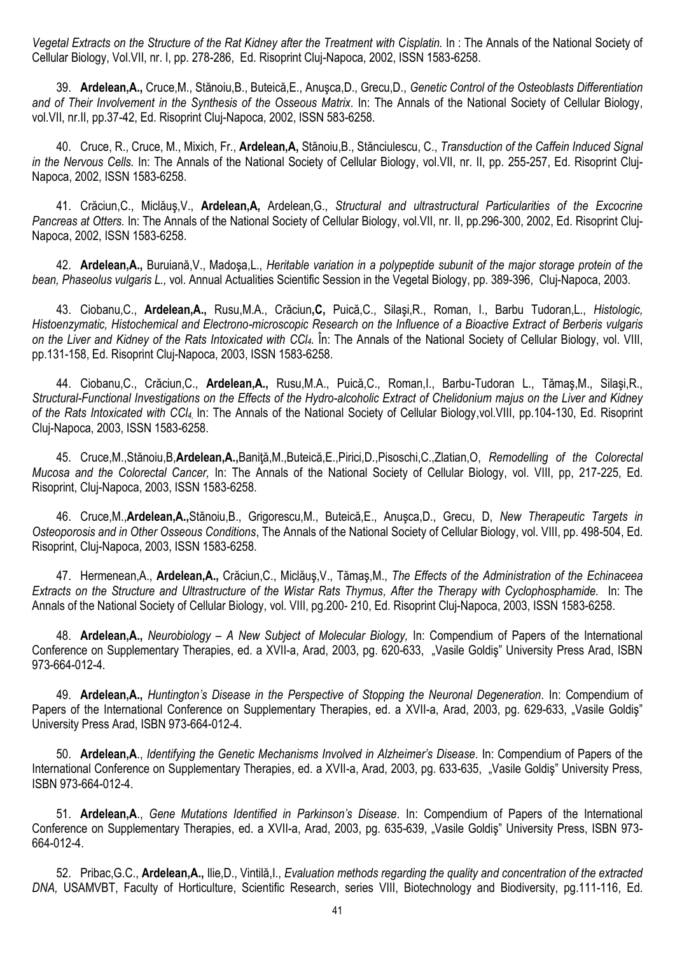Vegetal Extracts on the Structure of the Rat Kidney after the Treatment with Cisplatin. In: The Annals of the National Society of Cellular Biology, Vol.VII, nr. I, pp. 278-286, Ed. Risoprint Cluj-Napoca, 2002, ISSN 1583-6258.

39. **Ardelean,A.,** Cruce,M., Stănoiu,B., Buteică,E., Anuşca,D., Grecu,D., *Genetic Control of the Osteoblasts Differentiation and of Their Involvement in the Synthesis of the Osseous Matrix*. In: The Annals of the National Society of Cellular Biology, vol.VII, nr.II, pp.37-42, Ed. Risoprint Cluj-Napoca, 2002, ISSN 583-6258.

40. Cruce, R., Cruce, M., Mixich, Fr., **Ardelean,A,** Stănoiu,B., Stănciulescu, C., *Transduction of the Caffein Induced Signal in the Nervous Cells.* In: The Annals of the National Society of Cellular Biology, vol.VII, nr. II, pp. 255-257, Ed. Risoprint Cluj-Napoca, 2002, ISSN 1583-6258.

41. Crăciun,C., Miclăuş,V., **Ardelean,A,** Ardelean,G., *Structural and ultrastructural Particularities of the Excocrine Pancreas at Otters.* In: The Annals of the National Society of Cellular Biology, vol.VII, nr. II, pp.296-300, 2002, Ed. Risoprint Cluj-Napoca, 2002, ISSN 1583-6258.

42. **Ardelean,A.,** Buruiană,V., Madoşa,L., *Heritable variation in a polypeptide subunit of the major storage protein of the bean, Phaseolus vulgaris L.,* vol. Annual Actualities Scientific Session in the Vegetal Biology, pp. 389-396, Cluj-Napoca, 2003.

43. Ciobanu,C., **Ardelean,A.,** Rusu,M.A., Crăciun**,C,** Puică,C., Silaşi,R., Roman, I., Barbu Tudoran,L., *Histologic, Histoenzymatic, Histochemical and Electrono-microscopic Research on the Influence of a Bioactive Extract of Berberis vulgaris on the Liver and Kidney of the Rats Intoxicated with CCl4.* În: The Annals of the National Society of Cellular Biology, vol. VIII, pp.131-158, Ed. Risoprint Cluj-Napoca, 2003, ISSN 1583-6258.

44. Ciobanu,C., Crăciun,C., **Ardelean,A.,** Rusu,M.A., Puică,C., Roman,I., Barbu-Tudoran L., Tămaş,M., Silaşi,R., *Structural-Functional Investigations on the Effects of the Hydro-alcoholic Extract of Chelidonium majus on the Liver and Kidney of the Rats Intoxicated with CCl4,* In: The Annals of the National Society of Cellular Biology,vol.VIII, pp.104-130, Ed. Risoprint Cluj-Napoca, 2003, ISSN 1583-6258.

45. Cruce,M.,Stănoiu,B,**Ardelean,A.,**Baniţă,M.,Buteică,E.,Pirici,D.,Pisoschi,C.,Zlatian,O, *Remodelling of the Colorectal Mucosa and the Colorectal Cancer,* In: The Annals of the National Society of Cellular Biology, vol. VIII, pp, 217-225, Ed. Risoprint, Cluj-Napoca, 2003, ISSN 1583-6258.

46. Cruce,M.,**Ardelean,A.,**Stănoiu,B., Grigorescu,M., Buteică,E., Anuşca,D., Grecu, D, *New Therapeutic Targets in Osteoporosis and in Other Osseous Conditions*, The Annals of the National Society of Cellular Biology, vol. VIII, pp. 498-504, Ed. Risoprint, Cluj-Napoca, 2003, ISSN 1583-6258.

47. Hermenean,A., **Ardelean,A.,** Crăciun,C., Miclăuş,V., Tămaş,M., *The Effects of the Administration of the Echinaceea Extracts on the Structure and Ultrastructure of the Wistar Rats Thymus, After the Therapy with Cyclophosphamide.* In: The Annals of the National Society of Cellular Biology, vol. VIII, pg.200- 210, Ed. Risoprint Cluj-Napoca, 2003, ISSN 1583-6258.

48. **Ardelean,A.,** *Neurobiology – A New Subject of Molecular Biology,* In: Compendium of Papers of the International Conference on Supplementary Therapies, ed. a XVII-a, Arad, 2003, pg. 620-633, "Vasile Goldiş" University Press Arad, ISBN 973-664-012-4.

49. **Ardelean,A.,** *Huntington's Disease in the Perspective of Stopping the Neuronal Degeneration.* In: Compendium of Papers of the International Conference on Supplementary Therapies, ed. a XVII-a, Arad, 2003, pg. 629-633, "Vasile Goldis" University Press Arad, ISBN 973-664-012-4.

50. **Ardelean,A**., *Identifying the Genetic Mechanisms Involved in Alzheimer's Disease.* In: Compendium of Papers of the International Conference on Supplementary Therapies, ed. a XVII-a, Arad, 2003, pg. 633-635, "Vasile Goldis" University Press, ISBN 973-664-012-4.

51. **Ardelean,A**., *Gene Mutations Identified in Parkinson's Disease.* In: Compendium of Papers of the International Conference on Supplementary Therapies, ed. a XVII-a, Arad, 2003, pg. 635-639, "Vasile Goldis" University Press, ISBN 973-664-012-4.

52. Pribac,G.C., **Ardelean,A.,** Ilie,D., Vintilă,I., *Evaluation methods regarding the quality and concentration of the extracted DNA,* USAMVBT, Faculty of Horticulture, Scientific Research, series VIII, Biotechnology and Biodiversity, pg.111-116, Ed.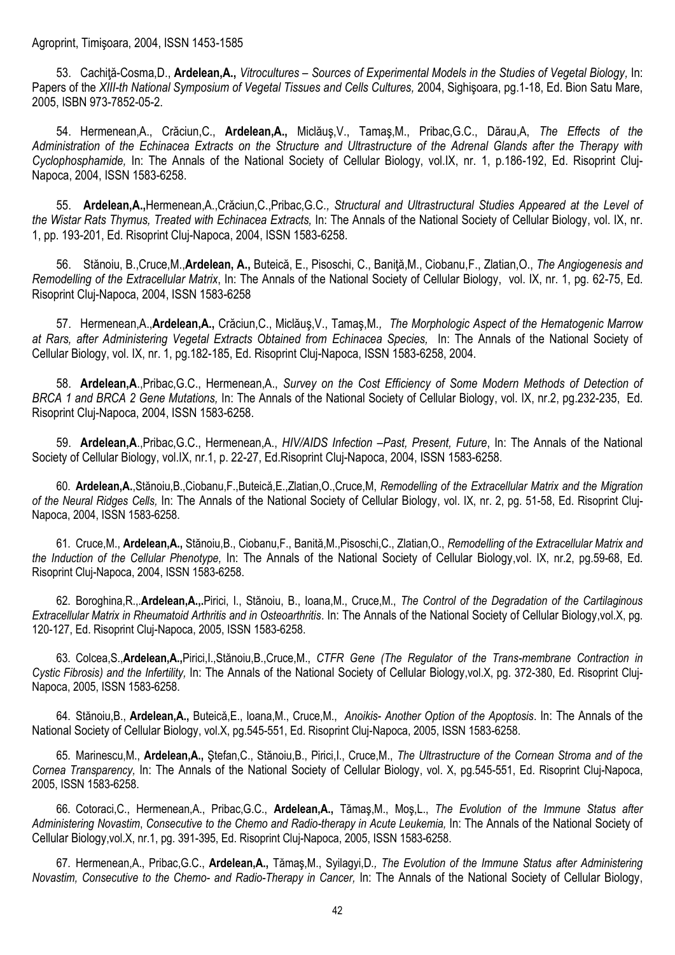53. Cachiţă-Cosma,D., **Ardelean,A.,** *Vitrocultures – Sources of Experimental Models in the Studies of Vegetal Biology,* In: Papers of the *XIII-th National Symposium of Vegetal Tissues and Cells Cultures,* 2004, Sighişoara, pg.1-18, Ed. Bion Satu Mare, 2005, ISBN 973-7852-05-2.

54. Hermenean,A., Crăciun,C., **Ardelean,A.,** Miclăuş,V., Tamaş,M., Pribac,G.C., Dărau,A, *The Effects of the Administration of the Echinacea Extracts on the Structure and Ultrastructure of the Adrenal Glands after the Therapy with Cyclophosphamide,* In: The Annals of the National Society of Cellular Biology, vol.IX, nr. 1, p.186-192, Ed. Risoprint Cluj-Napoca, 2004, ISSN 1583-6258.

55. **Ardelean,A.,**Hermenean,A.,Crăciun,C.,Pribac,G.C*., Structural and Ultrastructural Studies Appeared at the Level of the Wistar Rats Thymus, Treated with Echinacea Extracts,* In: The Annals of the National Society of Cellular Biology, vol. IX, nr. 1, pp. 193-201, Ed. Risoprint Cluj-Napoca, 2004, ISSN 1583-6258.

56. Stănoiu, B.,Cruce,M.,**Ardelean, A.,** Buteică, E., Pisoschi, C., Baniţă,M., Ciobanu,F., Zlatian,O., *The Angiogenesis and Remodelling of the Extracellular Matrix*, In: The Annals of the National Society of Cellular Biology, vol. IX, nr. 1, pg. 62-75, Ed. Risoprint Cluj-Napoca, 2004, ISSN 1583-6258

57. Hermenean,A.,**Ardelean,A.,** Crăciun,C., Miclăuş,V., Tamaş,M*., The Morphologic Aspect of the Hematogenic Marrow at Rars, after Administering Vegetal Extracts Obtained from Echinacea Species,* In: The Annals of the National Society of Cellular Biology, vol. IX, nr. 1, pg.182-185, Ed. Risoprint Cluj-Napoca, ISSN 1583-6258, 2004.

58. **Ardelean,A**.,Pribac,G.C., Hermenean,A., *Survey on the Cost Efficiency of Some Modern Methods of Detection of BRCA 1 and BRCA 2 Gene Mutations,* In: The Annals of the National Society of Cellular Biology, vol. IX, nr.2, pg.232-235, Ed. Risoprint Cluj-Napoca, 2004, ISSN 1583-6258.

59. **Ardelean,A**.,Pribac,G.C., Hermenean,A., *HIV/AIDS Infection –Past, Present, Future*, In: The Annals of the National Society of Cellular Biology, vol.IX, nr.1, p. 22-27, Ed.Risoprint Cluj-Napoca, 2004, ISSN 1583-6258.

60. **Ardelean,A.**,Stănoiu,B.,Ciobanu,F.,Buteică,E.,Zlatian,O.,Cruce,M, *Remodelling of the Extracellular Matrix and the Migration of the Neural Ridges Cells,* In: The Annals of the National Society of Cellular Biology, vol. IX, nr. 2, pg. 51-58, Ed. Risoprint Cluj-Napoca, 2004, ISSN 1583-6258.

61. Cruce,M., **Ardelean,A.,** Stănoiu,B., Ciobanu,F., Banită,M.,Pisoschi,C., Zlatian,O., *Remodelling of the Extracellular Matrix and the Induction of the Cellular Phenotype,* In: The Annals of the National Society of Cellular Biology,vol. IX, nr.2, pg.59-68, Ed. Risoprint Cluj-Napoca, 2004, ISSN 1583-6258.

62. Boroghina,R.,.**Ardelean,A.,.**Pirici, I., Stănoiu, B., Ioana,M., Cruce,M., *The Control of the Degradation of the Cartilaginous Extracellular Matrix in Rheumatoid Arthritis and in Osteoarthritis*. In: The Annals of the National Society of Cellular Biology,vol.X, pg. 120-127, Ed. Risoprint Cluj-Napoca, 2005, ISSN 1583-6258.

63. Colcea,S.,**Ardelean,A.,**Pirici,I.,Stănoiu,B.,Cruce,M., *CTFR Gene (The Regulator of the Trans-membrane Contraction in Cystic Fibrosis) and the Infertility,* In: The Annals of the National Society of Cellular Biology,vol.X, pg. 372-380, Ed. Risoprint Cluj-Napoca, 2005, ISSN 1583-6258.

64. Stănoiu,B., **Ardelean,A.,** Buteică,E., Ioana,M., Cruce,M., *Anoikis- Another Option of the Apoptosis*. In: The Annals of the National Society of Cellular Biology, vol.X, pg.545-551, Ed. Risoprint Cluj-Napoca, 2005, ISSN 1583-6258.

65. Marinescu,M., **Ardelean,A.,** Ştefan,C., Stănoiu,B., Pirici,I., Cruce,M., *The Ultrastructure of the Cornean Stroma and of the Cornea Transparency,* In: The Annals of the National Society of Cellular Biology, vol. X, pg.545-551, Ed. Risoprint Cluj-Napoca, 2005, ISSN 1583-6258.

66. Cotoraci,C., Hermenean,A., Pribac,G.C., **Ardelean,A.,** Tămaş,M., Moş,L., *The Evolution of the Immune Status after Administering Novastim*, *Consecutive to the Chemo and Radio-therapy in Acute Leukemia,* In: The Annals of the National Society of Cellular Biology,vol.X, nr.1, pg. 391-395, Ed. Risoprint Cluj-Napoca, 2005, ISSN 1583-6258.

67. Hermenean,A., Pribac,G.C., **Ardelean,A.,** Tămaş,M., Syilagyi,D*., The Evolution of the Immune Status after Administering Novastim, Consecutive to the Chemo- and Radio-Therapy in Cancer,* In: The Annals of the National Society of Cellular Biology,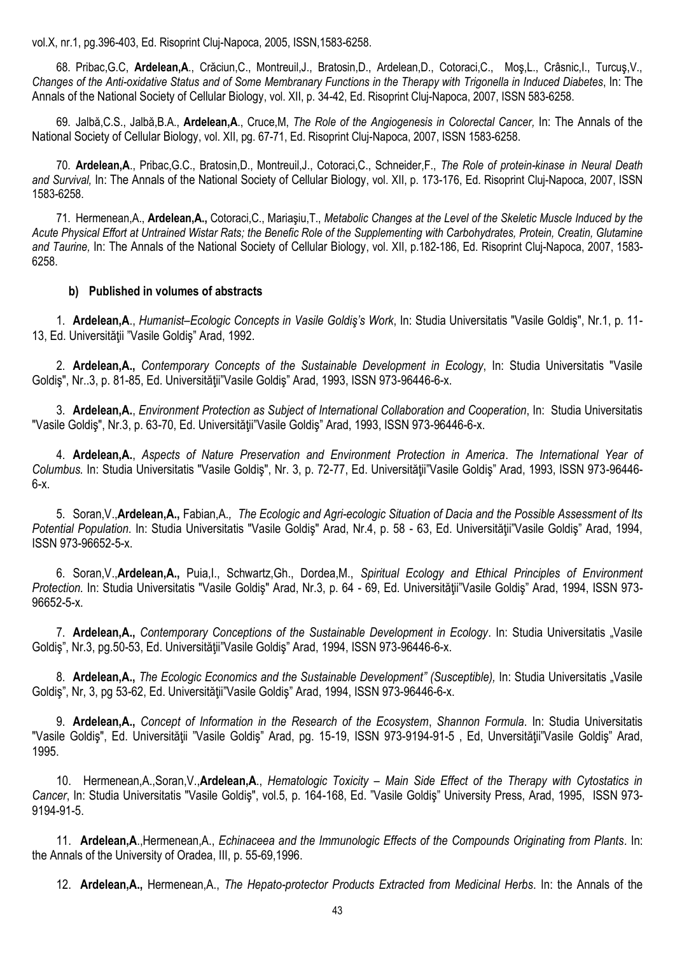vol.X, nr.1, pg.396-403, Ed. Risoprint Cluj-Napoca, 2005, ISSN,1583-6258.

68. Pribac,G.C, **Ardelean,A**., Crăciun,C., Montreuil,J., Bratosin,D., Ardelean,D., Cotoraci,C., Moş,L., Crâsnic,I., Turcuş,V., *Changes of the Anti-oxidative Status and of Some Membranary Functions in the Therapy with Trigonella in Induced Diabetes*, In: The Annals of the National Society of Cellular Biology, vol. XII, p. 34-42, Ed. Risoprint Cluj-Napoca, 2007, ISSN 583-6258.

69. Jalbă,C.S., Jalbă,B.A., **Ardelean,A**., Cruce,M, *The Role of the Angiogenesis in Colorectal Cancer,* In: The Annals of the National Society of Cellular Biology, vol. XII, pg. 67-71, Ed. Risoprint Cluj-Napoca, 2007, ISSN 1583-6258.

70. **Ardelean,A**., Pribac,G.C., Bratosin,D., Montreuil,J., Cotoraci,C., Schneider,F., *The Role of protein-kinase in Neural Death*  and Survival, In: The Annals of the National Society of Cellular Biology, vol. XII, p. 173-176, Ed. Risoprint Cluj-Napoca, 2007, ISSN 1583-6258.

71. Hermenean,A., **Ardelean,A.,** Cotoraci,C., Mariaşiu,T., *Metabolic Changes at the Level of the Skeletic Muscle Induced by the Acute Physical Effort at Untrained Wistar Rats; the Benefic Role of the Supplementing with Carbohydrates, Protein, Creatin, Glutamine and Taurine,* In: The Annals of the National Society of Cellular Biology, vol. XII, p.182-186, Ed. Risoprint Cluj-Napoca, 2007, 1583- 6258.

## **b) Published in volumes of abstracts**

1. **Ardelean,A**., *Humanist–Ecologic Concepts in Vasile Goldiş's Work*, In: Studia Universitatis "Vasile Goldiş", Nr.1, p. 11- 13, Ed. Universităţii "Vasile Goldiş" Arad, 1992.

2. **Ardelean,A.,** *Contemporary Concepts of the Sustainable Development in Ecology*, In: Studia Universitatis "Vasile Goldiş", Nr..3, p. 81-85, Ed. Universităţii"Vasile Goldiş" Arad, 1993, ISSN 973-96446-6-x.

3. **Ardelean,A.**, *Environment Protection as Subject of International Collaboration and Cooperation*, In: Studia Universitatis "Vasile Goldiş", Nr.3, p. 63-70, Ed. Universităţii"Vasile Goldiş" Arad, 1993, ISSN 973-96446-6-x.

4. **Ardelean,A.**, *Aspects of Nature Preservation and Environment Protection in America*. *The International Year of Columbus.* In: Studia Universitatis "Vasile Goldiş", Nr. 3, p. 72-77, Ed. Universităţii"Vasile Goldiş" Arad, 1993, ISSN 973-96446- 6-x.

5. Soran,V.,**Ardelean,A.,** Fabian,A*., The Ecologic and Agri-ecologic Situation of Dacia and the Possible Assessment of Its Potential Population*. In: Studia Universitatis "Vasile Goldiş" Arad, Nr.4, p. 58 - 63, Ed. Universităţii"Vasile Goldiş" Arad, 1994, ISSN 973-96652-5-x.

6. Soran,V.,**Ardelean,A.,** Puia,I., Schwartz,Gh., Dordea,M., *Spiritual Ecology and Ethical Principles of Environment Protection.* In: Studia Universitatis "Vasile Goldiş" Arad, Nr.3, p. 64 - 69, Ed. Universităţii"Vasile Goldiş" Arad, 1994, ISSN 973- 96652-5-x.

7. **Ardelean,A.,** *Contemporary Conceptions of the Sustainable Development in Ecology*. In: Studia Universitatis "Vasile Goldiş", Nr.3, pg.50-53, Ed. Universităţii"Vasile Goldiş" Arad, 1994, ISSN 973-96446-6-x.

8. **Ardelean,A.,** *The Ecologic Economics and the Sustainable Development" (Susceptible),* In: Studia Universitatis "Vasile Goldiş", Nr, 3, pg 53-62, Ed. Universităţii"Vasile Goldiş" Arad, 1994, ISSN 973-96446-6-x.

9. **Ardelean,A.,** *Concept of Information in the Research of the Ecosystem*, *Shannon Formula*. In: Studia Universitatis "Vasile Goldiş", Ed. Universităţii "Vasile Goldiş" Arad, pg. 15-19, ISSN 973-9194-91-5 , Ed, Unversităţii"Vasile Goldiş" Arad, 1995.

10. Hermenean,A.,Soran,V.,**Ardelean,A**., *Hematologic Toxicity – Main Side Effect of the Therapy with Cytostatics in Cancer*, In: Studia Universitatis "Vasile Goldiş", vol.5, p. 164-168, Ed. "Vasile Goldiş" University Press, Arad, 1995, ISSN 973- 9194-91-5.

11. **Ardelean,A**.,Hermenean,A., *Echinaceea and the Immunologic Effects of the Compounds Originating from Plants.* In: the Annals of the University of Oradea, III, p. 55-69,1996.

12. **Ardelean,A.,** Hermenean,A., *The Hepato-protector Products Extracted from Medicinal Herbs*. In: the Annals of the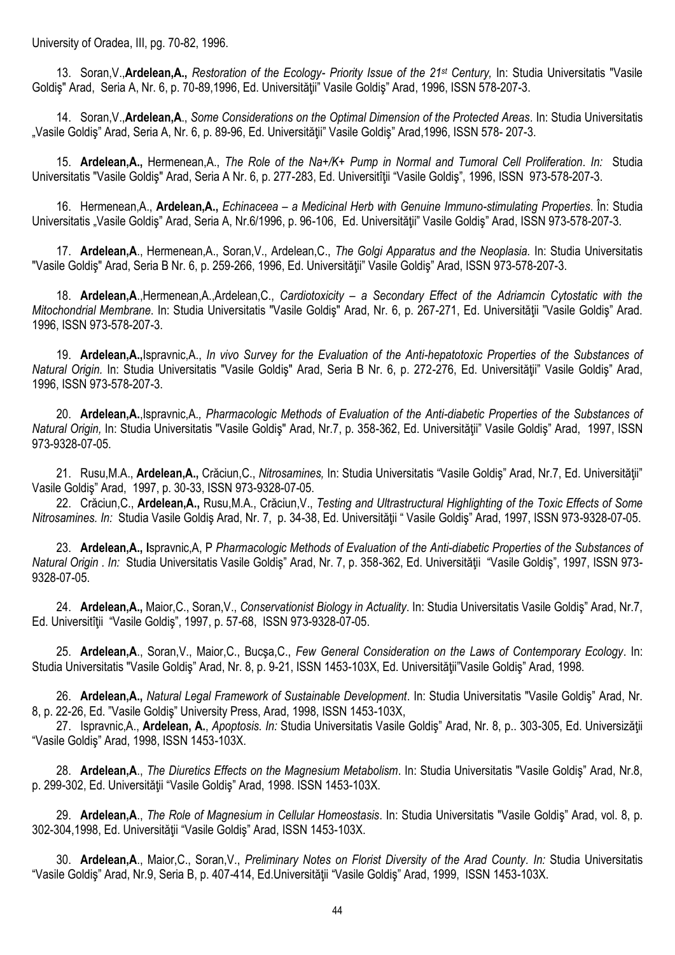University of Oradea, III, pg. 70-82, 1996.

13. Soran,V.,**Ardelean,A.,** *Restoration of the Ecology- Priority Issue of the 21st Century,* In: Studia Universitatis "Vasile Goldiş" Arad, Seria A, Nr. 6, p. 70-89,1996, Ed. Universităţii" Vasile Goldiş" Arad, 1996, ISSN 578-207-3.

14. Soran,V.,**Ardelean,A**., *Some Considerations on the Optimal Dimension of the Protected Areas.* In: Studia Universitatis "Vasile Goldiş" Arad, Seria A, Nr. 6, p. 89-96, Ed. Universității" Vasile Goldiș" Arad,1996, ISSN 578- 207-3.

15. **Ardelean,A.,** Hermenean,A., *The Role of the Na+/K+ Pump in Normal and Tumoral Cell Proliferation. In:* Studia Universitatis "Vasile Goldiş" Arad, Seria A Nr. 6, p. 277-283, Ed. Universitîții "Vasile Goldiş", 1996, ISSN 973-578-207-3.

16. Hermenean,A., **Ardelean,A.,** *Echinaceea – a Medicinal Herb with Genuine Immuno-stimulating Properties*. În: Studia Universitatis "Vasile Goldiş" Arad, Seria A, Nr.6/1996, p. 96-106, Ed. Universităţii" Vasile Goldiş" Arad, ISSN 973-578-207-3.

17. **Ardelean,A**., Hermenean,A., Soran,V., Ardelean,C., *The Golgi Apparatus and the Neoplasia.* In: Studia Universitatis "Vasile Goldiş" Arad, Seria B Nr. 6, p. 259-266, 1996, Ed. Universităţii" Vasile Goldiş" Arad, ISSN 973-578-207-3.

18. **Ardelean,A**.,Hermenean,A.,Ardelean,C., *Cardiotoxicity – a Secondary Effect of the Adriamcin Cytostatic with the Mitochondrial Membrane*. In: Studia Universitatis "Vasile Goldiş" Arad, Nr. 6, p. 267-271, Ed. Universităţii "Vasile Goldiş" Arad. 1996, ISSN 973-578-207-3.

19. **Ardelean,A.,**Ispravnic,A., *In vivo Survey for the Evaluation of the Anti-hepatotoxic Properties of the Substances of Natural Origin.* In: Studia Universitatis "Vasile Goldiş" Arad, Seria B Nr. 6, p. 272-276, Ed. Universităţii" Vasile Goldiş" Arad, 1996, ISSN 973-578-207-3.

20. **Ardelean,A.**,Ispravnic,A*., Pharmacologic Methods of Evaluation of the Anti-diabetic Properties of the Substances of Natural Origin, In: Studia Universitatis "Vasile Goldis" Arad, Nr.7, p. 358-362, Ed. Universității" Vasile Goldis" Arad, 1997, ISSN* 973-9328-07-05.

21. Rusu,M.A., **Ardelean,A.,** Crăciun,C., *Nitrosamines,* In: Studia Universitatis "Vasile Goldiş" Arad, Nr.7, Ed. Universităţii" Vasile Goldiş" Arad, 1997, p. 30-33, ISSN 973-9328-07-05.

22. Crăciun,C., **Ardelean,A.,** Rusu,M.A., Crăciun,V., *Testing and Ultrastructural Highlighting of the Toxic Effects of Some Nitrosamines. In:* Studia Vasile Goldiş Arad, Nr. 7, p. 34-38, Ed. Universităţii " Vasile Goldiş" Arad, 1997, ISSN 973-9328-07-05.

23. **Ardelean,A., I**spravnic,A, P *Pharmacologic Methods of Evaluation of the Anti-diabetic Properties of the Substances of Natural Origin . In:* Studia Universitatis Vasile Goldiş" Arad, Nr. 7, p. 358-362, Ed. Universităţii "Vasile Goldiş", 1997, ISSN 973- 9328-07-05.

24. **Ardelean,A.,** Maior,C., Soran,V., *Conservationist Biology in Actuality*. In: Studia Universitatis Vasile Goldiş" Arad, Nr.7, Ed. Universitîții "Vasile Goldiș", 1997, p. 57-68, ISSN 973-9328-07-05.

25. **Ardelean,A**., Soran,V., Maior,C., Bucşa,C., *Few General Consideration on the Laws of Contemporary Ecology*. In: Studia Universitatis "Vasile Goldiş" Arad, Nr. 8, p. 9-21, ISSN 1453-103X, Ed. Universităţii"Vasile Goldiş" Arad, 1998.

26. **Ardelean,A.,** *Natural Legal Framework of Sustainable Development*. In: Studia Universitatis "Vasile Goldiş" Arad, Nr. 8, p. 22-26, Ed. "Vasile Goldiş" University Press, Arad, 1998, ISSN 1453-103X,

27. Ispravnic,A., **Ardelean, A.**, *Apoptosis. In:* Studia Universitatis Vasile Goldis" Arad, Nr. 8, p., 303-305, Ed. Universizății "Vasile Goldiş" Arad, 1998, ISSN 1453-103X.

28. **Ardelean,A**., *The Diuretics Effects on the Magnesium Metabolism*. In: Studia Universitatis "Vasile Goldiş" Arad, Nr.8, p. 299-302, Ed. Universităţii "Vasile Goldiş" Arad, 1998. ISSN 1453-103X.

29. **Ardelean,A**., *The Role of Magnesium in Cellular Homeostasis*. In: Studia Universitatis "Vasile Goldiş" Arad, vol. 8, p. 302-304,1998, Ed. Universităţii "Vasile Goldiş" Arad, ISSN 1453-103X.

30. **Ardelean,A**., Maior,C., Soran,V., *Preliminary Notes on Florist Diversity of the Arad County. In:* Studia Universitatis "Vasile Goldiş" Arad, Nr.9, Seria B, p. 407-414, Ed.Universităţii "Vasile Goldiş" Arad, 1999, ISSN 1453-103X.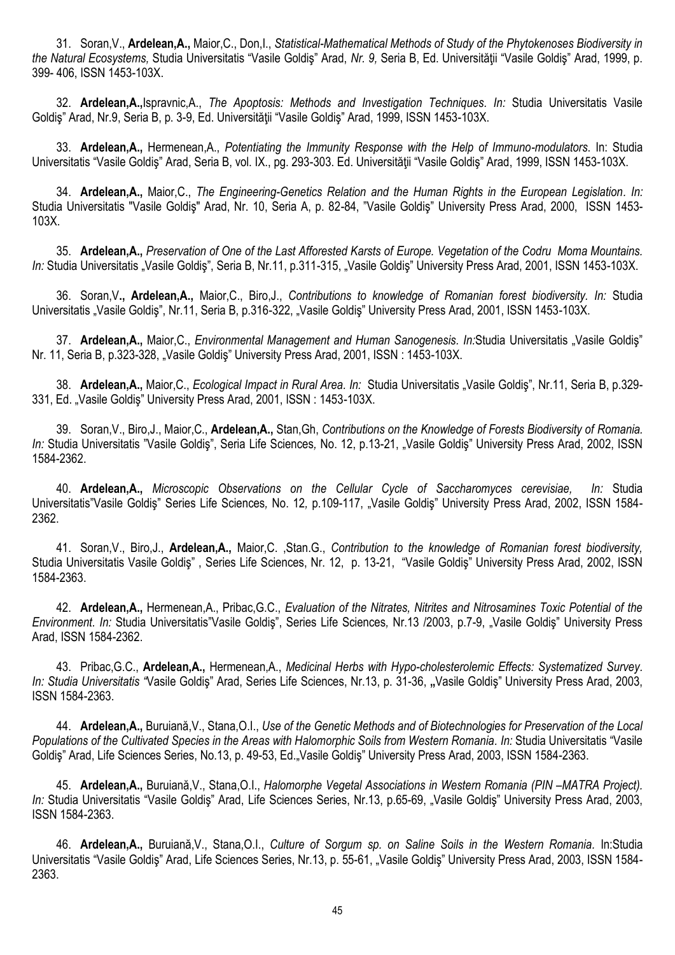31. Soran,V., **Ardelean,A.,** Maior,C., Don,I., *Statistical-Mathematical Methods of Study of the Phytokenoses Biodiversity in the Natural Ecosystems,* Studia Universitatis "Vasile Goldiş" Arad, *Nr. 9,* Seria B, Ed. Universităţii "Vasile Goldiş" Arad, 1999, p. 399- 406, ISSN 1453-103X.

32. **Ardelean,A.,**Ispravnic,A., *The Apoptosis: Methods and Investigation Techniques. In:* Studia Universitatis Vasile Goldiş" Arad, Nr.9, Seria B, p. 3-9, Ed. Universităţii "Vasile Goldiş" Arad, 1999, ISSN 1453-103X.

33. **Ardelean,A.,** Hermenean,A., *Potentiating the Immunity Response with the Help of Immuno-modulators*. In: Studia Universitatis "Vasile Goldiş" Arad, Seria B, vol. IX., pg. 293-303. Ed. Universităţii "Vasile Goldiş" Arad, 1999, ISSN 1453-103X.

34. **Ardelean,A.,** Maior,C., *The Engineering-Genetics Relation and the Human Rights in the European Legislation. In:*  Studia Universitatis "Vasile Goldiş" Arad, Nr. 10, Seria A, p. 82-84, "Vasile Goldiş" University Press Arad, 2000, ISSN 1453- 103X.

35. **Ardelean,A.,** *Preservation of One of the Last Afforested Karsts of Europe. Vegetation of the Codru Moma Mountains. In: Studia Universitatis* "Vasile Goldiş", Seria B, Nr.11, p.311-315, "Vasile Goldiş" University Press Arad, 2001, ISSN 1453-103X.

36. Soran,V**., Ardelean,A.,** Maior,C., Biro,J., *Contributions to knowledge of Romanian forest biodiversity. In:* Studia Universitatis "Vasile Goldiş", Nr.11, Seria B, p.316-322, "Vasile Goldiş" University Press Arad, 2001, ISSN 1453-103X.

37. **Ardelean,A.,** Maior,C., *Environmental Management and Human Sanogenesis. In:*Studia Universitatis "Vasile Goldiş" Nr. 11, Seria B, p.323-328, "Vasile Goldiş" University Press Arad, 2001, ISSN : 1453-103X.

38. **Ardelean,A.,** Maior,C., *Ecological Impact in Rural Area. In:* Studia Universitatis "Vasile Goldiş", Nr.11, Seria B, p.329- 331, Ed. "Vasile Goldiş" University Press Arad, 2001, ISSN : 1453-103X.

39. Soran,V., Biro,J., Maior,C., **Ardelean,A.,** Stan,Gh, *Contributions on the Knowledge of Forests Biodiversity of Romania. In:* Studia Universitatis "Vasile Goldiş", Seria Life Sciences*,* No. 12, p.13-21, "Vasile Goldiş" University Press Arad, 2002, ISSN 1584-2362.

40. **Ardelean,A.,** *Microscopic Observations on the Cellular Cycle of Saccharomyces cerevisiae, In:* Studia Universitatis"Vasile Goldiş" Series Life Sciences*,* No. 12*,* p.109-117, "Vasile Goldiş" University Press Arad, 2002, ISSN 1584- 2362.

41. Soran,V., Biro,J., **Ardelean,A.,** Maior,C. ,Stan.G., *Contribution to the knowledge of Romanian forest biodiversity,* Studia Universitatis Vasile Goldiş" , Series Life Sciences, Nr. 12, p. 13-21, "Vasile Goldiş" University Press Arad, 2002, ISSN 1584-2363.

42. **Ardelean,A.,** Hermenean,A., Pribac,G.C., *Evaluation of the Nitrates, Nitrites and Nitrosamines Toxic Potential of the Environment. In:* Studia Universitatis"Vasile Goldiş", Series Life Sciences*,* Nr.13 /2003, p.7-9, "Vasile Goldiş" University Press Arad, ISSN 1584-2362.

43. Pribac,G.C., **Ardelean,A.,** Hermenean,A., *Medicinal Herbs with Hypo-cholesterolemic Effects: Systematized Survey. In: Studia Universitatis "*Vasile Goldiş" Arad, Series Life Sciences, Nr.13, p. 31-36, **"**Vasile Goldiş" University Press Arad, 2003, ISSN 1584-2363.

44. **Ardelean,A.,** Buruiană,V., Stana,O.I., *Use of the Genetic Methods and of Biotechnologies for Preservation of the Local Populations of the Cultivated Species in the Areas with Halomorphic Soils from Western Romania. In:* Studia Universitatis "Vasile Goldis" Arad, Life Sciences Series, No.13, p. 49-53, Ed. Vasile Goldis" University Press Arad, 2003, ISSN 1584-2363.

45. **Ardelean,A.,** Buruiană,V., Stana,O.I., *Halomorphe Vegetal Associations in Western Romania (PIN –MATRA Project). In:* Studia Universitatis "Vasile Goldiş" Arad, Life Sciences Series, Nr.13, p.65-69, "Vasile Goldiş" University Press Arad, 2003, ISSN 1584-2363.

46. **Ardelean,A.,** Buruiană,V., Stana,O.I., *Culture of Sorgum sp. on Saline Soils in the Western Romania.* In:Studia Universitatis "Vasile Goldiş" Arad, Life Sciences Series, Nr.13, p. 55-61, "Vasile Goldiş" University Press Arad, 2003, ISSN 1584-2363.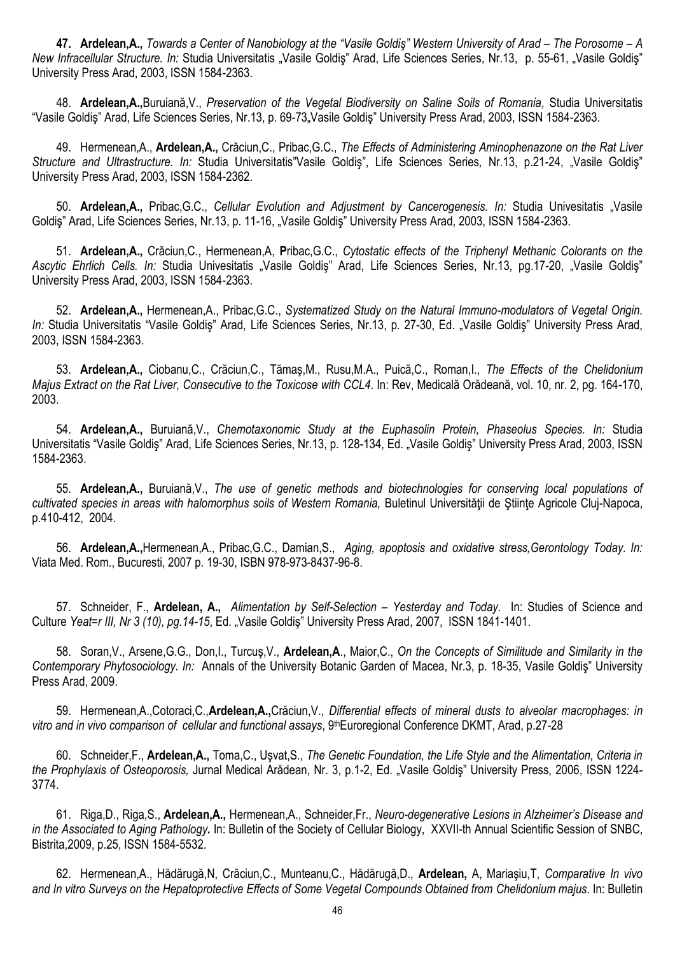**47. Ardelean,A.,** *Towards a Center of Nanobiology at the "Vasile Goldiş" Western University of Arad – The Porosome – A New Infracellular Structure. In: Studia Universitatis "Vasile Goldis" Arad, Life Sciences Series, Nr.13, p. 55-61, "Vasile Goldis"* University Press Arad, 2003, ISSN 1584-2363.

48. **Ardelean,A.,**Buruiană,V., *Preservation of the Vegetal Biodiversity on Saline Soils of Romania,* Studia Universitatis "Vasile Goldis" Arad, Life Sciences Series, Nr.13, p. 69-73, Vasile Goldis" University Press Arad, 2003, ISSN 1584-2363.

49. Hermenean,A., **Ardelean,A.,** Crăciun,C., Pribac,G.C., *The Effects of Administering Aminophenazone on the Rat Liver Structure and Ultrastructure. In:* Studia Universitatis"Vasile Goldiş", Life Sciences Series*,* Nr.13, p.21-24, "Vasile Goldiş" University Press Arad, 2003, ISSN 1584-2362.

50. **Ardelean,A.,** Pribac,G.C., *Cellular Evolution and Adjustment by Cancerogenesis. In:* Studia Univesitatis "Vasile Goldiş" Arad, Life Sciences Series, Nr.13, p. 11-16, "Vasile Goldiş" University Press Arad, 2003, ISSN 1584-2363.

51. **Ardelean,A.,** Crăciun,C., Hermenean,A, **P**ribac,G.C., *Cytostatic effects of the Triphenyl Methanic Colorants on the*  Ascytic Ehrlich Cells. In: Studia Univesitatis "Vasile Goldiş" Arad, Life Sciences Series, Nr.13, pg.17-20, "Vasile Goldiş" University Press Arad, 2003, ISSN 1584-2363.

52. **Ardelean,A.,** Hermenean,A., Pribac,G.C., *Systematized Study on the Natural Immuno-modulators of Vegetal Origin. In: Studia Universitatis "Vasile Goldiş" Arad, Life Sciences Series, Nr.13, p. 27-30, Ed. "Vasile Goldiş" University Press Arad,* 2003, ISSN 1584-2363.

53. **Ardelean,A.,** Ciobanu,C., Crăciun,C., Tămaş,M., Rusu,M.A., Puică,C., Roman,I., *The Effects of the Chelidonium Majus Extract on the Rat Liver, Consecutive to the Toxicose with CCL4*. In: Rev, Medicală Orădeană, vol. 10, nr. 2, pg. 164-170, 2003.

54. **Ardelean,A.,** Buruiană,V., *Chemotaxonomic Study at the Euphasolin Protein, Phaseolus Species. In:* Studia Universitatis "Vasile Goldiş" Arad, Life Sciences Series, Nr.13, p. 128-134, Ed. "Vasile Goldiş" University Press Arad, 2003, ISSN 1584-2363.

55. **Ardelean,A.,** Buruiană,V., *The use of genetic methods and biotechnologies for conserving local populations of*  cultivated species in areas with halomorphus soils of Western Romania, Buletinul Universității de Stiințe Agricole Cluj-Napoca, p.410-412, 2004.

56. **Ardelean,A.,**Hermenean,A., Pribac,G.C., Damian,S., *Aging, apoptosis and oxidative stress,Gerontology Today. In:*  Viata Med. Rom., Bucuresti, 2007 p. 19-30, ISBN 978-973-8437-96-8.

57. Schneider, F., **Ardelean, A.,** *Alimentation by Self-Selection – Yesterday and Today.* In: Studies of Science and Culture *Yeat=r III, Nr 3 (10), pg.14-15*, Ed. "Vasile Goldiş" University Press Arad, 2007, ISSN 1841-1401.

58. Soran,V., Arsene,G.G., Don,I., Turcuş,V., **Ardelean,A**., Maior,C., *On the Concepts of Similitude and Similarity in the Contemporary Phytosociology. In:* Annals of the University Botanic Garden of Macea, Nr.3, p. 18-35, Vasile Goldiş" University Press Arad, 2009.

59. Hermenean,A.,Cotoraci,C.,**Ardelean,A.,**Crăciun,V., *Differential effects of mineral dusts to alveolar macrophages: in*  vitro and in vivo comparison of cellular and functional assays, 9<sup>th</sup>Euroregional Conference DKMT, Arad, p.27-28

60. Schneider,F., **Ardelean,A.,** Toma,C., Uşvat,S*., The Genetic Foundation, the Life Style and the Alimentation, Criteria in the Prophylaxis of Osteoporosis,* Jurnal Medical Arădean, Nr. 3, p.1-2, Ed. "Vasile Goldiş" University Press, 2006, ISSN 1224- 3774.

61. Riga,D., Riga,S., **Ardelean,A.,** Hermenean,A., Schneider,Fr., *Neuro-degenerative Lesions in Alzheimer's Disease and in the Associated to Aging Pathology.* In: Bulletin of the Society of Cellular Biology, XXVII-th Annual Scientific Session of SNBC, Bistrita,2009, p.25, ISSN 1584-5532.

62. Hermenean,A., Hădărugă,N, Crăciun,C., Munteanu,C., Hădărugă,D., **Ardelean,** A, Mariaşiu,T, *Comparative In vivo and In vitro Surveys on the Hepatoprotective Effects of Some Vegetal Compounds Obtained from Chelidonium majus*. In: Bulletin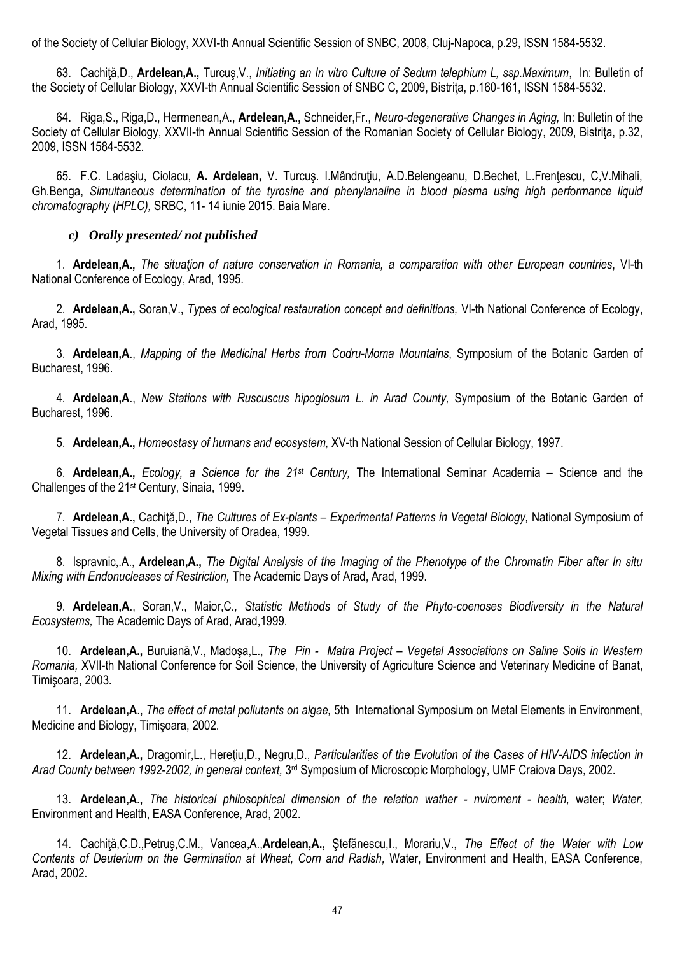of the Society of Cellular Biology, XXVI-th Annual Scientific Session of SNBC, 2008, Cluj-Napoca, p.29, ISSN 1584-5532.

63. Cachiţă,D., **Ardelean,A.,** Turcuş,V., *Initiating an In vitro Culture of Sedum telephium L, ssp.Maximum*, In: Bulletin of the Society of Cellular Biology, XXVI-th Annual Scientific Session of SNBC C, 2009, Bistriţa, p.160-161, ISSN 1584-5532.

64. Riga,S., Riga,D., Hermenean,A., **Ardelean,A.,** Schneider,Fr., *Neuro-degenerative Changes in Aging,* In: Bulletin of the Society of Cellular Biology, XXVII-th Annual Scientific Session of the Romanian Society of Cellular Biology, 2009, Bistrita, p.32, 2009, ISSN 1584-5532.

65. F.C. Ladaşiu, Ciolacu, **A. Ardelean,** V. Turcuş. I.Mândruţiu, A.D.Belengeanu, D.Bechet, L.Frenţescu, C,V.Mihali, Gh.Benga, *Simultaneous determination of the tyrosine and phenylanaline in blood plasma using high performance liquid chromatography (HPLC),* SRBC, 11- 14 iunie 2015. Baia Mare.

## *c) Orally presented/ not published*

1. **Ardelean,A.,** *The situaţion of nature conservation in Romania, a comparation with other European countries*, VI-th National Conference of Ecology, Arad, 1995.

2. **Ardelean,A.,** Soran,V., *Types of ecological restauration concept and definitions,* VI-th National Conference of Ecology, Arad, 1995.

3. **Ardelean,A**., *Mapping of the Medicinal Herbs from Codru-Moma Mountains*, Symposium of the Botanic Garden of Bucharest, 1996.

4. **Ardelean,A**., *New Stations with Ruscuscus hipoglosum L. in Arad County,* Symposium of the Botanic Garden of Bucharest, 1996.

5. **Ardelean,A.,** *Homeostasy of humans and ecosystem,* XV-th National Session of Cellular Biology, 1997.

6. **Ardelean,A.,** *Ecology, a Science for the 21st Century,* The International Seminar Academia – Science and the Challenges of the 21st Century, Sinaia, 1999.

7. **Ardelean,A.,** Cachiţă,D., *The Cultures of Ex-plants – Experimental Patterns in Vegetal Biology,* National Symposium of Vegetal Tissues and Cells, the University of Oradea, 1999.

8. Ispravnic,.A., **Ardelean,A.,** *The Digital Analysis of the Imaging of the Phenotype of the Chromatin Fiber after In situ Mixing with Endonucleases of Restriction,* The Academic Days of Arad, Arad, 1999.

9. **Ardelean,A**., Soran,V., Maior,C*., Statistic Methods of Study of the Phyto-coenoses Biodiversity in the Natural Ecosystems,* The Academic Days of Arad, Arad,1999.

10. **Ardelean,A.,** Buruiană,V., Madoşa,L., *The Pin - Matra Project – Vegetal Associations on Saline Soils in Western Romania,* XVII-th National Conference for Soil Science, the University of Agriculture Science and Veterinary Medicine of Banat, Timişoara, 2003.

11. **Ardelean,A**., *The effect of metal pollutants on algae,* 5th International Symposium on Metal Elements in Environment, Medicine and Biology, Timişoara, 2002.

12. **Ardelean,A.,** Dragomir,L., Hereţiu,D., Negru,D., *Particularities of the Evolution of the Cases of HIV-AIDS infection in*  Arad County between 1992-2002, in general context, 3<sup>rd</sup> Symposium of Microscopic Morphology, UMF Craiova Days, 2002.

13. **Ardelean,A.,** *The historical philosophical dimension of the relation wather - nviroment - health,* water; *Water,*  Environment and Health, EASA Conference, Arad, 2002.

14. Cachiţă,C.D.,Petruş,C.M., Vancea,A.,**Ardelean,A.,** Ştefănescu,I., Morariu,V., *The Effect of the Water with Low Contents of Deuterium on the Germination at Wheat, Corn and Radish,* Water, Environment and Health, EASA Conference, Arad, 2002.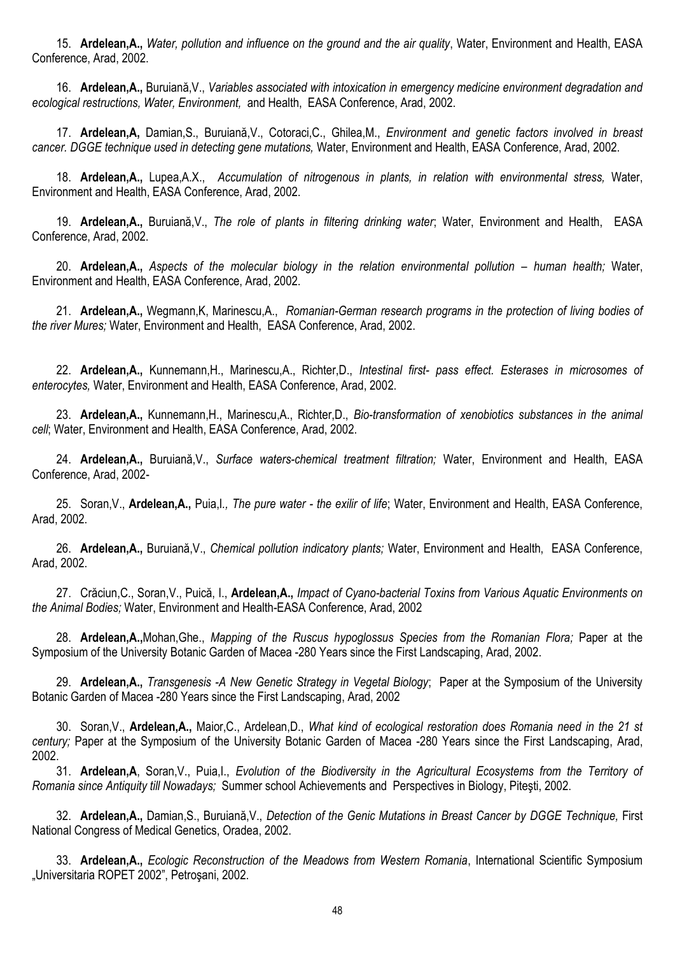15. **Ardelean,A.,** *Water, pollution and influence on the ground and the air quality*, Water, Environment and Health, EASA Conference, Arad, 2002.

16. **Ardelean,A.,** Buruiană,V., *Variables associated with intoxication in emergency medicine environment degradation and ecological restructions, Water, Environment,* and Health, EASA Conference, Arad, 2002.

17. **Ardelean,A,** Damian,S., Buruiană,V., Cotoraci,C., Ghilea,M., *Environment and genetic factors involved in breast cancer. DGGE technique used in detecting gene mutations,* Water, Environment and Health, EASA Conference, Arad, 2002.

18. **Ardelean,A.,** Lupea,A.X., *Accumulation of nitrogenous in plants, in relation with environmental stress,* Water, Environment and Health, EASA Conference, Arad, 2002.

19. **Ardelean,A.,** Buruiană,V., *The role of plants in filtering drinking water*; Water, Environment and Health, EASA Conference, Arad, 2002.

20. **Ardelean,A.,** *Aspects of the molecular biology in the relation environmental pollution – human health;* Water, Environment and Health, EASA Conference, Arad, 2002.

21. **Ardelean,A.,** Wegmann,K, Marinescu,A., *Romanian-German research programs in the protection of living bodies of the river Mures;* Water, Environment and Health, EASA Conference, Arad, 2002.

22. **Ardelean,A.,** Kunnemann,H., Marinescu,A., Richter,D., *Intestinal first- pass effect. Esterases in microsomes of enterocytes,* Water, Environment and Health, EASA Conference, Arad, 2002.

23. **Ardelean,A.,** Kunnemann,H., Marinescu,A., Richter,D., *Bio-transformation of xenobiotics substances in the animal cell*; Water, Environment and Health, EASA Conference, Arad, 2002.

24. **Ardelean,A.,** Buruiană,V., *Surface waters-chemical treatment filtration;* Water, Environment and Health, EASA Conference, Arad, 2002-

25. Soran,V., **Ardelean,A.,** Puia,I*., The pure water - the exilir of life*; Water, Environment and Health, EASA Conference, Arad, 2002.

26. **Ardelean,A.,** Buruiană,V., *Chemical pollution indicatory plants;* Water, Environment and Health, EASA Conference, Arad, 2002.

27. Crăciun,C., Soran,V., Puică, I., **Ardelean,A.,** *Impact of Cyano-bacterial Toxins from Various Aquatic Environments on the Animal Bodies;* Water, Environment and Health-EASA Conference, Arad, 2002

28. **Ardelean,A.,**Mohan,Ghe., *Mapping of the Ruscus hypoglossus Species from the Romanian Flora;* Paper at the Symposium of the University Botanic Garden of Macea -280 Years since the First Landscaping, Arad, 2002.

29. **Ardelean,A.,** *Transgenesis -A New Genetic Strategy in Vegetal Biology*; Paper at the Symposium of the University Botanic Garden of Macea -280 Years since the First Landscaping, Arad, 2002

30. Soran,V., **Ardelean,A.,** Maior,C., Ardelean,D., *What kind of ecological restoration does Romania need in the 21 st century;* Paper at the Symposium of the University Botanic Garden of Macea -280 Years since the First Landscaping, Arad, 2002.

31. **Ardelean,A**, Soran,V., Puia,I., *Evolution of the Biodiversity in the Agricultural Ecosystems from the Territory of Romania since Antiquity till Nowadays;* Summer school Achievements and Perspectives in Biology, Piteşti, 2002.

32. **Ardelean,A.,** Damian,S., Buruiană,V., *Detection of the Genic Mutations in Breast Cancer by DGGE Technique,* First National Congress of Medical Genetics, Oradea, 2002.

33. **Ardelean,A.,** *Ecologic Reconstruction of the Meadows from Western Romania*, International Scientific Symposium "Universitaria ROPET 2002", Petroşani, 2002.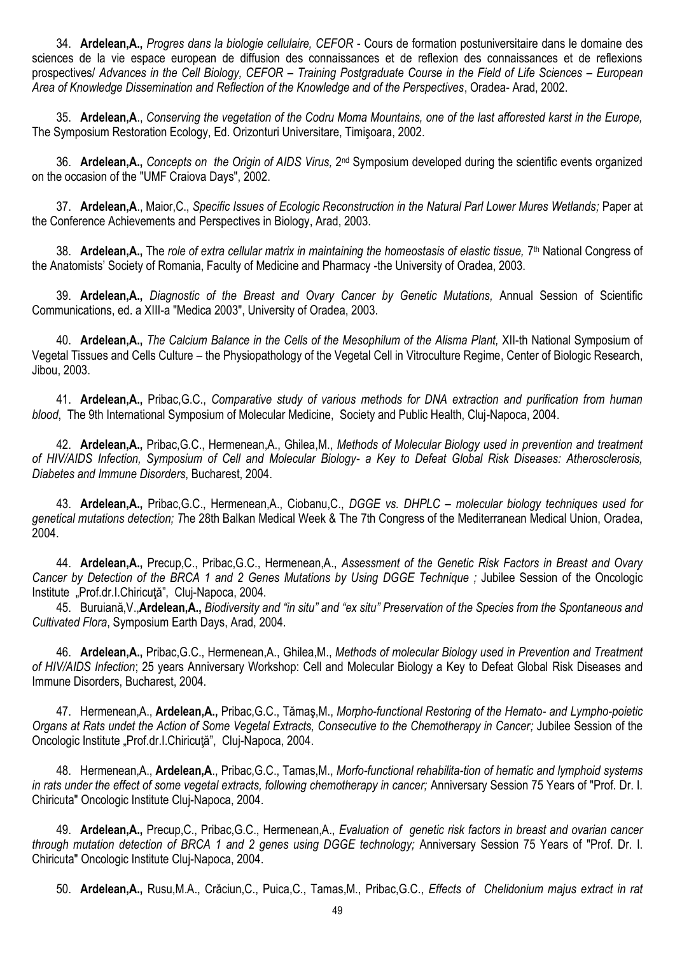34. **Ardelean,A.,** *Progres dans la biologie cellulaire, CEFOR* - Cours de formation postuniversitaire dans le domaine des sciences de la vie espace european de diffusion des connaissances et de reflexion des connaissances et de reflexions prospectives/ *Advances in the Cell Biology, CEFOR – Training Postgraduate Course in the Field of Life Sciences – European Area of Knowledge Dissemination and Reflection of the Knowledge and of the Perspectives*, Oradea- Arad, 2002.

35. **Ardelean,A**., *Conserving the vegetation of the Codru Moma Mountains, one of the last afforested karst in the Europe,*  The Symposium Restoration Ecology, Ed. Orizonturi Universitare, Timişoara, 2002.

36. Ardelean, A., Concepts on the Origin of AIDS Virus, 2<sup>nd</sup> Symposium developed during the scientific events organized on the occasion of the "UMF Craiova Days", 2002.

37. **Ardelean,A**., Maior,C., *Specific Issues of Ecologic Reconstruction in the Natural Parl Lower Mures Wetlands;* Paper at the Conference Achievements and Perspectives in Biology, Arad, 2003.

38. Ardelean, A., The *role of extra cellular matrix in maintaining the homeostasis of elastic tissue, 7<sup>th</sup> National Congress of* the Anatomists' Society of Romania, Faculty of Medicine and Pharmacy -the University of Oradea, 2003.

39. **Ardelean,A.,** *Diagnostic of the Breast and Ovary Cancer by Genetic Mutations,* Annual Session of Scientific Communications, ed. a XIII-a "Medica 2003", University of Oradea, 2003.

40. **Ardelean,A.,** *The Calcium Balance in the Cells of the Mesophilum of the Alisma Plant,* XII-th National Symposium of Vegetal Tissues and Cells Culture – the Physiopathology of the Vegetal Cell in Vitroculture Regime, Center of Biologic Research, Jibou, 2003.

41. **Ardelean,A.,** Pribac,G.C., *Comparative study of various methods for DNA extraction and purification from human blood*, The 9th International Symposium of Molecular Medicine, Society and Public Health, Cluj-Napoca, 2004.

42. **Ardelean,A.,** Pribac,G.C., Hermenean,A., Ghilea,M., *Methods of Molecular Biology used in prevention and treatment of HIV/AIDS Infection, Symposium of Cell and Molecular Biology- a Key to Defeat Global Risk Diseases: Atherosclerosis, Diabetes and Immune Disorders*, Bucharest, 2004.

43. **Ardelean,A.,** Pribac,G.C., Hermenean,A., Ciobanu,C., *DGGE vs. DHPLC – molecular biology techniques used for genetical mutations detection; T*he 28th Balkan Medical Week & The 7th Congress of the Mediterranean Medical Union, Oradea, 2004.

44. **Ardelean,A.,** Precup,C., Pribac,G.C., Hermenean,A., *Assessment of the Genetic Risk Factors in Breast and Ovary Cancer by Detection of the BRCA 1 and 2 Genes Mutations by Using DGGE Technique ;* Jubilee Session of the Oncologic Institute "Prof.dr.I.Chiricuță", Cluj-Napoca, 2004.

45. Buruiană,V.,**Ardelean,A.,** *Biodiversity and "in situ" and "ex situ" Preservation of the Species from the Spontaneous and Cultivated Flora*, Symposium Earth Days, Arad, 2004.

46. **Ardelean,A.,** Pribac,G.C., Hermenean,A., Ghilea,M., *Methods of molecular Biology used in Prevention and Treatment of HIV/AIDS Infection*; 25 years Anniversary Workshop: Cell and Molecular Biology a Key to Defeat Global Risk Diseases and Immune Disorders, Bucharest, 2004.

47. Hermenean,A., **Ardelean,A.,** Pribac,G.C., Tămaş,M., *Morpho-functional Restoring of the Hemato- and Lympho-poietic Organs at Rats undet the Action of Some Vegetal Extracts, Consecutive to the Chemotherapy in Cancer; Jubilee Session of the* Oncologic Institute "Prof.dr.I.Chiricută", Cluj-Napoca, 2004.

48. Hermenean,A., **Ardelean,A**., Pribac,G.C., Tamas,M., *Morfo-functional rehabilita-tion of hematic and lymphoid systems in rats under the effect of some vegetal extracts, following chemotherapy in cancer;* Anniversary Session 75 Years of "Prof. Dr. I. Chiricuta" Oncologic Institute Cluj-Napoca, 2004.

49. **Ardelean,A.,** Precup,C., Pribac,G.C., Hermenean,A., *Evaluation of genetic risk factors in breast and ovarian cancer through mutation detection of BRCA 1 and 2 genes using DGGE technology;* Anniversary Session 75 Years of "Prof. Dr. I. Chiricuta" Oncologic Institute Cluj-Napoca, 2004.

50. **Ardelean,A.,** Rusu,M.A., Crăciun,C., Puica,C., Tamas,M., Pribac,G.C., *Effects of Chelidonium majus extract in rat*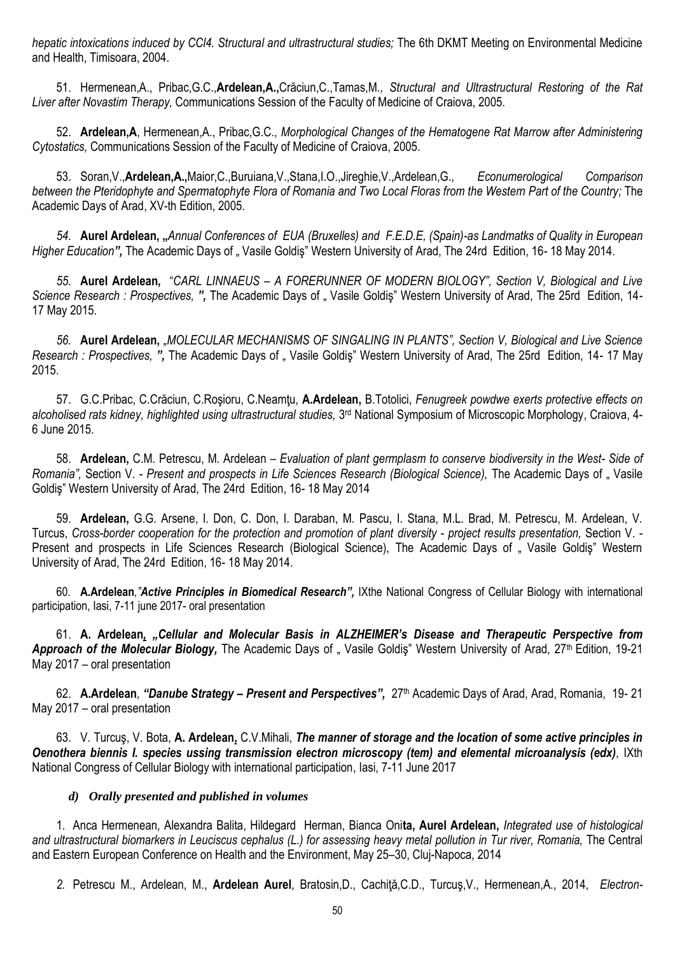*hepatic intoxications induced by CCl4. Structural and ultrastructural studies;* The 6th DKMT Meeting on Environmental Medicine and Health, Timisoara, 2004.

51. Hermenean,A., Pribac,G.C.,**Ardelean,A.,**Crăciun,C.,Tamas,M*., Structural and Ultrastructural Restoring of the Rat Liver after Novastim Therapy,* Communications Session of the Faculty of Medicine of Craiova, 2005.

52. **Ardelean,A**, Hermenean,A., Pribac,G.C., *Morphological Changes of the Hematogene Rat Marrow after Administering Cytostatics,* Communications Session of the Faculty of Medicine of Craiova, 2005.

53. Soran,V.,**Ardelean,A.,**Maior,C.,Buruiana,V.,Stana,I.O.,Jireghie,V.,Ardelean,G., *Econumerological Comparison between the Pteridophyte and Spermatophyte Flora of Romania and Two Local Floras from the Western Part of the Country;* The Academic Days of Arad, XV-th Edition, 2005.

*54.* **Aurel Ardelean, "***Annual Conferences of EUA (Bruxelles) and F.E.D.E, (Spain)-as Landmatks of Quality in European*  Higher Education", The Academic Days of " Vasile Goldiş" Western University of Arad, The 24rd Edition, 16-18 May 2014.

*55.* **Aurel Ardelean,** "*CARL LINNAEUS – A FORERUNNER OF MODERN BIOLOGY", Section V, Biological and Live Science Research : Prospectives, ",* The Academic Days of " Vasile Goldiş" Western University of Arad, The 25rd Edition, 14- 17 May 2015.

*56.* **Aurel Ardelean,** *"MOLECULAR MECHANISMS OF SINGALING IN PLANTS", Section V, Biological and Live Science Research : Prospectives, "*, The Academic Days of " Vasile Goldis" Western University of Arad, The 25rd Edition, 14- 17 May 2015.

57. G.C.Pribac, C.Crăciun, C.Roşioru, C.Neamţu, **A.Ardelean,** B.Totolici, *Fenugreek powdwe exerts protective effects on*  alcoholised rats kidney, highlighted using ultrastructural studies, 3<sup>rd</sup> National Symposium of Microscopic Morphology, Craiova, 4-6 June 2015.

58. **Ardelean,** C.M. Petrescu, M. Ardelean – *Evaluation of plant germplasm to conserve biodiversity in the West- Side of Romania",* Section V. - *Present and prospects in Life Sciences Research (Biological Science),* The Academic Days of " Vasile Goldiş" Western University of Arad, The 24rd Edition, 16- 18 May 2014

59. **Ardelean,** G.G. Arsene, I. Don, C. Don, I. Daraban, M. Pascu, I. Stana, M.L. Brad, M. Petrescu, M. Ardelean, V. Turcus, *Cross-border cooperation for the protection and promotion of plant diversity - project results presentation,* Section V. - Present and prospects in Life Sciences Research (Biological Science), The Academic Days of "Vasile Goldis" Western University of Arad, The 24rd Edition, 16- 18 May 2014.

60. **A.Ardelean***,"Active Principles in Biomedical Research",* IXthe National Congress of Cellular Biology with international participation, Iasi, 7-11 june 2017- oral presentation

61. **A. Ardelean***, "Cellular and Molecular Basis in ALZHEIMER's Disease and Therapeutic Perspective from*  Approach of the Molecular Biology, The Academic Days of " Vasile Goldiş" Western University of Arad, 27<sup>th</sup> Edition, 19-21 May 2017 – oral presentation

62. **A.Ardelean***, "Danube Strategy – Present and Perspectives",* 27th Academic Days of Arad, Arad, Romania, 19- 21 May 2017 – oral presentation

63. V. Turcuş, V. Bota, **A. Ardelean,** C.V.Mihali, *The manner of storage and the location of some active principles in Oenothera biennis I. species ussing transmission electron microscopy (tem) and elemental microanalysis (edx),* IXth National Congress of Cellular Biology with international participation, Iasi, 7-11 June 2017

# *d) Orally presented and published in volumes*

1. Anca Hermenean, Alexandra Balita, Hildegard Herman, Bianca Oni**ta, Aurel Ardelean,** *Integrated use of histological and ultrastructural biomarkers in Leuciscus cephalus (L.) for assessing heavy metal pollution in Tur river, Romania,* The Central and Eastern European Conference on Health and the Environment, May 25–30, Cluj-Napoca, 2014

*2.* Petrescu M., Ardelean, M., **Ardelean Aurel**, Bratosin,D., Cachiţă,C.D., Turcuş,V., Hermenean,A., 2014, *Electron-*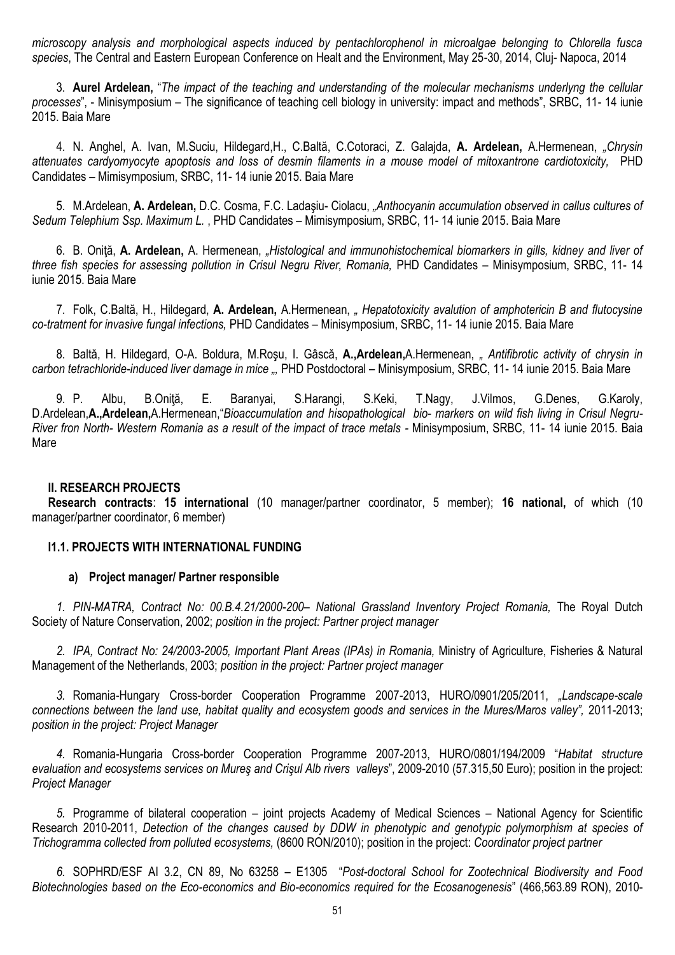*microscopy analysis and morphological aspects induced by pentachlorophenol in microalgae belonging to Chlorella fusca species*, The Central and Eastern European Conference on Healt and the Environment, May 25-30, 2014, Cluj- Napoca, 2014

3. **Aurel Ardelean,** "*The impact of the teaching and understanding of the molecular mechanisms underlyng the cellular processes*", - Minisymposium – The significance of teaching cell biology in university: impact and methods", SRBC, 11- 14 iunie 2015. Baia Mare

4. N. Anghel, A. Ivan, M.Suciu, Hildegard,H., C.Baltă, C.Cotoraci, Z. Galajda, **A. Ardelean,** A.Hermenean, *"Chrysin attenuates cardyomyocyte apoptosis and loss of desmin filaments in a mouse model of mitoxantrone cardiotoxicity,* PHD Candidates – Mimisymposium, SRBC, 11- 14 iunie 2015. Baia Mare

5. M.Ardelean, **A. Ardelean,** D.C. Cosma, F.C. Ladaşiu- Ciolacu, *"Anthocyanin accumulation observed in callus cultures of Sedum Telephium Ssp. Maximum L.* , PHD Candidates – Mimisymposium, SRBC, 11- 14 iunie 2015. Baia Mare

6. B. Oniţă, **A. Ardelean,** A. Hermenean, *"Histological and immunohistochemical biomarkers in gills, kidney and liver of three fish species for assessing pollution in Crisul Negru River, Romania,* PHD Candidates – Minisymposium, SRBC, 11- 14 iunie 2015. Baia Mare

7. Folk, C.Baltă, H., Hildegard, **A. Ardelean,** A.Hermenean, *" Hepatotoxicity avalution of amphotericin B and flutocysine co-tratment for invasive fungal infections,* PHD Candidates – Minisymposium, SRBC, 11- 14 iunie 2015. Baia Mare

8. Baltă, H. Hildegard, O-A. Boldura, M.Roşu, I. Gâscă, **A.,Ardelean,**A.Hermenean, *" Antifibrotic activity of chrysin in carbon tetrachloride-induced liver damage in mice ",* PHD Postdoctoral – Minisymposium, SRBC, 11- 14 iunie 2015. Baia Mare

9. P. Albu, B.Oniţă, E. Baranyai, S.Harangi, S.Keki, T.Nagy, J.Vilmos, G.Denes, G.Karoly, D.Ardelean,**A.,Ardelean,**A.Hermenean,"*Bioaccumulation and hisopathological bio- markers on wild fish living in Crisul Negru-River fron North- Western Romania as a result of the impact of trace metals -* Minisymposium, SRBC, 11- 14 iunie 2015. Baia Mare

## **II. RESEARCH PROJECTS**

**Research contracts**: **15 international** (10 manager/partner coordinator, 5 member); **16 national,** of which (10 manager/partner coordinator, 6 member)

## **I1.1. PROJECTS WITH INTERNATIONAL FUNDING**

## **a) Project manager/ Partner responsible**

*1. PIN-MATRA, Contract No: 00.B.4.21/2000-200– National Grassland Inventory Project Romania,* The Royal Dutch Society of Nature Conservation, 2002; *position in the project: Partner project manager*

*2. IPA, Contract No: 24/2003-2005, Important Plant Areas (IPAs) in Romania,* Ministry of Agriculture, Fisheries & Natural Management of the Netherlands, 2003; *position in the project: Partner project manager*

*3.* Romania-Hungary Cross-border Cooperation Programme 2007-2013, HURO/0901/205/2011, *"Landscape-scale connections between the land use, habitat quality and ecosystem goods and services in the Mures/Maros valley",* 2011-2013; *position in the project: Project Manager*

*4.* Romania-Hungaria Cross-border Cooperation Programme 2007-2013, HURO/0801/194/2009 "*Habitat structure evaluation and ecosystems services on Mureş and Crişul Alb rivers valleys*", 2009-2010 (57.315,50 Euro); position in the project: *Project Manager*

*5.* Programme of bilateral cooperation – joint projects Academy of Medical Sciences – National Agency for Scientific Research 2010-2011, *Detection of the changes caused by DDW in phenotypic and genotypic polymorphism at species of Trichogramma collected from polluted ecosystems,* (8600 RON/2010); position in the project: *Coordinator project partner*

*6.* SOPHRD/ESF AI 3.2, CN 89, No 63258 – E1305 "*Post-doctoral School for Zootechnical Biodiversity and Food Biotechnologies based on the Eco-economics and Bio-economics required for the Ecosanogenesis*" (466,563.89 RON), 2010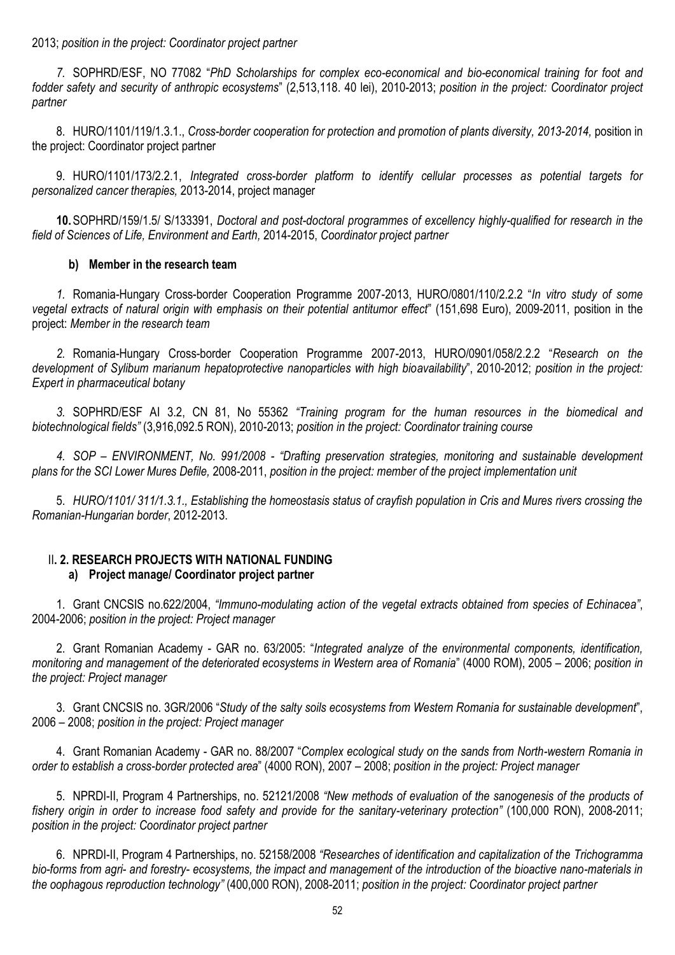2013; *position in the project: Coordinator project partner*

*7.* SOPHRD/ESF, NO 77082 "*PhD Scholarships for complex eco-economical and bio-economical training for foot and fodder safety and security of anthropic ecosystems*" (2,513,118. 40 lei), 2010-2013; *position in the project: Coordinator project partner*

8. HURO/1101/119/1.3.1., *Cross-border cooperation for protection and promotion of plants diversity, 2013-2014,* position in the project: Coordinator project partner

9. HURO/1101/173/2.2.1, *Integrated cross-border platform to identify cellular processes as potential targets for personalized cancer therapies,* 2013-2014, project manager

**10.**SOPHRD/159/1.5/ S/133391, *Doctoral and post-doctoral programmes of excellency highly-qualified for research in the field of Sciences of Life, Environment and Earth,* 2014-2015, *Coordinator project partner*

## **b) Member in the research team**

*1.* Romania-Hungary Cross-border Cooperation Programme 2007-2013, HURO/0801/110/2.2.2 "*In vitro study of some vegetal extracts of natural origin with emphasis on their potential antitumor effect*" (151,698 Euro), 2009-2011, position in the project: *Member in the research team*

*2.* Romania-Hungary Cross-border Cooperation Programme 2007-2013, HURO/0901/058/2.2.2 "*Research on the development of Sylibum marianum hepatoprotective nanoparticles with high bioavailability*", 2010-2012; *position in the project: Expert in pharmaceutical botany*

*3.* SOPHRD/ESF AI 3.2, CN 81, No 55362 *"Training program for the human resources in the biomedical and biotechnological fields"* (3,916,092.5 RON), 2010-2013; *position in the project: Coordinator training course*

*4. SOP – ENVIRONMENT, No. 991/2008 - "Drafting preservation strategies, monitoring and sustainable development plans for the SCI Lower Mures Defile,* 2008-2011, *position in the project: member of the project implementation unit*

5. *HURO/1101/ 311/1.3.1., Establishing the homeostasis status of crayfish population in Cris and Mures rivers crossing the Romanian-Hungarian border*, 2012-2013.

# II**. 2. RESEARCH PROJECTS WITH NATIONAL FUNDING a) Project manage/ Coordinator project partner**

1. Grant CNCSIS no.622/2004, *"Immuno-modulating action of the vegetal extracts obtained from species of Echinacea"*, 2004-2006; *position in the project: Project manager*

2. Grant Romanian Academy - GAR no. 63/2005: "*Integrated analyze of the environmental components, identification, monitoring and management of the deteriorated ecosystems in Western area of Romania*" (4000 ROM), 2005 – 2006; *position in the project: Project manager*

3. Grant CNCSIS no. 3GR/2006 "*Study of the salty soils ecosystems from Western Romania for sustainable development*", 2006 – 2008; *position in the project: Project manager*

4. Grant Romanian Academy - GAR no. 88/2007 "*Complex ecological study on the sands from North-western Romania in order to establish a cross-border protected area*" (4000 RON), 2007 – 2008; *position in the project: Project manager*

5. NPRDI-II, Program 4 Partnerships, no. 52121/2008 *"New methods of evaluation of the sanogenesis of the products of fishery origin in order to increase food safety and provide for the sanitary-veterinary protection"* (100,000 RON), 2008-2011; *position in the project: Coordinator project partner*

6. NPRDI-II, Program 4 Partnerships, no. 52158/2008 *"Researches of identification and capitalization of the Trichogramma bio-forms from agri- and forestry- ecosystems, the impact and management of the introduction of the bioactive nano-materials in the oophagous reproduction technology"* (400,000 RON), 2008-2011; *position in the project: Coordinator project partner*